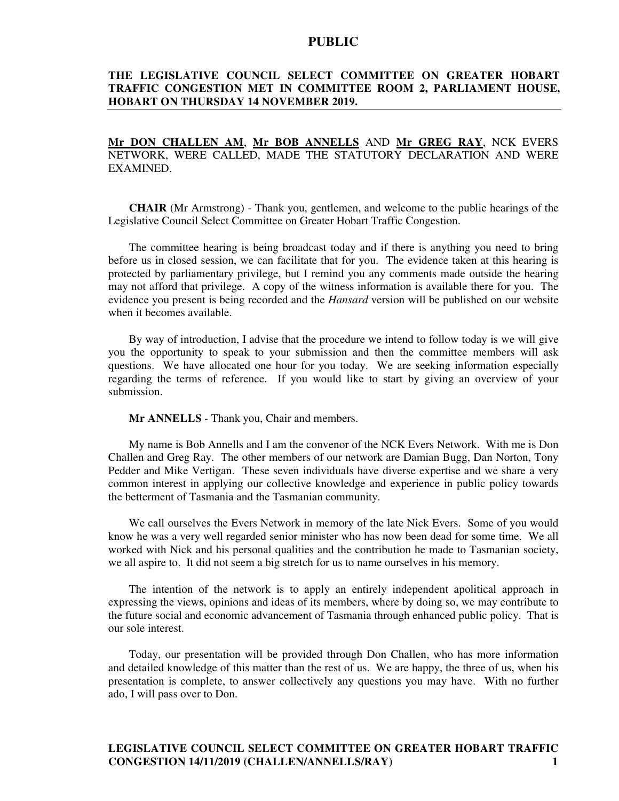## **THE LEGISLATIVE COUNCIL SELECT COMMITTEE ON GREATER HOBART TRAFFIC CONGESTION MET IN COMMITTEE ROOM 2, PARLIAMENT HOUSE, HOBART ON THURSDAY 14 NOVEMBER 2019.**

# **Mr DON CHALLEN AM**, **Mr BOB ANNELLS** AND **Mr GREG RAY**, NCK EVERS NETWORK, WERE CALLED, MADE THE STATUTORY DECLARATION AND WERE EXAMINED.

**CHAIR** (Mr Armstrong) - Thank you, gentlemen, and welcome to the public hearings of the Legislative Council Select Committee on Greater Hobart Traffic Congestion.

The committee hearing is being broadcast today and if there is anything you need to bring before us in closed session, we can facilitate that for you. The evidence taken at this hearing is protected by parliamentary privilege, but I remind you any comments made outside the hearing may not afford that privilege. A copy of the witness information is available there for you. The evidence you present is being recorded and the *Hansard* version will be published on our website when it becomes available.

By way of introduction, I advise that the procedure we intend to follow today is we will give you the opportunity to speak to your submission and then the committee members will ask questions. We have allocated one hour for you today. We are seeking information especially regarding the terms of reference. If you would like to start by giving an overview of your submission.

**Mr ANNELLS** - Thank you, Chair and members.

My name is Bob Annells and I am the convenor of the NCK Evers Network. With me is Don Challen and Greg Ray. The other members of our network are Damian Bugg, Dan Norton, Tony Pedder and Mike Vertigan. These seven individuals have diverse expertise and we share a very common interest in applying our collective knowledge and experience in public policy towards the betterment of Tasmania and the Tasmanian community.

We call ourselves the Evers Network in memory of the late Nick Evers. Some of you would know he was a very well regarded senior minister who has now been dead for some time. We all worked with Nick and his personal qualities and the contribution he made to Tasmanian society, we all aspire to. It did not seem a big stretch for us to name ourselves in his memory.

The intention of the network is to apply an entirely independent apolitical approach in expressing the views, opinions and ideas of its members, where by doing so, we may contribute to the future social and economic advancement of Tasmania through enhanced public policy. That is our sole interest.

Today, our presentation will be provided through Don Challen, who has more information and detailed knowledge of this matter than the rest of us. We are happy, the three of us, when his presentation is complete, to answer collectively any questions you may have. With no further ado, I will pass over to Don.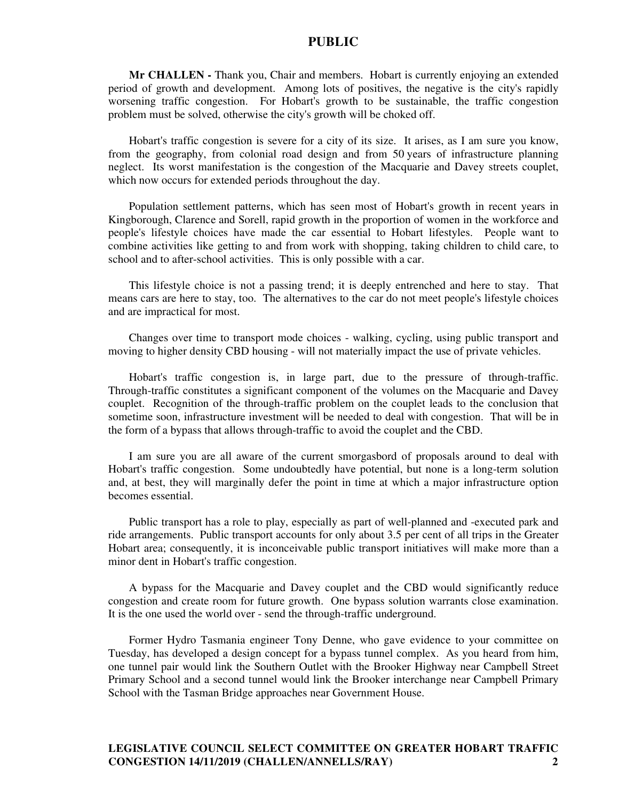**Mr CHALLEN -** Thank you, Chair and members. Hobart is currently enjoying an extended period of growth and development. Among lots of positives, the negative is the city's rapidly worsening traffic congestion. For Hobart's growth to be sustainable, the traffic congestion problem must be solved, otherwise the city's growth will be choked off.

Hobart's traffic congestion is severe for a city of its size. It arises, as I am sure you know, from the geography, from colonial road design and from 50 years of infrastructure planning neglect. Its worst manifestation is the congestion of the Macquarie and Davey streets couplet, which now occurs for extended periods throughout the day.

Population settlement patterns, which has seen most of Hobart's growth in recent years in Kingborough, Clarence and Sorell, rapid growth in the proportion of women in the workforce and people's lifestyle choices have made the car essential to Hobart lifestyles. People want to combine activities like getting to and from work with shopping, taking children to child care, to school and to after-school activities. This is only possible with a car.

This lifestyle choice is not a passing trend; it is deeply entrenched and here to stay. That means cars are here to stay, too. The alternatives to the car do not meet people's lifestyle choices and are impractical for most.

Changes over time to transport mode choices - walking, cycling, using public transport and moving to higher density CBD housing - will not materially impact the use of private vehicles.

Hobart's traffic congestion is, in large part, due to the pressure of through-traffic. Through-traffic constitutes a significant component of the volumes on the Macquarie and Davey couplet. Recognition of the through-traffic problem on the couplet leads to the conclusion that sometime soon, infrastructure investment will be needed to deal with congestion. That will be in the form of a bypass that allows through-traffic to avoid the couplet and the CBD.

I am sure you are all aware of the current smorgasbord of proposals around to deal with Hobart's traffic congestion. Some undoubtedly have potential, but none is a long-term solution and, at best, they will marginally defer the point in time at which a major infrastructure option becomes essential.

Public transport has a role to play, especially as part of well-planned and -executed park and ride arrangements. Public transport accounts for only about 3.5 per cent of all trips in the Greater Hobart area; consequently, it is inconceivable public transport initiatives will make more than a minor dent in Hobart's traffic congestion.

A bypass for the Macquarie and Davey couplet and the CBD would significantly reduce congestion and create room for future growth. One bypass solution warrants close examination. It is the one used the world over - send the through-traffic underground.

Former Hydro Tasmania engineer Tony Denne, who gave evidence to your committee on Tuesday, has developed a design concept for a bypass tunnel complex. As you heard from him, one tunnel pair would link the Southern Outlet with the Brooker Highway near Campbell Street Primary School and a second tunnel would link the Brooker interchange near Campbell Primary School with the Tasman Bridge approaches near Government House.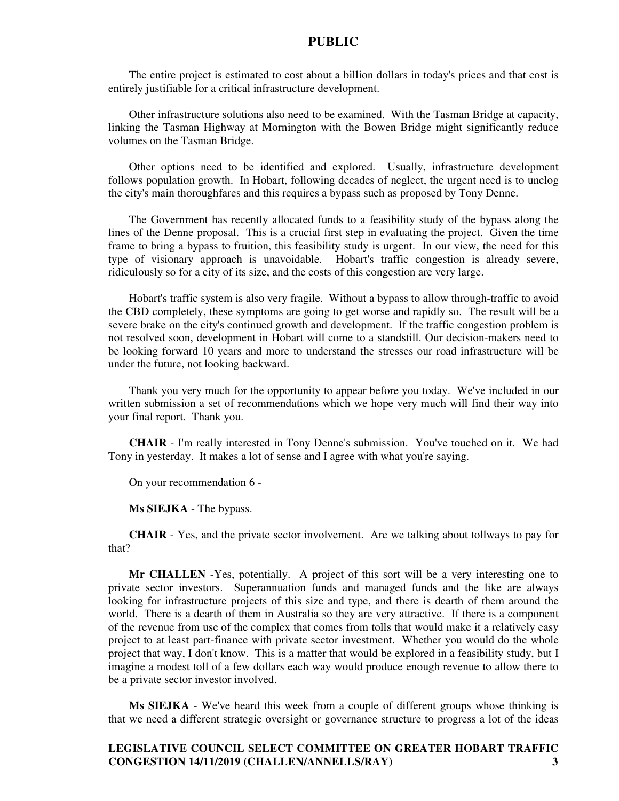The entire project is estimated to cost about a billion dollars in today's prices and that cost is entirely justifiable for a critical infrastructure development.

Other infrastructure solutions also need to be examined. With the Tasman Bridge at capacity, linking the Tasman Highway at Mornington with the Bowen Bridge might significantly reduce volumes on the Tasman Bridge.

Other options need to be identified and explored. Usually, infrastructure development follows population growth. In Hobart, following decades of neglect, the urgent need is to unclog the city's main thoroughfares and this requires a bypass such as proposed by Tony Denne.

The Government has recently allocated funds to a feasibility study of the bypass along the lines of the Denne proposal. This is a crucial first step in evaluating the project. Given the time frame to bring a bypass to fruition, this feasibility study is urgent. In our view, the need for this type of visionary approach is unavoidable. Hobart's traffic congestion is already severe, ridiculously so for a city of its size, and the costs of this congestion are very large.

Hobart's traffic system is also very fragile. Without a bypass to allow through-traffic to avoid the CBD completely, these symptoms are going to get worse and rapidly so. The result will be a severe brake on the city's continued growth and development. If the traffic congestion problem is not resolved soon, development in Hobart will come to a standstill. Our decision-makers need to be looking forward 10 years and more to understand the stresses our road infrastructure will be under the future, not looking backward.

Thank you very much for the opportunity to appear before you today. We've included in our written submission a set of recommendations which we hope very much will find their way into your final report. Thank you.

**CHAIR** - I'm really interested in Tony Denne's submission. You've touched on it. We had Tony in yesterday. It makes a lot of sense and I agree with what you're saying.

On your recommendation 6 -

**Ms SIEJKA** - The bypass.

**CHAIR** - Yes, and the private sector involvement. Are we talking about tollways to pay for that?

**Mr CHALLEN** -Yes, potentially. A project of this sort will be a very interesting one to private sector investors. Superannuation funds and managed funds and the like are always looking for infrastructure projects of this size and type, and there is dearth of them around the world. There is a dearth of them in Australia so they are very attractive. If there is a component of the revenue from use of the complex that comes from tolls that would make it a relatively easy project to at least part-finance with private sector investment. Whether you would do the whole project that way, I don't know. This is a matter that would be explored in a feasibility study, but I imagine a modest toll of a few dollars each way would produce enough revenue to allow there to be a private sector investor involved.

**Ms SIEJKA** - We've heard this week from a couple of different groups whose thinking is that we need a different strategic oversight or governance structure to progress a lot of the ideas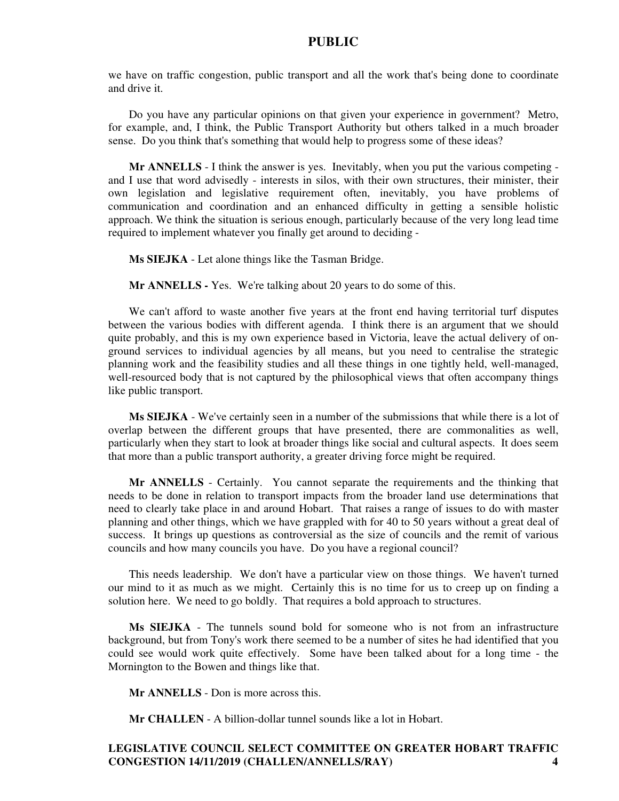we have on traffic congestion, public transport and all the work that's being done to coordinate and drive it.

Do you have any particular opinions on that given your experience in government? Metro, for example, and, I think, the Public Transport Authority but others talked in a much broader sense. Do you think that's something that would help to progress some of these ideas?

**Mr ANNELLS** - I think the answer is yes. Inevitably, when you put the various competing and I use that word advisedly - interests in silos, with their own structures, their minister, their own legislation and legislative requirement often, inevitably, you have problems of communication and coordination and an enhanced difficulty in getting a sensible holistic approach. We think the situation is serious enough, particularly because of the very long lead time required to implement whatever you finally get around to deciding -

**Ms SIEJKA** - Let alone things like the Tasman Bridge.

**Mr ANNELLS -** Yes. We're talking about 20 years to do some of this.

We can't afford to waste another five years at the front end having territorial turf disputes between the various bodies with different agenda. I think there is an argument that we should quite probably, and this is my own experience based in Victoria, leave the actual delivery of onground services to individual agencies by all means, but you need to centralise the strategic planning work and the feasibility studies and all these things in one tightly held, well-managed, well-resourced body that is not captured by the philosophical views that often accompany things like public transport.

**Ms SIEJKA** - We've certainly seen in a number of the submissions that while there is a lot of overlap between the different groups that have presented, there are commonalities as well, particularly when they start to look at broader things like social and cultural aspects. It does seem that more than a public transport authority, a greater driving force might be required.

**Mr ANNELLS** - Certainly. You cannot separate the requirements and the thinking that needs to be done in relation to transport impacts from the broader land use determinations that need to clearly take place in and around Hobart. That raises a range of issues to do with master planning and other things, which we have grappled with for 40 to 50 years without a great deal of success. It brings up questions as controversial as the size of councils and the remit of various councils and how many councils you have. Do you have a regional council?

This needs leadership. We don't have a particular view on those things. We haven't turned our mind to it as much as we might. Certainly this is no time for us to creep up on finding a solution here. We need to go boldly. That requires a bold approach to structures.

**Ms SIEJKA** - The tunnels sound bold for someone who is not from an infrastructure background, but from Tony's work there seemed to be a number of sites he had identified that you could see would work quite effectively. Some have been talked about for a long time - the Mornington to the Bowen and things like that.

**Mr ANNELLS** - Don is more across this.

**Mr CHALLEN** - A billion-dollar tunnel sounds like a lot in Hobart.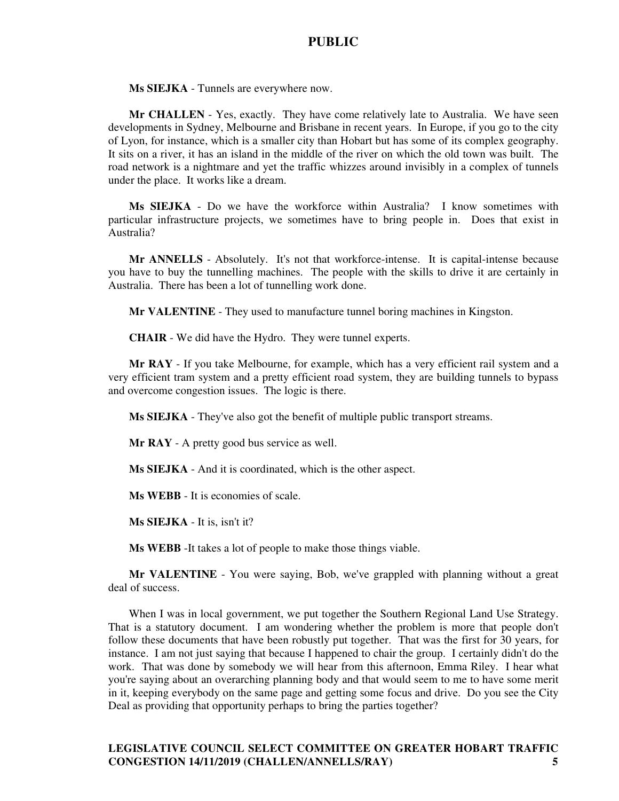**Ms SIEJKA** - Tunnels are everywhere now.

**Mr CHALLEN** - Yes, exactly. They have come relatively late to Australia. We have seen developments in Sydney, Melbourne and Brisbane in recent years. In Europe, if you go to the city of Lyon, for instance, which is a smaller city than Hobart but has some of its complex geography. It sits on a river, it has an island in the middle of the river on which the old town was built. The road network is a nightmare and yet the traffic whizzes around invisibly in a complex of tunnels under the place. It works like a dream.

**Ms SIEJKA** - Do we have the workforce within Australia? I know sometimes with particular infrastructure projects, we sometimes have to bring people in. Does that exist in Australia?

**Mr ANNELLS** - Absolutely. It's not that workforce-intense. It is capital-intense because you have to buy the tunnelling machines. The people with the skills to drive it are certainly in Australia. There has been a lot of tunnelling work done.

**Mr VALENTINE** - They used to manufacture tunnel boring machines in Kingston.

**CHAIR** - We did have the Hydro. They were tunnel experts.

**Mr RAY** - If you take Melbourne, for example, which has a very efficient rail system and a very efficient tram system and a pretty efficient road system, they are building tunnels to bypass and overcome congestion issues. The logic is there.

**Ms SIEJKA** - They've also got the benefit of multiple public transport streams.

**Mr RAY** - A pretty good bus service as well.

**Ms SIEJKA** - And it is coordinated, which is the other aspect.

**Ms WEBB** - It is economies of scale.

**Ms SIEJKA** - It is, isn't it?

**Ms WEBB** -It takes a lot of people to make those things viable.

**Mr VALENTINE** - You were saying, Bob, we've grappled with planning without a great deal of success.

When I was in local government, we put together the Southern Regional Land Use Strategy. That is a statutory document. I am wondering whether the problem is more that people don't follow these documents that have been robustly put together. That was the first for 30 years, for instance. I am not just saying that because I happened to chair the group. I certainly didn't do the work. That was done by somebody we will hear from this afternoon, Emma Riley. I hear what you're saying about an overarching planning body and that would seem to me to have some merit in it, keeping everybody on the same page and getting some focus and drive. Do you see the City Deal as providing that opportunity perhaps to bring the parties together?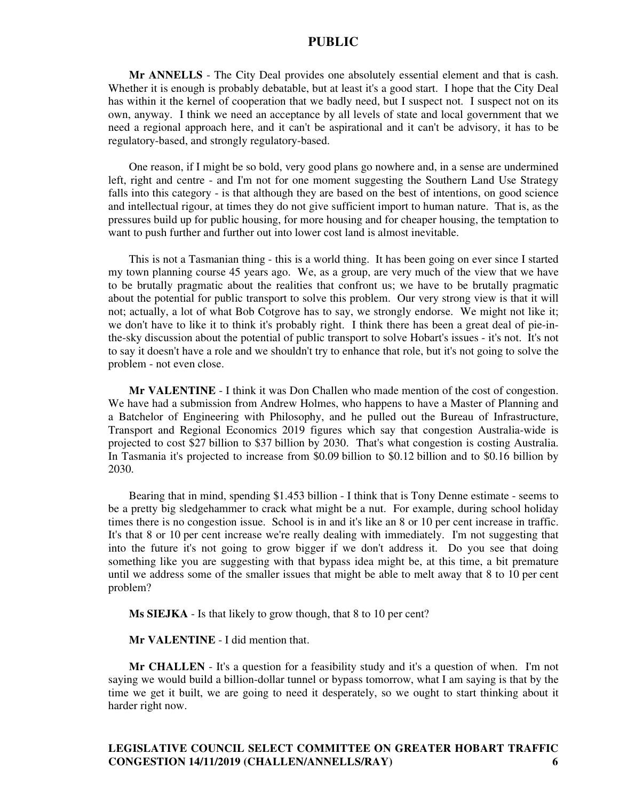**Mr ANNELLS** - The City Deal provides one absolutely essential element and that is cash. Whether it is enough is probably debatable, but at least it's a good start. I hope that the City Deal has within it the kernel of cooperation that we badly need, but I suspect not. I suspect not on its own, anyway. I think we need an acceptance by all levels of state and local government that we need a regional approach here, and it can't be aspirational and it can't be advisory, it has to be regulatory-based, and strongly regulatory-based.

One reason, if I might be so bold, very good plans go nowhere and, in a sense are undermined left, right and centre - and I'm not for one moment suggesting the Southern Land Use Strategy falls into this category - is that although they are based on the best of intentions, on good science and intellectual rigour, at times they do not give sufficient import to human nature. That is, as the pressures build up for public housing, for more housing and for cheaper housing, the temptation to want to push further and further out into lower cost land is almost inevitable.

This is not a Tasmanian thing - this is a world thing. It has been going on ever since I started my town planning course 45 years ago. We, as a group, are very much of the view that we have to be brutally pragmatic about the realities that confront us; we have to be brutally pragmatic about the potential for public transport to solve this problem. Our very strong view is that it will not; actually, a lot of what Bob Cotgrove has to say, we strongly endorse. We might not like it; we don't have to like it to think it's probably right. I think there has been a great deal of pie-inthe-sky discussion about the potential of public transport to solve Hobart's issues - it's not. It's not to say it doesn't have a role and we shouldn't try to enhance that role, but it's not going to solve the problem - not even close.

**Mr VALENTINE** - I think it was Don Challen who made mention of the cost of congestion. We have had a submission from Andrew Holmes, who happens to have a Master of Planning and a Batchelor of Engineering with Philosophy, and he pulled out the Bureau of Infrastructure, Transport and Regional Economics 2019 figures which say that congestion Australia-wide is projected to cost \$27 billion to \$37 billion by 2030. That's what congestion is costing Australia. In Tasmania it's projected to increase from \$0.09 billion to \$0.12 billion and to \$0.16 billion by 2030.

Bearing that in mind, spending \$1.453 billion - I think that is Tony Denne estimate - seems to be a pretty big sledgehammer to crack what might be a nut. For example, during school holiday times there is no congestion issue. School is in and it's like an 8 or 10 per cent increase in traffic. It's that 8 or 10 per cent increase we're really dealing with immediately. I'm not suggesting that into the future it's not going to grow bigger if we don't address it. Do you see that doing something like you are suggesting with that bypass idea might be, at this time, a bit premature until we address some of the smaller issues that might be able to melt away that 8 to 10 per cent problem?

**Ms SIEJKA** - Is that likely to grow though, that 8 to 10 per cent?

**Mr VALENTINE** - I did mention that.

**Mr CHALLEN** - It's a question for a feasibility study and it's a question of when. I'm not saying we would build a billion-dollar tunnel or bypass tomorrow, what I am saying is that by the time we get it built, we are going to need it desperately, so we ought to start thinking about it harder right now.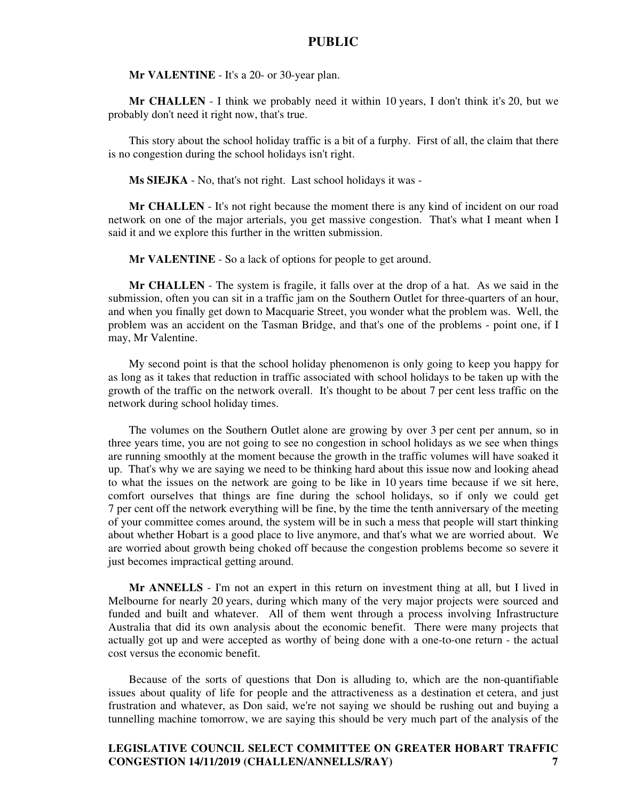**Mr VALENTINE** - It's a 20- or 30-year plan.

**Mr CHALLEN** - I think we probably need it within 10 years, I don't think it's 20, but we probably don't need it right now, that's true.

This story about the school holiday traffic is a bit of a furphy. First of all, the claim that there is no congestion during the school holidays isn't right.

**Ms SIEJKA** - No, that's not right. Last school holidays it was -

**Mr CHALLEN** - It's not right because the moment there is any kind of incident on our road network on one of the major arterials, you get massive congestion. That's what I meant when I said it and we explore this further in the written submission.

**Mr VALENTINE** - So a lack of options for people to get around.

**Mr CHALLEN** - The system is fragile, it falls over at the drop of a hat. As we said in the submission, often you can sit in a traffic jam on the Southern Outlet for three-quarters of an hour, and when you finally get down to Macquarie Street, you wonder what the problem was. Well, the problem was an accident on the Tasman Bridge, and that's one of the problems - point one, if I may, Mr Valentine.

My second point is that the school holiday phenomenon is only going to keep you happy for as long as it takes that reduction in traffic associated with school holidays to be taken up with the growth of the traffic on the network overall. It's thought to be about 7 per cent less traffic on the network during school holiday times.

The volumes on the Southern Outlet alone are growing by over 3 per cent per annum, so in three years time, you are not going to see no congestion in school holidays as we see when things are running smoothly at the moment because the growth in the traffic volumes will have soaked it up. That's why we are saying we need to be thinking hard about this issue now and looking ahead to what the issues on the network are going to be like in 10 years time because if we sit here, comfort ourselves that things are fine during the school holidays, so if only we could get 7 per cent off the network everything will be fine, by the time the tenth anniversary of the meeting of your committee comes around, the system will be in such a mess that people will start thinking about whether Hobart is a good place to live anymore, and that's what we are worried about. We are worried about growth being choked off because the congestion problems become so severe it just becomes impractical getting around.

**Mr ANNELLS** - I'm not an expert in this return on investment thing at all, but I lived in Melbourne for nearly 20 years, during which many of the very major projects were sourced and funded and built and whatever. All of them went through a process involving Infrastructure Australia that did its own analysis about the economic benefit. There were many projects that actually got up and were accepted as worthy of being done with a one-to-one return - the actual cost versus the economic benefit.

Because of the sorts of questions that Don is alluding to, which are the non-quantifiable issues about quality of life for people and the attractiveness as a destination et cetera, and just frustration and whatever, as Don said, we're not saying we should be rushing out and buying a tunnelling machine tomorrow, we are saying this should be very much part of the analysis of the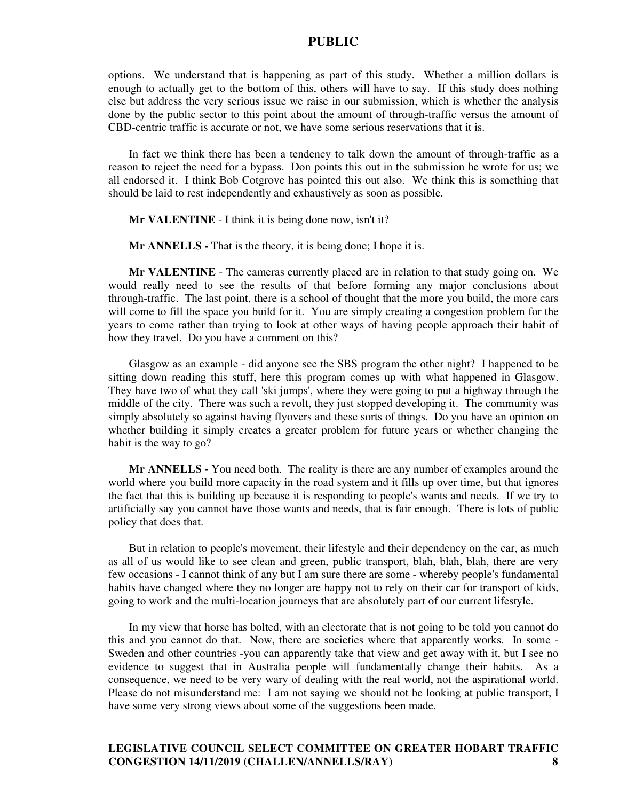options. We understand that is happening as part of this study. Whether a million dollars is enough to actually get to the bottom of this, others will have to say. If this study does nothing else but address the very serious issue we raise in our submission, which is whether the analysis done by the public sector to this point about the amount of through-traffic versus the amount of CBD-centric traffic is accurate or not, we have some serious reservations that it is.

In fact we think there has been a tendency to talk down the amount of through-traffic as a reason to reject the need for a bypass. Don points this out in the submission he wrote for us; we all endorsed it. I think Bob Cotgrove has pointed this out also. We think this is something that should be laid to rest independently and exhaustively as soon as possible.

**Mr VALENTINE** - I think it is being done now, isn't it?

**Mr ANNELLS -** That is the theory, it is being done; I hope it is.

**Mr VALENTINE** - The cameras currently placed are in relation to that study going on. We would really need to see the results of that before forming any major conclusions about through-traffic. The last point, there is a school of thought that the more you build, the more cars will come to fill the space you build for it. You are simply creating a congestion problem for the years to come rather than trying to look at other ways of having people approach their habit of how they travel. Do you have a comment on this?

Glasgow as an example - did anyone see the SBS program the other night? I happened to be sitting down reading this stuff, here this program comes up with what happened in Glasgow. They have two of what they call 'ski jumps', where they were going to put a highway through the middle of the city. There was such a revolt, they just stopped developing it. The community was simply absolutely so against having flyovers and these sorts of things. Do you have an opinion on whether building it simply creates a greater problem for future years or whether changing the habit is the way to go?

**Mr ANNELLS -** You need both. The reality is there are any number of examples around the world where you build more capacity in the road system and it fills up over time, but that ignores the fact that this is building up because it is responding to people's wants and needs. If we try to artificially say you cannot have those wants and needs, that is fair enough. There is lots of public policy that does that.

But in relation to people's movement, their lifestyle and their dependency on the car, as much as all of us would like to see clean and green, public transport, blah, blah, blah, there are very few occasions - I cannot think of any but I am sure there are some - whereby people's fundamental habits have changed where they no longer are happy not to rely on their car for transport of kids, going to work and the multi-location journeys that are absolutely part of our current lifestyle.

In my view that horse has bolted, with an electorate that is not going to be told you cannot do this and you cannot do that. Now, there are societies where that apparently works. In some - Sweden and other countries -you can apparently take that view and get away with it, but I see no evidence to suggest that in Australia people will fundamentally change their habits. As a consequence, we need to be very wary of dealing with the real world, not the aspirational world. Please do not misunderstand me: I am not saying we should not be looking at public transport, I have some very strong views about some of the suggestions been made.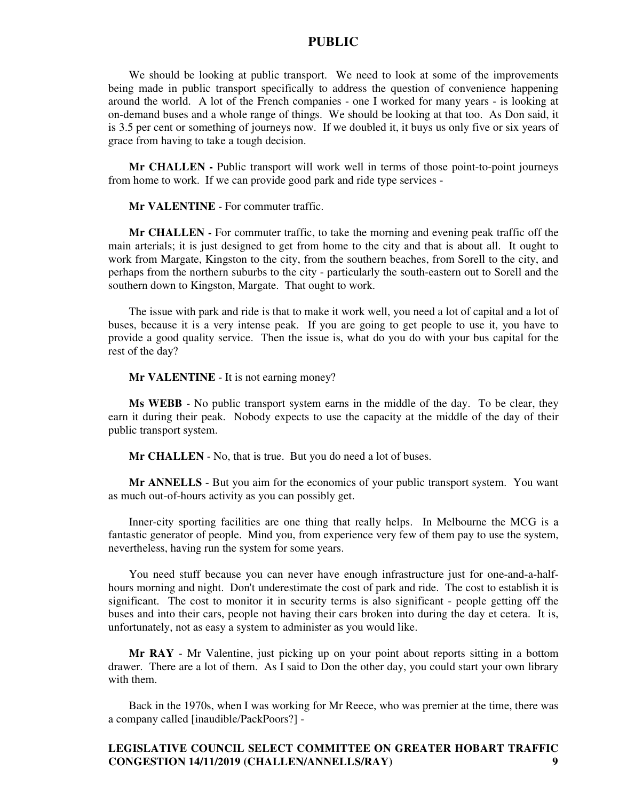We should be looking at public transport. We need to look at some of the improvements being made in public transport specifically to address the question of convenience happening around the world. A lot of the French companies - one I worked for many years - is looking at on-demand buses and a whole range of things. We should be looking at that too. As Don said, it is 3.5 per cent or something of journeys now. If we doubled it, it buys us only five or six years of grace from having to take a tough decision.

**Mr CHALLEN -** Public transport will work well in terms of those point-to-point journeys from home to work. If we can provide good park and ride type services -

**Mr VALENTINE** - For commuter traffic.

**Mr CHALLEN -** For commuter traffic, to take the morning and evening peak traffic off the main arterials; it is just designed to get from home to the city and that is about all. It ought to work from Margate, Kingston to the city, from the southern beaches, from Sorell to the city, and perhaps from the northern suburbs to the city - particularly the south-eastern out to Sorell and the southern down to Kingston, Margate. That ought to work.

The issue with park and ride is that to make it work well, you need a lot of capital and a lot of buses, because it is a very intense peak. If you are going to get people to use it, you have to provide a good quality service. Then the issue is, what do you do with your bus capital for the rest of the day?

**Mr VALENTINE** - It is not earning money?

**Ms WEBB** - No public transport system earns in the middle of the day. To be clear, they earn it during their peak. Nobody expects to use the capacity at the middle of the day of their public transport system.

**Mr CHALLEN** - No, that is true. But you do need a lot of buses.

**Mr ANNELLS** - But you aim for the economics of your public transport system. You want as much out-of-hours activity as you can possibly get.

Inner-city sporting facilities are one thing that really helps. In Melbourne the MCG is a fantastic generator of people. Mind you, from experience very few of them pay to use the system, nevertheless, having run the system for some years.

You need stuff because you can never have enough infrastructure just for one-and-a-halfhours morning and night. Don't underestimate the cost of park and ride. The cost to establish it is significant. The cost to monitor it in security terms is also significant - people getting off the buses and into their cars, people not having their cars broken into during the day et cetera. It is, unfortunately, not as easy a system to administer as you would like.

**Mr RAY** - Mr Valentine, just picking up on your point about reports sitting in a bottom drawer. There are a lot of them. As I said to Don the other day, you could start your own library with them.

Back in the 1970s, when I was working for Mr Reece, who was premier at the time, there was a company called [inaudible/PackPoors?] -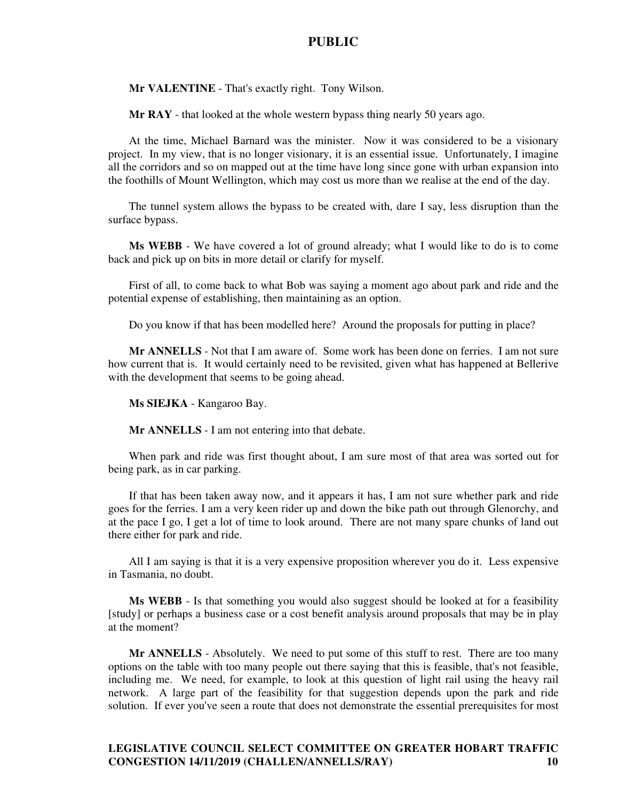**Mr VALENTINE** - That's exactly right. Tony Wilson.

**Mr RAY** - that looked at the whole western bypass thing nearly 50 years ago.

At the time, Michael Barnard was the minister. Now it was considered to be a visionary project. In my view, that is no longer visionary, it is an essential issue. Unfortunately, I imagine all the corridors and so on mapped out at the time have long since gone with urban expansion into the foothills of Mount Wellington, which may cost us more than we realise at the end of the day.

The tunnel system allows the bypass to be created with, dare I say, less disruption than the surface bypass.

**Ms WEBB** - We have covered a lot of ground already; what I would like to do is to come back and pick up on bits in more detail or clarify for myself.

First of all, to come back to what Bob was saying a moment ago about park and ride and the potential expense of establishing, then maintaining as an option.

Do you know if that has been modelled here? Around the proposals for putting in place?

**Mr ANNELLS** - Not that I am aware of. Some work has been done on ferries. I am not sure how current that is. It would certainly need to be revisited, given what has happened at Bellerive with the development that seems to be going ahead.

**Ms SIEJKA** - Kangaroo Bay.

**Mr ANNELLS** - I am not entering into that debate.

When park and ride was first thought about, I am sure most of that area was sorted out for being park, as in car parking.

If that has been taken away now, and it appears it has, I am not sure whether park and ride goes for the ferries. I am a very keen rider up and down the bike path out through Glenorchy, and at the pace I go, I get a lot of time to look around. There are not many spare chunks of land out there either for park and ride.

All I am saying is that it is a very expensive proposition wherever you do it. Less expensive in Tasmania, no doubt.

**Ms WEBB** - Is that something you would also suggest should be looked at for a feasibility [study] or perhaps a business case or a cost benefit analysis around proposals that may be in play at the moment?

**Mr ANNELLS** - Absolutely. We need to put some of this stuff to rest. There are too many options on the table with too many people out there saying that this is feasible, that's not feasible, including me. We need, for example, to look at this question of light rail using the heavy rail network. A large part of the feasibility for that suggestion depends upon the park and ride solution. If ever you've seen a route that does not demonstrate the essential prerequisites for most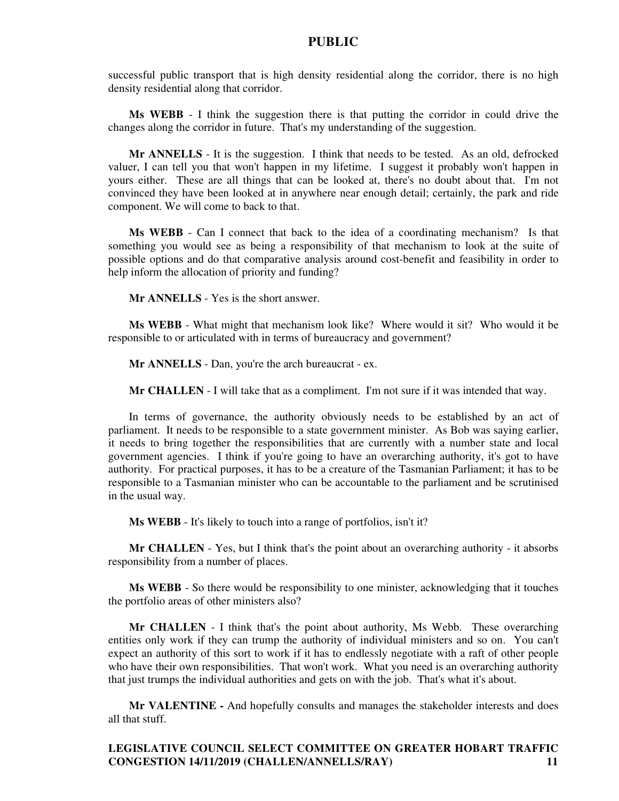successful public transport that is high density residential along the corridor, there is no high density residential along that corridor.

**Ms WEBB** - I think the suggestion there is that putting the corridor in could drive the changes along the corridor in future. That's my understanding of the suggestion.

**Mr ANNELLS** - It is the suggestion. I think that needs to be tested. As an old, defrocked valuer, I can tell you that won't happen in my lifetime. I suggest it probably won't happen in yours either. These are all things that can be looked at, there's no doubt about that. I'm not convinced they have been looked at in anywhere near enough detail; certainly, the park and ride component. We will come to back to that.

**Ms WEBB** - Can I connect that back to the idea of a coordinating mechanism? Is that something you would see as being a responsibility of that mechanism to look at the suite of possible options and do that comparative analysis around cost-benefit and feasibility in order to help inform the allocation of priority and funding?

**Mr ANNELLS** - Yes is the short answer.

**Ms WEBB** - What might that mechanism look like? Where would it sit? Who would it be responsible to or articulated with in terms of bureaucracy and government?

**Mr ANNELLS** - Dan, you're the arch bureaucrat - ex.

**Mr CHALLEN** - I will take that as a compliment. I'm not sure if it was intended that way.

In terms of governance, the authority obviously needs to be established by an act of parliament. It needs to be responsible to a state government minister. As Bob was saying earlier, it needs to bring together the responsibilities that are currently with a number state and local government agencies. I think if you're going to have an overarching authority, it's got to have authority. For practical purposes, it has to be a creature of the Tasmanian Parliament; it has to be responsible to a Tasmanian minister who can be accountable to the parliament and be scrutinised in the usual way.

**Ms WEBB** - It's likely to touch into a range of portfolios, isn't it?

**Mr CHALLEN** - Yes, but I think that's the point about an overarching authority - it absorbs responsibility from a number of places.

**Ms WEBB** - So there would be responsibility to one minister, acknowledging that it touches the portfolio areas of other ministers also?

**Mr CHALLEN** - I think that's the point about authority, Ms Webb. These overarching entities only work if they can trump the authority of individual ministers and so on. You can't expect an authority of this sort to work if it has to endlessly negotiate with a raft of other people who have their own responsibilities. That won't work. What you need is an overarching authority that just trumps the individual authorities and gets on with the job. That's what it's about.

**Mr VALENTINE -** And hopefully consults and manages the stakeholder interests and does all that stuff.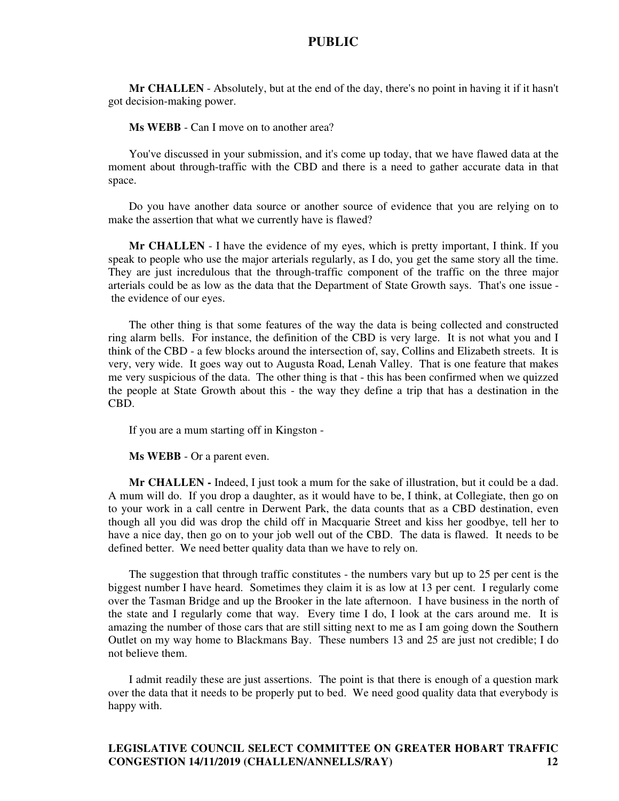**Mr CHALLEN** - Absolutely, but at the end of the day, there's no point in having it if it hasn't got decision-making power.

**Ms WEBB** - Can I move on to another area?

You've discussed in your submission, and it's come up today, that we have flawed data at the moment about through-traffic with the CBD and there is a need to gather accurate data in that space.

Do you have another data source or another source of evidence that you are relying on to make the assertion that what we currently have is flawed?

**Mr CHALLEN** - I have the evidence of my eyes, which is pretty important, I think. If you speak to people who use the major arterials regularly, as I do, you get the same story all the time. They are just incredulous that the through-traffic component of the traffic on the three major arterials could be as low as the data that the Department of State Growth says. That's one issue the evidence of our eyes.

The other thing is that some features of the way the data is being collected and constructed ring alarm bells. For instance, the definition of the CBD is very large. It is not what you and I think of the CBD - a few blocks around the intersection of, say, Collins and Elizabeth streets. It is very, very wide. It goes way out to Augusta Road, Lenah Valley. That is one feature that makes me very suspicious of the data. The other thing is that - this has been confirmed when we quizzed the people at State Growth about this - the way they define a trip that has a destination in the CBD.

If you are a mum starting off in Kingston -

**Ms WEBB** - Or a parent even.

**Mr CHALLEN -** Indeed, I just took a mum for the sake of illustration, but it could be a dad. A mum will do. If you drop a daughter, as it would have to be, I think, at Collegiate, then go on to your work in a call centre in Derwent Park, the data counts that as a CBD destination, even though all you did was drop the child off in Macquarie Street and kiss her goodbye, tell her to have a nice day, then go on to your job well out of the CBD. The data is flawed. It needs to be defined better. We need better quality data than we have to rely on.

The suggestion that through traffic constitutes - the numbers vary but up to 25 per cent is the biggest number I have heard. Sometimes they claim it is as low at 13 per cent. I regularly come over the Tasman Bridge and up the Brooker in the late afternoon. I have business in the north of the state and I regularly come that way. Every time I do, I look at the cars around me. It is amazing the number of those cars that are still sitting next to me as I am going down the Southern Outlet on my way home to Blackmans Bay. These numbers 13 and 25 are just not credible; I do not believe them.

I admit readily these are just assertions. The point is that there is enough of a question mark over the data that it needs to be properly put to bed. We need good quality data that everybody is happy with.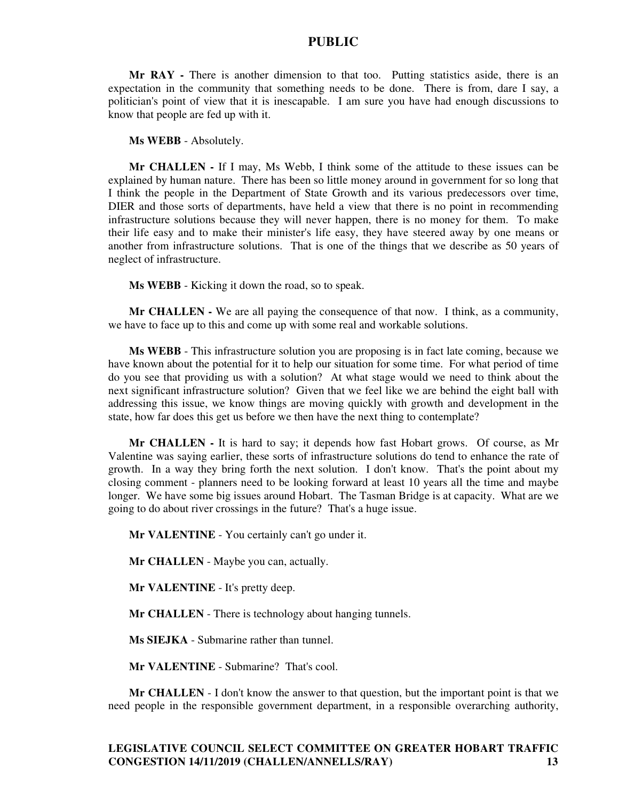**Mr RAY -** There is another dimension to that too. Putting statistics aside, there is an expectation in the community that something needs to be done. There is from, dare I say, a politician's point of view that it is inescapable. I am sure you have had enough discussions to know that people are fed up with it.

**Ms WEBB** - Absolutely.

**Mr CHALLEN -** If I may, Ms Webb, I think some of the attitude to these issues can be explained by human nature. There has been so little money around in government for so long that I think the people in the Department of State Growth and its various predecessors over time, DIER and those sorts of departments, have held a view that there is no point in recommending infrastructure solutions because they will never happen, there is no money for them. To make their life easy and to make their minister's life easy, they have steered away by one means or another from infrastructure solutions. That is one of the things that we describe as 50 years of neglect of infrastructure.

**Ms WEBB** - Kicking it down the road, so to speak.

**Mr CHALLEN -** We are all paying the consequence of that now. I think, as a community, we have to face up to this and come up with some real and workable solutions.

**Ms WEBB** - This infrastructure solution you are proposing is in fact late coming, because we have known about the potential for it to help our situation for some time. For what period of time do you see that providing us with a solution? At what stage would we need to think about the next significant infrastructure solution? Given that we feel like we are behind the eight ball with addressing this issue, we know things are moving quickly with growth and development in the state, how far does this get us before we then have the next thing to contemplate?

**Mr CHALLEN -** It is hard to say; it depends how fast Hobart grows. Of course, as Mr Valentine was saying earlier, these sorts of infrastructure solutions do tend to enhance the rate of growth. In a way they bring forth the next solution. I don't know. That's the point about my closing comment - planners need to be looking forward at least 10 years all the time and maybe longer. We have some big issues around Hobart. The Tasman Bridge is at capacity. What are we going to do about river crossings in the future? That's a huge issue.

**Mr VALENTINE** - You certainly can't go under it.

**Mr CHALLEN** - Maybe you can, actually.

**Mr VALENTINE** - It's pretty deep.

**Mr CHALLEN** - There is technology about hanging tunnels.

**Ms SIEJKA** - Submarine rather than tunnel.

**Mr VALENTINE** - Submarine? That's cool.

**Mr CHALLEN** - I don't know the answer to that question, but the important point is that we need people in the responsible government department, in a responsible overarching authority,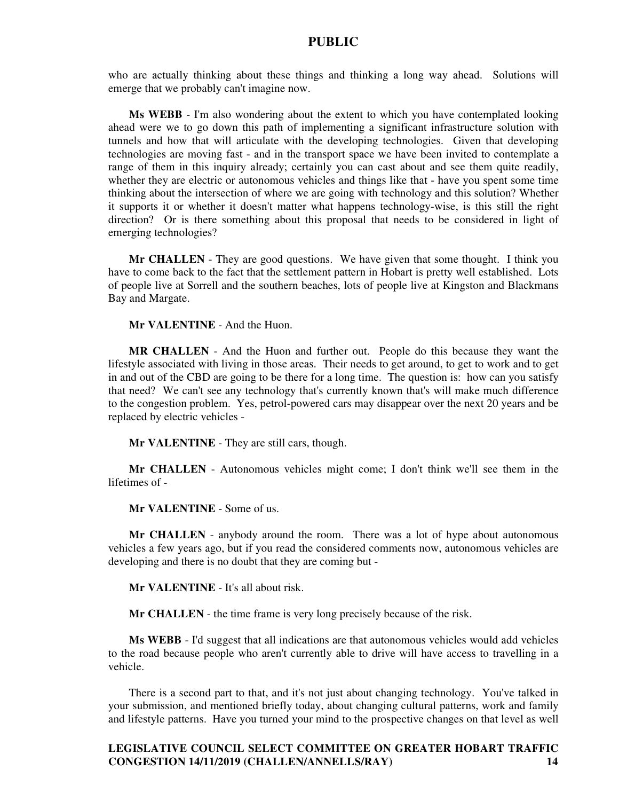who are actually thinking about these things and thinking a long way ahead. Solutions will emerge that we probably can't imagine now.

**Ms WEBB** - I'm also wondering about the extent to which you have contemplated looking ahead were we to go down this path of implementing a significant infrastructure solution with tunnels and how that will articulate with the developing technologies. Given that developing technologies are moving fast - and in the transport space we have been invited to contemplate a range of them in this inquiry already; certainly you can cast about and see them quite readily, whether they are electric or autonomous vehicles and things like that - have you spent some time thinking about the intersection of where we are going with technology and this solution? Whether it supports it or whether it doesn't matter what happens technology-wise, is this still the right direction? Or is there something about this proposal that needs to be considered in light of emerging technologies?

**Mr CHALLEN** - They are good questions. We have given that some thought. I think you have to come back to the fact that the settlement pattern in Hobart is pretty well established. Lots of people live at Sorrell and the southern beaches, lots of people live at Kingston and Blackmans Bay and Margate.

**Mr VALENTINE** - And the Huon.

**MR CHALLEN** - And the Huon and further out. People do this because they want the lifestyle associated with living in those areas. Their needs to get around, to get to work and to get in and out of the CBD are going to be there for a long time. The question is: how can you satisfy that need? We can't see any technology that's currently known that's will make much difference to the congestion problem. Yes, petrol-powered cars may disappear over the next 20 years and be replaced by electric vehicles -

**Mr VALENTINE** - They are still cars, though.

**Mr CHALLEN** - Autonomous vehicles might come; I don't think we'll see them in the lifetimes of -

**Mr VALENTINE** - Some of us.

**Mr CHALLEN** - anybody around the room. There was a lot of hype about autonomous vehicles a few years ago, but if you read the considered comments now, autonomous vehicles are developing and there is no doubt that they are coming but -

**Mr VALENTINE** - It's all about risk.

**Mr CHALLEN** - the time frame is very long precisely because of the risk.

**Ms WEBB** - I'd suggest that all indications are that autonomous vehicles would add vehicles to the road because people who aren't currently able to drive will have access to travelling in a vehicle.

There is a second part to that, and it's not just about changing technology. You've talked in your submission, and mentioned briefly today, about changing cultural patterns, work and family and lifestyle patterns. Have you turned your mind to the prospective changes on that level as well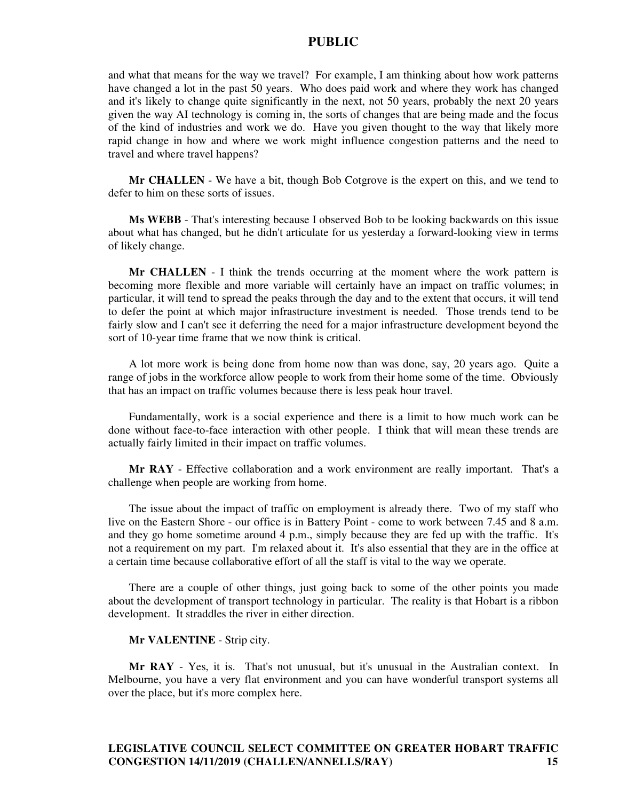and what that means for the way we travel? For example, I am thinking about how work patterns have changed a lot in the past 50 years. Who does paid work and where they work has changed and it's likely to change quite significantly in the next, not 50 years, probably the next 20 years given the way AI technology is coming in, the sorts of changes that are being made and the focus of the kind of industries and work we do. Have you given thought to the way that likely more rapid change in how and where we work might influence congestion patterns and the need to travel and where travel happens?

**Mr CHALLEN** - We have a bit, though Bob Cotgrove is the expert on this, and we tend to defer to him on these sorts of issues.

**Ms WEBB** - That's interesting because I observed Bob to be looking backwards on this issue about what has changed, but he didn't articulate for us yesterday a forward-looking view in terms of likely change.

**Mr CHALLEN** - I think the trends occurring at the moment where the work pattern is becoming more flexible and more variable will certainly have an impact on traffic volumes; in particular, it will tend to spread the peaks through the day and to the extent that occurs, it will tend to defer the point at which major infrastructure investment is needed. Those trends tend to be fairly slow and I can't see it deferring the need for a major infrastructure development beyond the sort of 10-year time frame that we now think is critical.

A lot more work is being done from home now than was done, say, 20 years ago. Quite a range of jobs in the workforce allow people to work from their home some of the time. Obviously that has an impact on traffic volumes because there is less peak hour travel.

Fundamentally, work is a social experience and there is a limit to how much work can be done without face-to-face interaction with other people. I think that will mean these trends are actually fairly limited in their impact on traffic volumes.

**Mr RAY** - Effective collaboration and a work environment are really important. That's a challenge when people are working from home.

The issue about the impact of traffic on employment is already there. Two of my staff who live on the Eastern Shore - our office is in Battery Point - come to work between 7.45 and 8 a.m. and they go home sometime around 4 p.m., simply because they are fed up with the traffic. It's not a requirement on my part. I'm relaxed about it. It's also essential that they are in the office at a certain time because collaborative effort of all the staff is vital to the way we operate.

There are a couple of other things, just going back to some of the other points you made about the development of transport technology in particular. The reality is that Hobart is a ribbon development. It straddles the river in either direction.

**Mr VALENTINE** - Strip city.

**Mr RAY** - Yes, it is. That's not unusual, but it's unusual in the Australian context. In Melbourne, you have a very flat environment and you can have wonderful transport systems all over the place, but it's more complex here.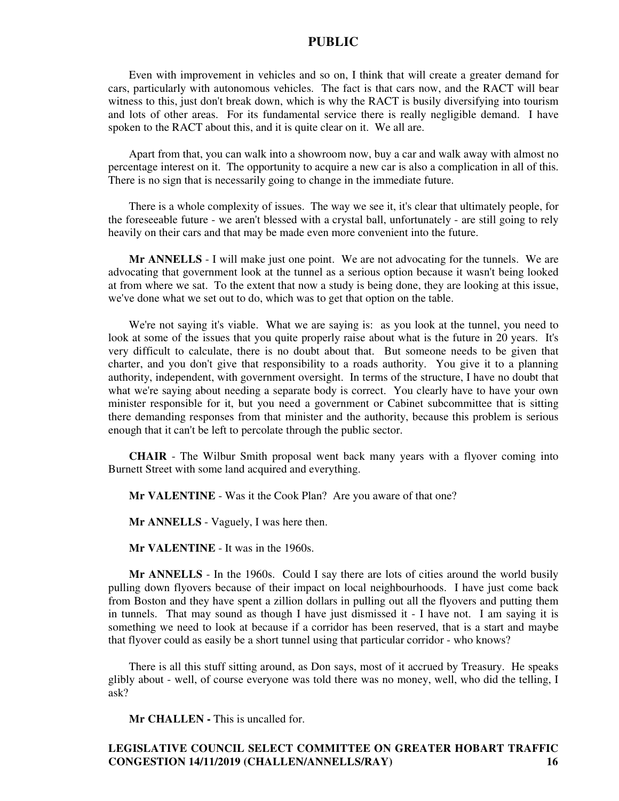Even with improvement in vehicles and so on, I think that will create a greater demand for cars, particularly with autonomous vehicles. The fact is that cars now, and the RACT will bear witness to this, just don't break down, which is why the RACT is busily diversifying into tourism and lots of other areas. For its fundamental service there is really negligible demand. I have spoken to the RACT about this, and it is quite clear on it. We all are.

Apart from that, you can walk into a showroom now, buy a car and walk away with almost no percentage interest on it. The opportunity to acquire a new car is also a complication in all of this. There is no sign that is necessarily going to change in the immediate future.

There is a whole complexity of issues. The way we see it, it's clear that ultimately people, for the foreseeable future - we aren't blessed with a crystal ball, unfortunately - are still going to rely heavily on their cars and that may be made even more convenient into the future.

**Mr ANNELLS** - I will make just one point. We are not advocating for the tunnels. We are advocating that government look at the tunnel as a serious option because it wasn't being looked at from where we sat. To the extent that now a study is being done, they are looking at this issue, we've done what we set out to do, which was to get that option on the table.

We're not saying it's viable. What we are saying is: as you look at the tunnel, you need to look at some of the issues that you quite properly raise about what is the future in 20 years. It's very difficult to calculate, there is no doubt about that. But someone needs to be given that charter, and you don't give that responsibility to a roads authority. You give it to a planning authority, independent, with government oversight. In terms of the structure, I have no doubt that what we're saying about needing a separate body is correct. You clearly have to have your own minister responsible for it, but you need a government or Cabinet subcommittee that is sitting there demanding responses from that minister and the authority, because this problem is serious enough that it can't be left to percolate through the public sector.

**CHAIR** - The Wilbur Smith proposal went back many years with a flyover coming into Burnett Street with some land acquired and everything.

**Mr VALENTINE** - Was it the Cook Plan? Are you aware of that one?

**Mr ANNELLS** - Vaguely, I was here then.

**Mr VALENTINE** - It was in the 1960s.

**Mr ANNELLS** - In the 1960s. Could I say there are lots of cities around the world busily pulling down flyovers because of their impact on local neighbourhoods. I have just come back from Boston and they have spent a zillion dollars in pulling out all the flyovers and putting them in tunnels. That may sound as though I have just dismissed it - I have not. I am saying it is something we need to look at because if a corridor has been reserved, that is a start and maybe that flyover could as easily be a short tunnel using that particular corridor - who knows?

There is all this stuff sitting around, as Don says, most of it accrued by Treasury. He speaks glibly about - well, of course everyone was told there was no money, well, who did the telling, I ask?

**Mr CHALLEN - This is uncalled for.**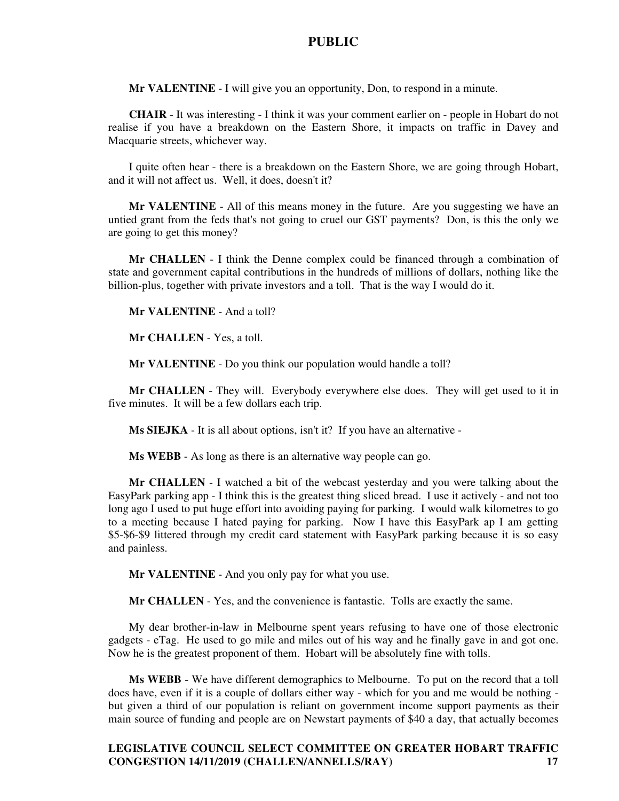**Mr VALENTINE** - I will give you an opportunity, Don, to respond in a minute.

**CHAIR** - It was interesting - I think it was your comment earlier on - people in Hobart do not realise if you have a breakdown on the Eastern Shore, it impacts on traffic in Davey and Macquarie streets, whichever way.

I quite often hear - there is a breakdown on the Eastern Shore, we are going through Hobart, and it will not affect us. Well, it does, doesn't it?

**Mr VALENTINE** - All of this means money in the future. Are you suggesting we have an untied grant from the feds that's not going to cruel our GST payments? Don, is this the only we are going to get this money?

**Mr CHALLEN** - I think the Denne complex could be financed through a combination of state and government capital contributions in the hundreds of millions of dollars, nothing like the billion-plus, together with private investors and a toll. That is the way I would do it.

**Mr VALENTINE** - And a toll?

**Mr CHALLEN** - Yes, a toll.

**Mr VALENTINE** - Do you think our population would handle a toll?

**Mr CHALLEN** - They will. Everybody everywhere else does. They will get used to it in five minutes. It will be a few dollars each trip.

**Ms SIEJKA** - It is all about options, isn't it? If you have an alternative -

**Ms WEBB** - As long as there is an alternative way people can go.

**Mr CHALLEN** - I watched a bit of the webcast yesterday and you were talking about the EasyPark parking app - I think this is the greatest thing sliced bread. I use it actively - and not too long ago I used to put huge effort into avoiding paying for parking. I would walk kilometres to go to a meeting because I hated paying for parking. Now I have this EasyPark ap I am getting \$5-\$6-\$9 littered through my credit card statement with EasyPark parking because it is so easy and painless.

**Mr VALENTINE** - And you only pay for what you use.

**Mr CHALLEN** - Yes, and the convenience is fantastic. Tolls are exactly the same.

My dear brother-in-law in Melbourne spent years refusing to have one of those electronic gadgets - eTag. He used to go mile and miles out of his way and he finally gave in and got one. Now he is the greatest proponent of them. Hobart will be absolutely fine with tolls.

**Ms WEBB** - We have different demographics to Melbourne. To put on the record that a toll does have, even if it is a couple of dollars either way - which for you and me would be nothing but given a third of our population is reliant on government income support payments as their main source of funding and people are on Newstart payments of \$40 a day, that actually becomes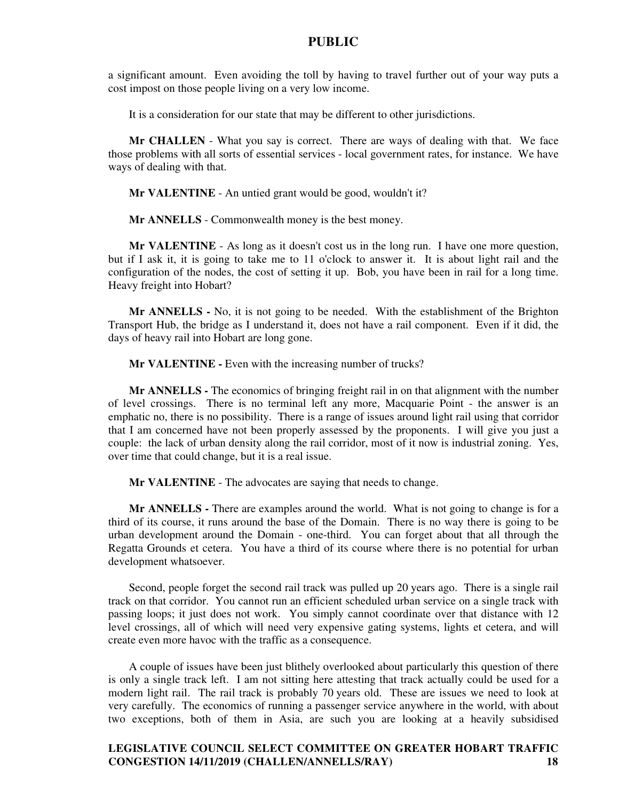a significant amount. Even avoiding the toll by having to travel further out of your way puts a cost impost on those people living on a very low income.

It is a consideration for our state that may be different to other jurisdictions.

**Mr CHALLEN** - What you say is correct. There are ways of dealing with that. We face those problems with all sorts of essential services - local government rates, for instance. We have ways of dealing with that.

**Mr VALENTINE** - An untied grant would be good, wouldn't it?

**Mr ANNELLS** - Commonwealth money is the best money.

**Mr VALENTINE** - As long as it doesn't cost us in the long run. I have one more question, but if I ask it, it is going to take me to 11 o'clock to answer it. It is about light rail and the configuration of the nodes, the cost of setting it up. Bob, you have been in rail for a long time. Heavy freight into Hobart?

**Mr ANNELLS -** No, it is not going to be needed. With the establishment of the Brighton Transport Hub, the bridge as I understand it, does not have a rail component. Even if it did, the days of heavy rail into Hobart are long gone.

**Mr VALENTINE - Even with the increasing number of trucks?** 

**Mr ANNELLS -** The economics of bringing freight rail in on that alignment with the number of level crossings. There is no terminal left any more, Macquarie Point - the answer is an emphatic no, there is no possibility. There is a range of issues around light rail using that corridor that I am concerned have not been properly assessed by the proponents. I will give you just a couple: the lack of urban density along the rail corridor, most of it now is industrial zoning. Yes, over time that could change, but it is a real issue.

**Mr VALENTINE** - The advocates are saying that needs to change.

**Mr ANNELLS -** There are examples around the world. What is not going to change is for a third of its course, it runs around the base of the Domain. There is no way there is going to be urban development around the Domain - one-third. You can forget about that all through the Regatta Grounds et cetera. You have a third of its course where there is no potential for urban development whatsoever.

Second, people forget the second rail track was pulled up 20 years ago. There is a single rail track on that corridor. You cannot run an efficient scheduled urban service on a single track with passing loops; it just does not work. You simply cannot coordinate over that distance with 12 level crossings, all of which will need very expensive gating systems, lights et cetera, and will create even more havoc with the traffic as a consequence.

A couple of issues have been just blithely overlooked about particularly this question of there is only a single track left. I am not sitting here attesting that track actually could be used for a modern light rail. The rail track is probably 70 years old. These are issues we need to look at very carefully. The economics of running a passenger service anywhere in the world, with about two exceptions, both of them in Asia, are such you are looking at a heavily subsidised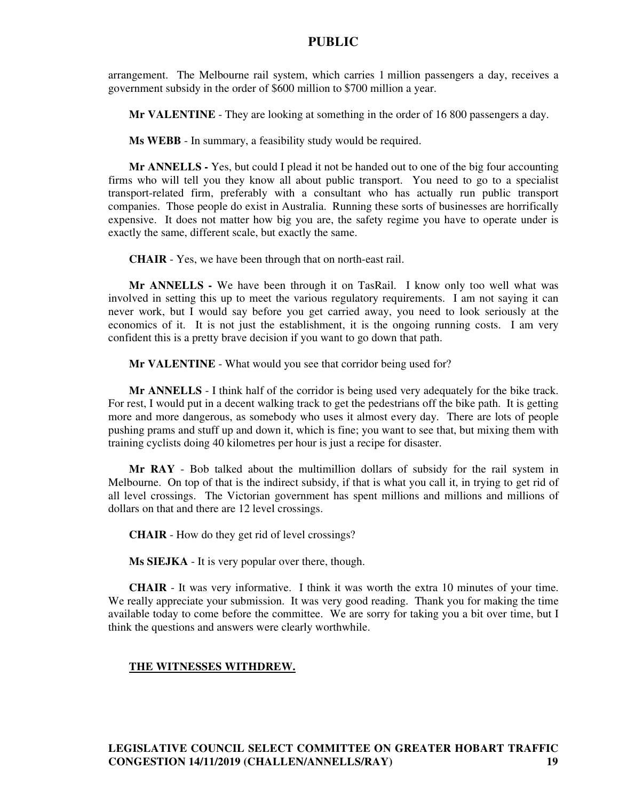arrangement. The Melbourne rail system, which carries 1 million passengers a day, receives a government subsidy in the order of \$600 million to \$700 million a year.

**Mr VALENTINE** - They are looking at something in the order of 16 800 passengers a day.

**Ms WEBB** - In summary, a feasibility study would be required.

**Mr ANNELLS -** Yes, but could I plead it not be handed out to one of the big four accounting firms who will tell you they know all about public transport. You need to go to a specialist transport-related firm, preferably with a consultant who has actually run public transport companies. Those people do exist in Australia. Running these sorts of businesses are horrifically expensive. It does not matter how big you are, the safety regime you have to operate under is exactly the same, different scale, but exactly the same.

**CHAIR** - Yes, we have been through that on north-east rail.

**Mr ANNELLS -** We have been through it on TasRail. I know only too well what was involved in setting this up to meet the various regulatory requirements. I am not saying it can never work, but I would say before you get carried away, you need to look seriously at the economics of it. It is not just the establishment, it is the ongoing running costs. I am very confident this is a pretty brave decision if you want to go down that path.

**Mr VALENTINE** - What would you see that corridor being used for?

**Mr ANNELLS** - I think half of the corridor is being used very adequately for the bike track. For rest, I would put in a decent walking track to get the pedestrians off the bike path. It is getting more and more dangerous, as somebody who uses it almost every day. There are lots of people pushing prams and stuff up and down it, which is fine; you want to see that, but mixing them with training cyclists doing 40 kilometres per hour is just a recipe for disaster.

**Mr RAY** - Bob talked about the multimillion dollars of subsidy for the rail system in Melbourne. On top of that is the indirect subsidy, if that is what you call it, in trying to get rid of all level crossings. The Victorian government has spent millions and millions and millions of dollars on that and there are 12 level crossings.

**CHAIR** - How do they get rid of level crossings?

**Ms SIEJKA** - It is very popular over there, though.

**CHAIR** - It was very informative. I think it was worth the extra 10 minutes of your time. We really appreciate your submission. It was very good reading. Thank you for making the time available today to come before the committee. We are sorry for taking you a bit over time, but I think the questions and answers were clearly worthwhile.

#### **THE WITNESSES WITHDREW.**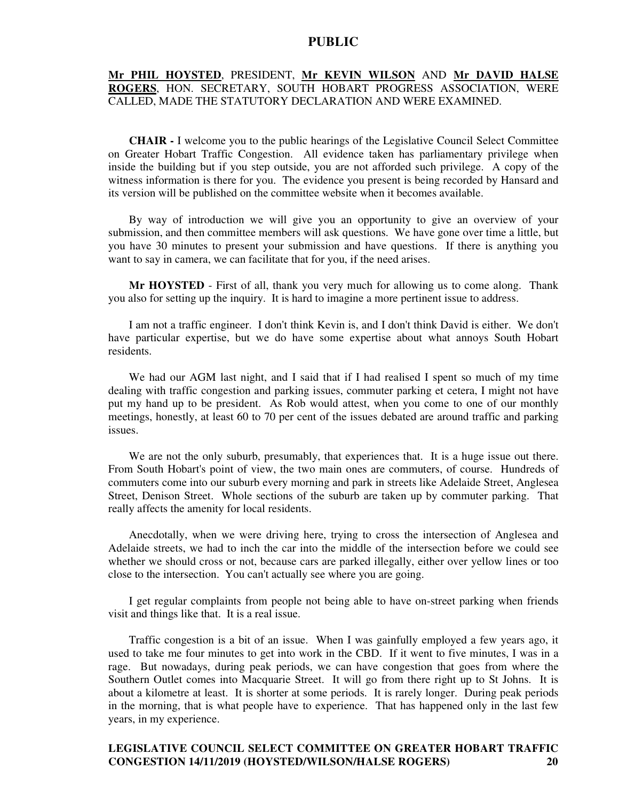#### **Mr PHIL HOYSTED**, PRESIDENT, **Mr KEVIN WILSON** AND **Mr DAVID HALSE ROGERS**, HON. SECRETARY, SOUTH HOBART PROGRESS ASSOCIATION, WERE CALLED, MADE THE STATUTORY DECLARATION AND WERE EXAMINED.

**CHAIR -** I welcome you to the public hearings of the Legislative Council Select Committee on Greater Hobart Traffic Congestion. All evidence taken has parliamentary privilege when inside the building but if you step outside, you are not afforded such privilege. A copy of the witness information is there for you. The evidence you present is being recorded by Hansard and its version will be published on the committee website when it becomes available.

By way of introduction we will give you an opportunity to give an overview of your submission, and then committee members will ask questions. We have gone over time a little, but you have 30 minutes to present your submission and have questions. If there is anything you want to say in camera, we can facilitate that for you, if the need arises.

**Mr HOYSTED** - First of all, thank you very much for allowing us to come along. Thank you also for setting up the inquiry. It is hard to imagine a more pertinent issue to address.

I am not a traffic engineer. I don't think Kevin is, and I don't think David is either. We don't have particular expertise, but we do have some expertise about what annoys South Hobart residents.

We had our AGM last night, and I said that if I had realised I spent so much of my time dealing with traffic congestion and parking issues, commuter parking et cetera, I might not have put my hand up to be president. As Rob would attest, when you come to one of our monthly meetings, honestly, at least 60 to 70 per cent of the issues debated are around traffic and parking issues.

We are not the only suburb, presumably, that experiences that. It is a huge issue out there. From South Hobart's point of view, the two main ones are commuters, of course. Hundreds of commuters come into our suburb every morning and park in streets like Adelaide Street, Anglesea Street, Denison Street. Whole sections of the suburb are taken up by commuter parking. That really affects the amenity for local residents.

Anecdotally, when we were driving here, trying to cross the intersection of Anglesea and Adelaide streets, we had to inch the car into the middle of the intersection before we could see whether we should cross or not, because cars are parked illegally, either over yellow lines or too close to the intersection. You can't actually see where you are going.

I get regular complaints from people not being able to have on-street parking when friends visit and things like that. It is a real issue.

Traffic congestion is a bit of an issue. When I was gainfully employed a few years ago, it used to take me four minutes to get into work in the CBD. If it went to five minutes, I was in a rage. But nowadays, during peak periods, we can have congestion that goes from where the Southern Outlet comes into Macquarie Street. It will go from there right up to St Johns. It is about a kilometre at least. It is shorter at some periods. It is rarely longer. During peak periods in the morning, that is what people have to experience. That has happened only in the last few years, in my experience.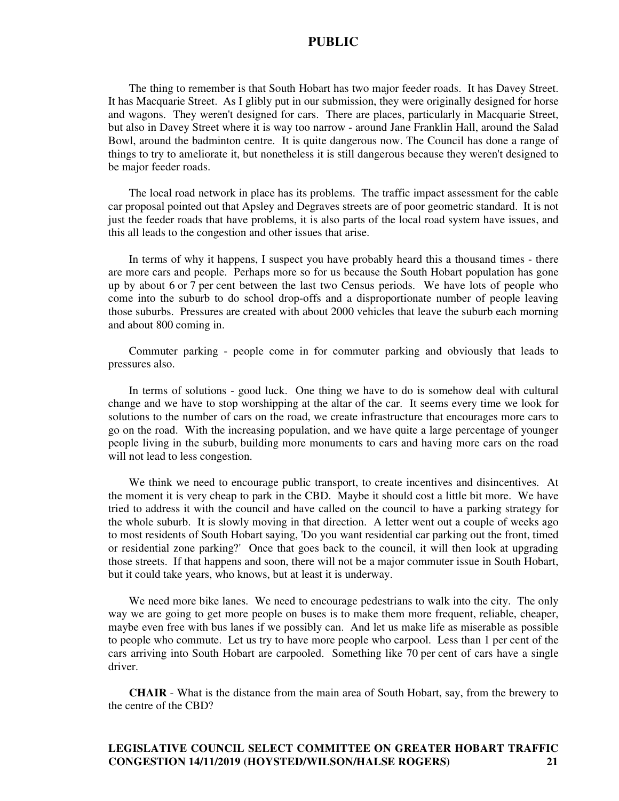The thing to remember is that South Hobart has two major feeder roads. It has Davey Street. It has Macquarie Street. As I glibly put in our submission, they were originally designed for horse and wagons. They weren't designed for cars. There are places, particularly in Macquarie Street, but also in Davey Street where it is way too narrow - around Jane Franklin Hall, around the Salad Bowl, around the badminton centre. It is quite dangerous now. The Council has done a range of things to try to ameliorate it, but nonetheless it is still dangerous because they weren't designed to be major feeder roads.

The local road network in place has its problems. The traffic impact assessment for the cable car proposal pointed out that Apsley and Degraves streets are of poor geometric standard. It is not just the feeder roads that have problems, it is also parts of the local road system have issues, and this all leads to the congestion and other issues that arise.

In terms of why it happens, I suspect you have probably heard this a thousand times - there are more cars and people. Perhaps more so for us because the South Hobart population has gone up by about 6 or 7 per cent between the last two Census periods. We have lots of people who come into the suburb to do school drop-offs and a disproportionate number of people leaving those suburbs. Pressures are created with about 2000 vehicles that leave the suburb each morning and about 800 coming in.

Commuter parking - people come in for commuter parking and obviously that leads to pressures also.

In terms of solutions - good luck. One thing we have to do is somehow deal with cultural change and we have to stop worshipping at the altar of the car. It seems every time we look for solutions to the number of cars on the road, we create infrastructure that encourages more cars to go on the road. With the increasing population, and we have quite a large percentage of younger people living in the suburb, building more monuments to cars and having more cars on the road will not lead to less congestion.

We think we need to encourage public transport, to create incentives and disincentives. At the moment it is very cheap to park in the CBD. Maybe it should cost a little bit more. We have tried to address it with the council and have called on the council to have a parking strategy for the whole suburb. It is slowly moving in that direction. A letter went out a couple of weeks ago to most residents of South Hobart saying, 'Do you want residential car parking out the front, timed or residential zone parking?' Once that goes back to the council, it will then look at upgrading those streets. If that happens and soon, there will not be a major commuter issue in South Hobart, but it could take years, who knows, but at least it is underway.

We need more bike lanes. We need to encourage pedestrians to walk into the city. The only way we are going to get more people on buses is to make them more frequent, reliable, cheaper, maybe even free with bus lanes if we possibly can. And let us make life as miserable as possible to people who commute. Let us try to have more people who carpool. Less than 1 per cent of the cars arriving into South Hobart are carpooled. Something like 70 per cent of cars have a single driver.

**CHAIR** - What is the distance from the main area of South Hobart, say, from the brewery to the centre of the CBD?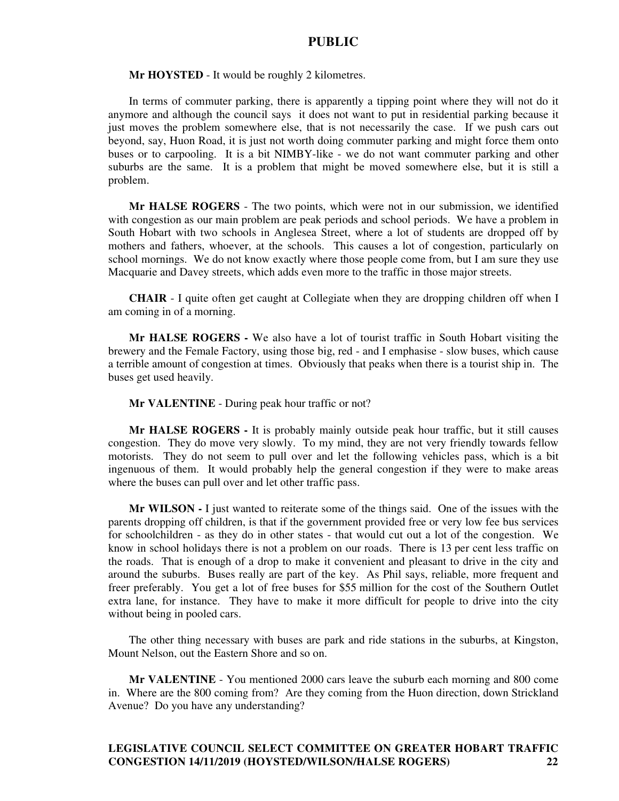**Mr HOYSTED** - It would be roughly 2 kilometres.

In terms of commuter parking, there is apparently a tipping point where they will not do it anymore and although the council says it does not want to put in residential parking because it just moves the problem somewhere else, that is not necessarily the case. If we push cars out beyond, say, Huon Road, it is just not worth doing commuter parking and might force them onto buses or to carpooling. It is a bit NIMBY-like - we do not want commuter parking and other suburbs are the same. It is a problem that might be moved somewhere else, but it is still a problem.

**Mr HALSE ROGERS** - The two points, which were not in our submission, we identified with congestion as our main problem are peak periods and school periods. We have a problem in South Hobart with two schools in Anglesea Street, where a lot of students are dropped off by mothers and fathers, whoever, at the schools. This causes a lot of congestion, particularly on school mornings. We do not know exactly where those people come from, but I am sure they use Macquarie and Davey streets, which adds even more to the traffic in those major streets.

**CHAIR** - I quite often get caught at Collegiate when they are dropping children off when I am coming in of a morning.

**Mr HALSE ROGERS -** We also have a lot of tourist traffic in South Hobart visiting the brewery and the Female Factory, using those big, red - and I emphasise - slow buses, which cause a terrible amount of congestion at times. Obviously that peaks when there is a tourist ship in. The buses get used heavily.

#### **Mr VALENTINE** - During peak hour traffic or not?

**Mr HALSE ROGERS -** It is probably mainly outside peak hour traffic, but it still causes congestion. They do move very slowly. To my mind, they are not very friendly towards fellow motorists. They do not seem to pull over and let the following vehicles pass, which is a bit ingenuous of them. It would probably help the general congestion if they were to make areas where the buses can pull over and let other traffic pass.

**Mr WILSON -** I just wanted to reiterate some of the things said. One of the issues with the parents dropping off children, is that if the government provided free or very low fee bus services for schoolchildren - as they do in other states - that would cut out a lot of the congestion. We know in school holidays there is not a problem on our roads. There is 13 per cent less traffic on the roads. That is enough of a drop to make it convenient and pleasant to drive in the city and around the suburbs. Buses really are part of the key. As Phil says, reliable, more frequent and freer preferably. You get a lot of free buses for \$55 million for the cost of the Southern Outlet extra lane, for instance. They have to make it more difficult for people to drive into the city without being in pooled cars.

The other thing necessary with buses are park and ride stations in the suburbs, at Kingston, Mount Nelson, out the Eastern Shore and so on.

**Mr VALENTINE** - You mentioned 2000 cars leave the suburb each morning and 800 come in. Where are the 800 coming from? Are they coming from the Huon direction, down Strickland Avenue? Do you have any understanding?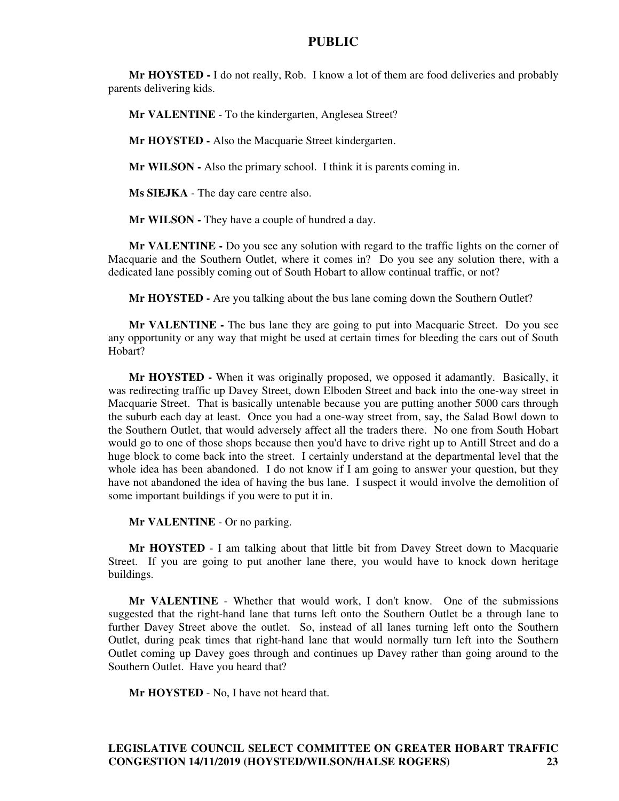**Mr HOYSTED -** I do not really, Rob. I know a lot of them are food deliveries and probably parents delivering kids.

**Mr VALENTINE** - To the kindergarten, Anglesea Street?

**Mr HOYSTED -** Also the Macquarie Street kindergarten.

**Mr WILSON -** Also the primary school. I think it is parents coming in.

**Ms SIEJKA** - The day care centre also.

**Mr WILSON - They have a couple of hundred a day.** 

**Mr VALENTINE -** Do you see any solution with regard to the traffic lights on the corner of Macquarie and the Southern Outlet, where it comes in? Do you see any solution there, with a dedicated lane possibly coming out of South Hobart to allow continual traffic, or not?

**Mr HOYSTED -** Are you talking about the bus lane coming down the Southern Outlet?

**Mr VALENTINE -** The bus lane they are going to put into Macquarie Street. Do you see any opportunity or any way that might be used at certain times for bleeding the cars out of South Hobart?

**Mr HOYSTED -** When it was originally proposed, we opposed it adamantly. Basically, it was redirecting traffic up Davey Street, down Elboden Street and back into the one-way street in Macquarie Street. That is basically untenable because you are putting another 5000 cars through the suburb each day at least. Once you had a one-way street from, say, the Salad Bowl down to the Southern Outlet, that would adversely affect all the traders there. No one from South Hobart would go to one of those shops because then you'd have to drive right up to Antill Street and do a huge block to come back into the street. I certainly understand at the departmental level that the whole idea has been abandoned. I do not know if I am going to answer your question, but they have not abandoned the idea of having the bus lane. I suspect it would involve the demolition of some important buildings if you were to put it in.

**Mr VALENTINE** - Or no parking.

**Mr HOYSTED** - I am talking about that little bit from Davey Street down to Macquarie Street. If you are going to put another lane there, you would have to knock down heritage buildings.

**Mr VALENTINE** - Whether that would work, I don't know. One of the submissions suggested that the right-hand lane that turns left onto the Southern Outlet be a through lane to further Davey Street above the outlet. So, instead of all lanes turning left onto the Southern Outlet, during peak times that right-hand lane that would normally turn left into the Southern Outlet coming up Davey goes through and continues up Davey rather than going around to the Southern Outlet. Have you heard that?

**Mr HOYSTED** - No, I have not heard that.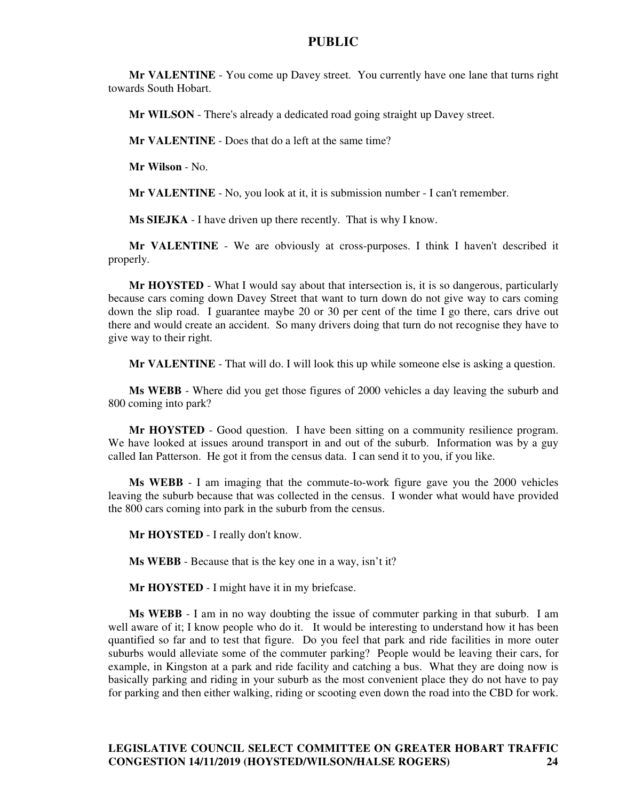**Mr VALENTINE** - You come up Davey street. You currently have one lane that turns right towards South Hobart.

**Mr WILSON** - There's already a dedicated road going straight up Davey street.

**Mr VALENTINE** - Does that do a left at the same time?

**Mr Wilson** - No.

**Mr VALENTINE** - No, you look at it, it is submission number - I can't remember.

**Ms SIEJKA** - I have driven up there recently. That is why I know.

**Mr VALENTINE** - We are obviously at cross-purposes. I think I haven't described it properly.

**Mr HOYSTED** - What I would say about that intersection is, it is so dangerous, particularly because cars coming down Davey Street that want to turn down do not give way to cars coming down the slip road. I guarantee maybe 20 or 30 per cent of the time I go there, cars drive out there and would create an accident. So many drivers doing that turn do not recognise they have to give way to their right.

**Mr VALENTINE** - That will do. I will look this up while someone else is asking a question.

**Ms WEBB** - Where did you get those figures of 2000 vehicles a day leaving the suburb and 800 coming into park?

**Mr HOYSTED** - Good question. I have been sitting on a community resilience program. We have looked at issues around transport in and out of the suburb. Information was by a guy called Ian Patterson. He got it from the census data. I can send it to you, if you like.

**Ms WEBB** - I am imaging that the commute-to-work figure gave you the 2000 vehicles leaving the suburb because that was collected in the census. I wonder what would have provided the 800 cars coming into park in the suburb from the census.

**Mr HOYSTED** - I really don't know.

**Ms WEBB** - Because that is the key one in a way, isn't it?

**Mr HOYSTED** - I might have it in my briefcase.

**Ms WEBB** - I am in no way doubting the issue of commuter parking in that suburb. I am well aware of it; I know people who do it. It would be interesting to understand how it has been quantified so far and to test that figure. Do you feel that park and ride facilities in more outer suburbs would alleviate some of the commuter parking? People would be leaving their cars, for example, in Kingston at a park and ride facility and catching a bus. What they are doing now is basically parking and riding in your suburb as the most convenient place they do not have to pay for parking and then either walking, riding or scooting even down the road into the CBD for work.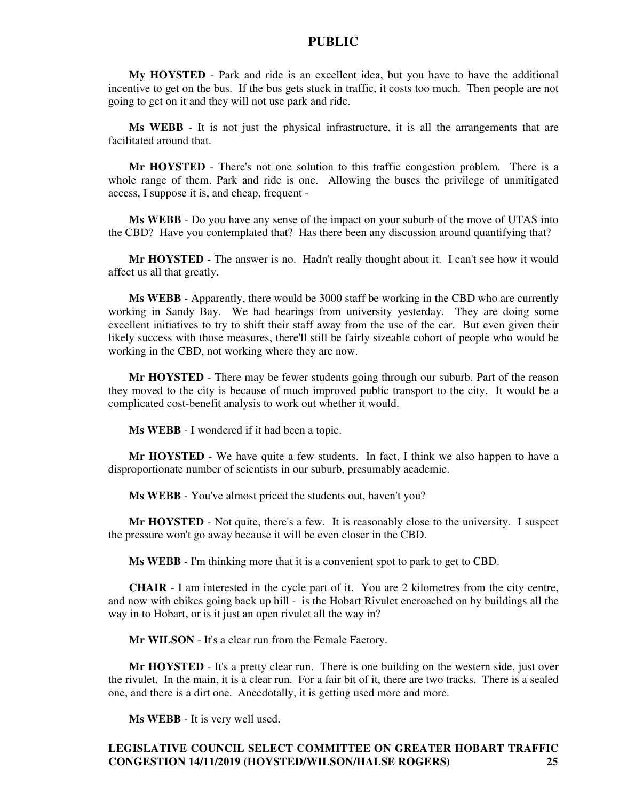**My HOYSTED** - Park and ride is an excellent idea, but you have to have the additional incentive to get on the bus. If the bus gets stuck in traffic, it costs too much. Then people are not going to get on it and they will not use park and ride.

**Ms WEBB** - It is not just the physical infrastructure, it is all the arrangements that are facilitated around that.

**Mr HOYSTED** - There's not one solution to this traffic congestion problem. There is a whole range of them. Park and ride is one. Allowing the buses the privilege of unmitigated access, I suppose it is, and cheap, frequent -

**Ms WEBB** - Do you have any sense of the impact on your suburb of the move of UTAS into the CBD? Have you contemplated that? Has there been any discussion around quantifying that?

**Mr HOYSTED** - The answer is no. Hadn't really thought about it. I can't see how it would affect us all that greatly.

**Ms WEBB** - Apparently, there would be 3000 staff be working in the CBD who are currently working in Sandy Bay. We had hearings from university yesterday. They are doing some excellent initiatives to try to shift their staff away from the use of the car. But even given their likely success with those measures, there'll still be fairly sizeable cohort of people who would be working in the CBD, not working where they are now.

**Mr HOYSTED** - There may be fewer students going through our suburb. Part of the reason they moved to the city is because of much improved public transport to the city. It would be a complicated cost-benefit analysis to work out whether it would.

**Ms WEBB** - I wondered if it had been a topic.

**Mr HOYSTED** - We have quite a few students. In fact, I think we also happen to have a disproportionate number of scientists in our suburb, presumably academic.

**Ms WEBB** - You've almost priced the students out, haven't you?

**Mr HOYSTED** - Not quite, there's a few. It is reasonably close to the university. I suspect the pressure won't go away because it will be even closer in the CBD.

**Ms WEBB** - I'm thinking more that it is a convenient spot to park to get to CBD.

**CHAIR** - I am interested in the cycle part of it. You are 2 kilometres from the city centre, and now with ebikes going back up hill - is the Hobart Rivulet encroached on by buildings all the way in to Hobart, or is it just an open rivulet all the way in?

**Mr WILSON** - It's a clear run from the Female Factory.

**Mr HOYSTED** - It's a pretty clear run. There is one building on the western side, just over the rivulet. In the main, it is a clear run. For a fair bit of it, there are two tracks. There is a sealed one, and there is a dirt one. Anecdotally, it is getting used more and more.

**Ms WEBB** - It is very well used.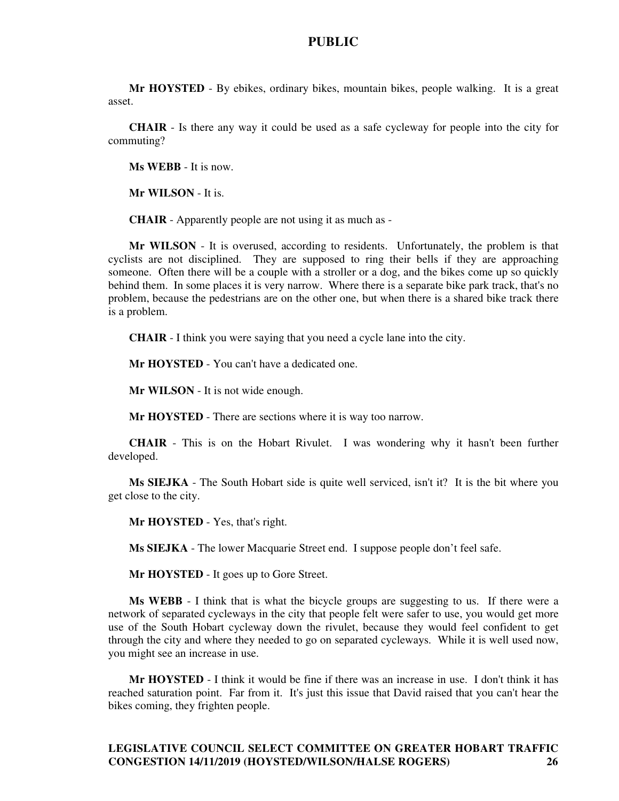**Mr HOYSTED** - By ebikes, ordinary bikes, mountain bikes, people walking. It is a great asset.

**CHAIR** - Is there any way it could be used as a safe cycleway for people into the city for commuting?

**Ms WEBB** - It is now.

**Mr WILSON** - It is.

**CHAIR** - Apparently people are not using it as much as -

**Mr WILSON** - It is overused, according to residents. Unfortunately, the problem is that cyclists are not disciplined. They are supposed to ring their bells if they are approaching someone. Often there will be a couple with a stroller or a dog, and the bikes come up so quickly behind them. In some places it is very narrow. Where there is a separate bike park track, that's no problem, because the pedestrians are on the other one, but when there is a shared bike track there is a problem.

**CHAIR** - I think you were saying that you need a cycle lane into the city.

**Mr HOYSTED** - You can't have a dedicated one.

**Mr WILSON** - It is not wide enough.

**Mr HOYSTED** - There are sections where it is way too narrow.

**CHAIR** - This is on the Hobart Rivulet. I was wondering why it hasn't been further developed.

**Ms SIEJKA** - The South Hobart side is quite well serviced, isn't it? It is the bit where you get close to the city.

**Mr HOYSTED** - Yes, that's right.

**Ms SIEJKA** - The lower Macquarie Street end. I suppose people don't feel safe.

**Mr HOYSTED** - It goes up to Gore Street.

**Ms WEBB** - I think that is what the bicycle groups are suggesting to us. If there were a network of separated cycleways in the city that people felt were safer to use, you would get more use of the South Hobart cycleway down the rivulet, because they would feel confident to get through the city and where they needed to go on separated cycleways. While it is well used now, you might see an increase in use.

**Mr HOYSTED** - I think it would be fine if there was an increase in use. I don't think it has reached saturation point. Far from it. It's just this issue that David raised that you can't hear the bikes coming, they frighten people.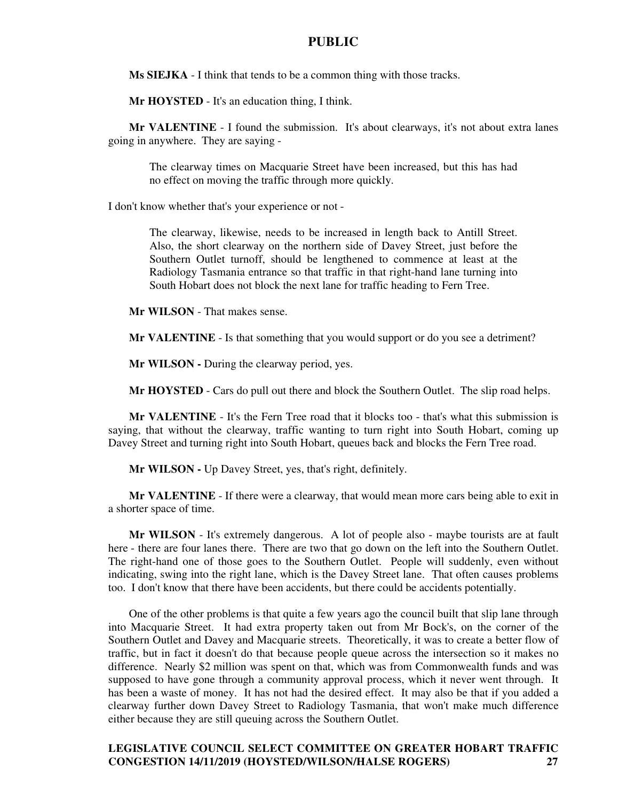**Ms SIEJKA** - I think that tends to be a common thing with those tracks.

**Mr HOYSTED** - It's an education thing, I think.

**Mr VALENTINE** - I found the submission. It's about clearways, it's not about extra lanes going in anywhere. They are saying -

The clearway times on Macquarie Street have been increased, but this has had no effect on moving the traffic through more quickly.

I don't know whether that's your experience or not -

The clearway, likewise, needs to be increased in length back to Antill Street. Also, the short clearway on the northern side of Davey Street, just before the Southern Outlet turnoff, should be lengthened to commence at least at the Radiology Tasmania entrance so that traffic in that right-hand lane turning into South Hobart does not block the next lane for traffic heading to Fern Tree.

**Mr WILSON** - That makes sense.

**Mr VALENTINE** - Is that something that you would support or do you see a detriment?

**Mr WILSON -** During the clearway period, yes.

**Mr HOYSTED** - Cars do pull out there and block the Southern Outlet. The slip road helps.

**Mr VALENTINE** - It's the Fern Tree road that it blocks too - that's what this submission is saying, that without the clearway, traffic wanting to turn right into South Hobart, coming up Davey Street and turning right into South Hobart, queues back and blocks the Fern Tree road.

**Mr WILSON -** Up Davey Street, yes, that's right, definitely.

**Mr VALENTINE** - If there were a clearway, that would mean more cars being able to exit in a shorter space of time.

**Mr WILSON** - It's extremely dangerous. A lot of people also - maybe tourists are at fault here - there are four lanes there. There are two that go down on the left into the Southern Outlet. The right-hand one of those goes to the Southern Outlet. People will suddenly, even without indicating, swing into the right lane, which is the Davey Street lane. That often causes problems too. I don't know that there have been accidents, but there could be accidents potentially.

One of the other problems is that quite a few years ago the council built that slip lane through into Macquarie Street. It had extra property taken out from Mr Bock's, on the corner of the Southern Outlet and Davey and Macquarie streets. Theoretically, it was to create a better flow of traffic, but in fact it doesn't do that because people queue across the intersection so it makes no difference. Nearly \$2 million was spent on that, which was from Commonwealth funds and was supposed to have gone through a community approval process, which it never went through. It has been a waste of money. It has not had the desired effect. It may also be that if you added a clearway further down Davey Street to Radiology Tasmania, that won't make much difference either because they are still queuing across the Southern Outlet.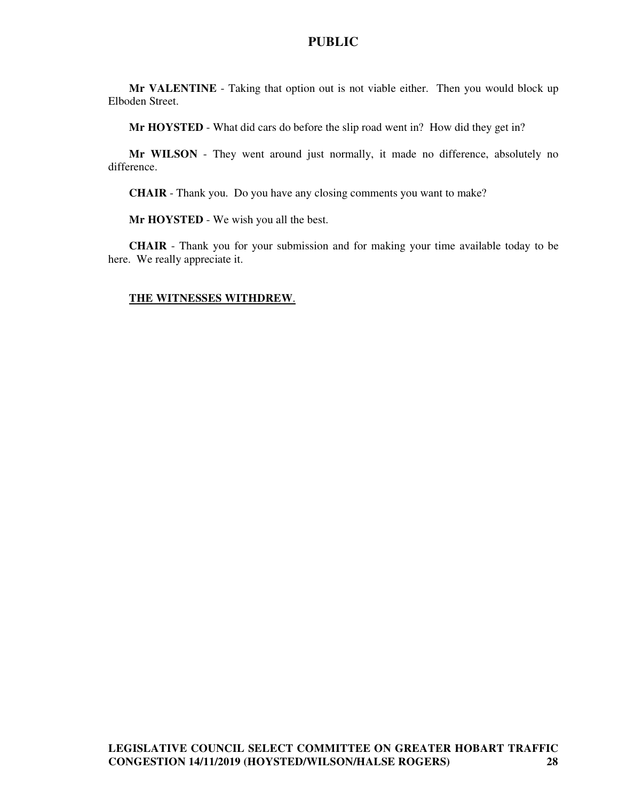**Mr VALENTINE** - Taking that option out is not viable either. Then you would block up Elboden Street.

**Mr HOYSTED** - What did cars do before the slip road went in? How did they get in?

**Mr WILSON** - They went around just normally, it made no difference, absolutely no difference.

**CHAIR** - Thank you. Do you have any closing comments you want to make?

**Mr HOYSTED** - We wish you all the best.

**CHAIR** - Thank you for your submission and for making your time available today to be here. We really appreciate it.

#### **THE WITNESSES WITHDREW**.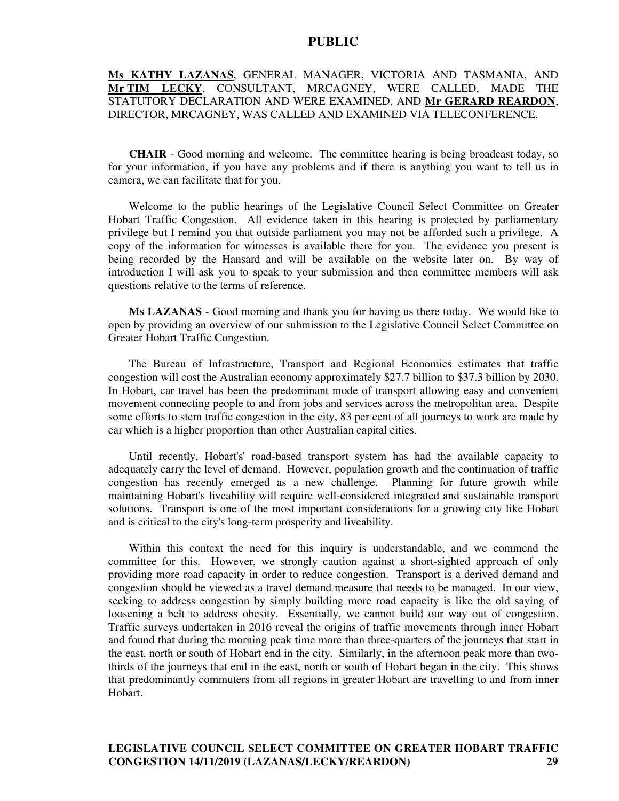# **Ms KATHY LAZANAS**, GENERAL MANAGER, VICTORIA AND TASMANIA, AND **Mr TIM LECKY**, CONSULTANT, MRCAGNEY, WERE CALLED, MADE THE STATUTORY DECLARATION AND WERE EXAMINED, AND **Mr GERARD REARDON**, DIRECTOR, MRCAGNEY, WAS CALLED AND EXAMINED VIA TELECONFERENCE.

**CHAIR** - Good morning and welcome. The committee hearing is being broadcast today, so for your information, if you have any problems and if there is anything you want to tell us in camera, we can facilitate that for you.

Welcome to the public hearings of the Legislative Council Select Committee on Greater Hobart Traffic Congestion. All evidence taken in this hearing is protected by parliamentary privilege but I remind you that outside parliament you may not be afforded such a privilege. A copy of the information for witnesses is available there for you. The evidence you present is being recorded by the Hansard and will be available on the website later on. By way of introduction I will ask you to speak to your submission and then committee members will ask questions relative to the terms of reference.

**Ms LAZANAS** - Good morning and thank you for having us there today. We would like to open by providing an overview of our submission to the Legislative Council Select Committee on Greater Hobart Traffic Congestion.

The Bureau of Infrastructure, Transport and Regional Economics estimates that traffic congestion will cost the Australian economy approximately \$27.7 billion to \$37.3 billion by 2030. In Hobart, car travel has been the predominant mode of transport allowing easy and convenient movement connecting people to and from jobs and services across the metropolitan area. Despite some efforts to stem traffic congestion in the city, 83 per cent of all journeys to work are made by car which is a higher proportion than other Australian capital cities.

Until recently, Hobart's' road-based transport system has had the available capacity to adequately carry the level of demand. However, population growth and the continuation of traffic congestion has recently emerged as a new challenge. Planning for future growth while maintaining Hobart's liveability will require well-considered integrated and sustainable transport solutions. Transport is one of the most important considerations for a growing city like Hobart and is critical to the city's long-term prosperity and liveability.

Within this context the need for this inquiry is understandable, and we commend the committee for this. However, we strongly caution against a short-sighted approach of only providing more road capacity in order to reduce congestion. Transport is a derived demand and congestion should be viewed as a travel demand measure that needs to be managed. In our view, seeking to address congestion by simply building more road capacity is like the old saying of loosening a belt to address obesity. Essentially, we cannot build our way out of congestion. Traffic surveys undertaken in 2016 reveal the origins of traffic movements through inner Hobart and found that during the morning peak time more than three-quarters of the journeys that start in the east, north or south of Hobart end in the city. Similarly, in the afternoon peak more than twothirds of the journeys that end in the east, north or south of Hobart began in the city. This shows that predominantly commuters from all regions in greater Hobart are travelling to and from inner Hobart.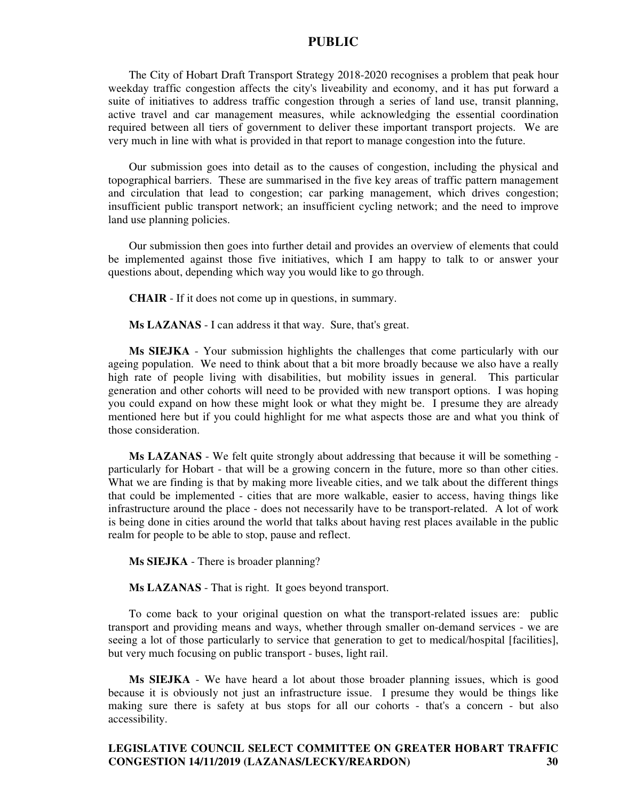The City of Hobart Draft Transport Strategy 2018-2020 recognises a problem that peak hour weekday traffic congestion affects the city's liveability and economy, and it has put forward a suite of initiatives to address traffic congestion through a series of land use, transit planning, active travel and car management measures, while acknowledging the essential coordination required between all tiers of government to deliver these important transport projects. We are very much in line with what is provided in that report to manage congestion into the future.

Our submission goes into detail as to the causes of congestion, including the physical and topographical barriers. These are summarised in the five key areas of traffic pattern management and circulation that lead to congestion; car parking management, which drives congestion; insufficient public transport network; an insufficient cycling network; and the need to improve land use planning policies.

Our submission then goes into further detail and provides an overview of elements that could be implemented against those five initiatives, which I am happy to talk to or answer your questions about, depending which way you would like to go through.

**CHAIR** - If it does not come up in questions, in summary.

**Ms LAZANAS** - I can address it that way. Sure, that's great.

**Ms SIEJKA** - Your submission highlights the challenges that come particularly with our ageing population. We need to think about that a bit more broadly because we also have a really high rate of people living with disabilities, but mobility issues in general. This particular generation and other cohorts will need to be provided with new transport options. I was hoping you could expand on how these might look or what they might be. I presume they are already mentioned here but if you could highlight for me what aspects those are and what you think of those consideration.

**Ms LAZANAS** - We felt quite strongly about addressing that because it will be something particularly for Hobart - that will be a growing concern in the future, more so than other cities. What we are finding is that by making more liveable cities, and we talk about the different things that could be implemented - cities that are more walkable, easier to access, having things like infrastructure around the place - does not necessarily have to be transport-related. A lot of work is being done in cities around the world that talks about having rest places available in the public realm for people to be able to stop, pause and reflect.

**Ms SIEJKA** - There is broader planning?

**Ms LAZANAS** - That is right. It goes beyond transport.

To come back to your original question on what the transport-related issues are: public transport and providing means and ways, whether through smaller on-demand services - we are seeing a lot of those particularly to service that generation to get to medical/hospital [facilities], but very much focusing on public transport - buses, light rail.

**Ms SIEJKA** - We have heard a lot about those broader planning issues, which is good because it is obviously not just an infrastructure issue. I presume they would be things like making sure there is safety at bus stops for all our cohorts - that's a concern - but also accessibility.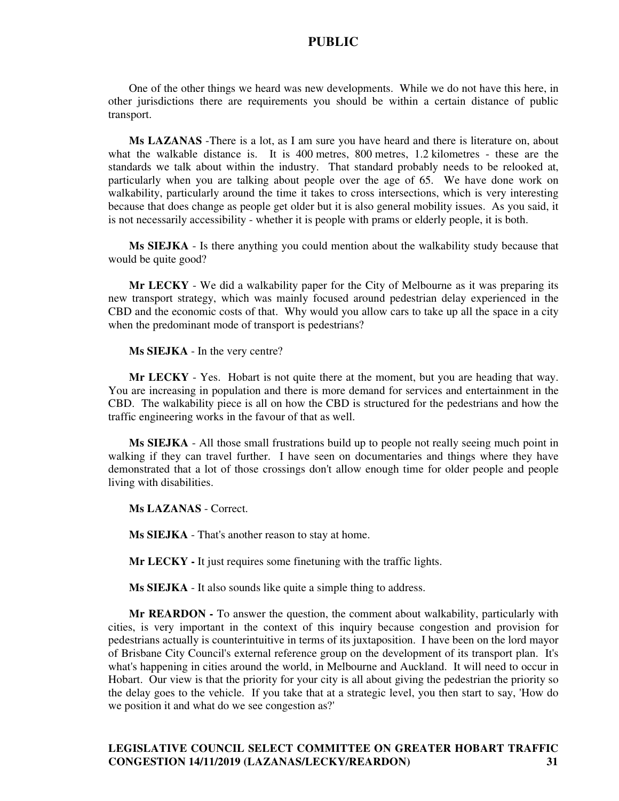One of the other things we heard was new developments. While we do not have this here, in other jurisdictions there are requirements you should be within a certain distance of public transport.

**Ms LAZANAS** -There is a lot, as I am sure you have heard and there is literature on, about what the walkable distance is. It is 400 metres, 800 metres, 1.2 kilometres - these are the standards we talk about within the industry. That standard probably needs to be relooked at, particularly when you are talking about people over the age of 65. We have done work on walkability, particularly around the time it takes to cross intersections, which is very interesting because that does change as people get older but it is also general mobility issues. As you said, it is not necessarily accessibility - whether it is people with prams or elderly people, it is both.

**Ms SIEJKA** - Is there anything you could mention about the walkability study because that would be quite good?

**Mr LECKY** - We did a walkability paper for the City of Melbourne as it was preparing its new transport strategy, which was mainly focused around pedestrian delay experienced in the CBD and the economic costs of that. Why would you allow cars to take up all the space in a city when the predominant mode of transport is pedestrians?

**Ms SIEJKA** - In the very centre?

**Mr LECKY** - Yes. Hobart is not quite there at the moment, but you are heading that way. You are increasing in population and there is more demand for services and entertainment in the CBD. The walkability piece is all on how the CBD is structured for the pedestrians and how the traffic engineering works in the favour of that as well.

**Ms SIEJKA** - All those small frustrations build up to people not really seeing much point in walking if they can travel further. I have seen on documentaries and things where they have demonstrated that a lot of those crossings don't allow enough time for older people and people living with disabilities.

**Ms LAZANAS** - Correct.

**Ms SIEJKA** - That's another reason to stay at home.

**Mr LECKY -** It just requires some finetuning with the traffic lights.

**Ms SIEJKA** - It also sounds like quite a simple thing to address.

**Mr REARDON -** To answer the question, the comment about walkability, particularly with cities, is very important in the context of this inquiry because congestion and provision for pedestrians actually is counterintuitive in terms of its juxtaposition. I have been on the lord mayor of Brisbane City Council's external reference group on the development of its transport plan. It's what's happening in cities around the world, in Melbourne and Auckland. It will need to occur in Hobart. Our view is that the priority for your city is all about giving the pedestrian the priority so the delay goes to the vehicle. If you take that at a strategic level, you then start to say, 'How do we position it and what do we see congestion as?'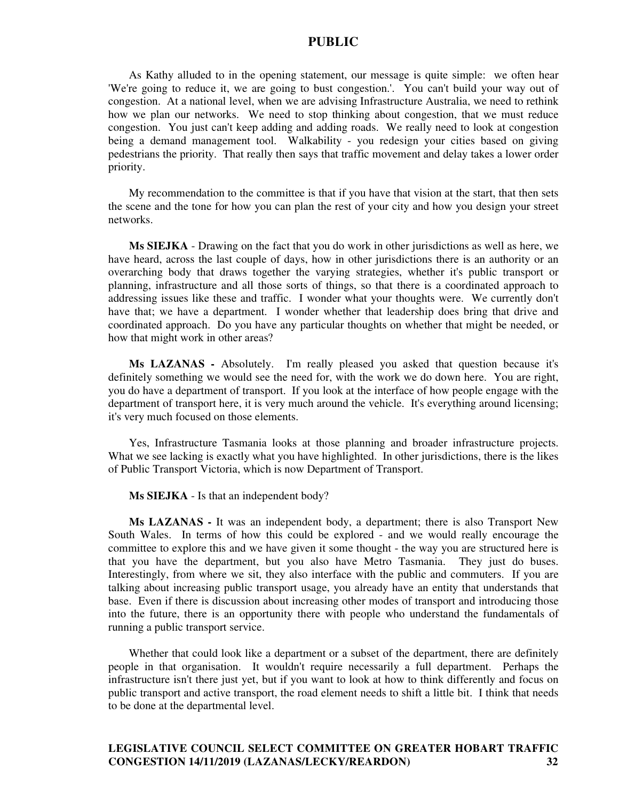As Kathy alluded to in the opening statement, our message is quite simple: we often hear 'We're going to reduce it, we are going to bust congestion.'. You can't build your way out of congestion. At a national level, when we are advising Infrastructure Australia, we need to rethink how we plan our networks. We need to stop thinking about congestion, that we must reduce congestion. You just can't keep adding and adding roads. We really need to look at congestion being a demand management tool. Walkability - you redesign your cities based on giving pedestrians the priority. That really then says that traffic movement and delay takes a lower order priority.

My recommendation to the committee is that if you have that vision at the start, that then sets the scene and the tone for how you can plan the rest of your city and how you design your street networks.

**Ms SIEJKA** - Drawing on the fact that you do work in other jurisdictions as well as here, we have heard, across the last couple of days, how in other jurisdictions there is an authority or an overarching body that draws together the varying strategies, whether it's public transport or planning, infrastructure and all those sorts of things, so that there is a coordinated approach to addressing issues like these and traffic. I wonder what your thoughts were. We currently don't have that; we have a department. I wonder whether that leadership does bring that drive and coordinated approach. Do you have any particular thoughts on whether that might be needed, or how that might work in other areas?

**Ms LAZANAS -** Absolutely. I'm really pleased you asked that question because it's definitely something we would see the need for, with the work we do down here. You are right, you do have a department of transport. If you look at the interface of how people engage with the department of transport here, it is very much around the vehicle. It's everything around licensing; it's very much focused on those elements.

Yes, Infrastructure Tasmania looks at those planning and broader infrastructure projects. What we see lacking is exactly what you have highlighted. In other jurisdictions, there is the likes of Public Transport Victoria, which is now Department of Transport.

#### **Ms SIEJKA** - Is that an independent body?

**Ms LAZANAS -** It was an independent body, a department; there is also Transport New South Wales. In terms of how this could be explored - and we would really encourage the committee to explore this and we have given it some thought - the way you are structured here is that you have the department, but you also have Metro Tasmania. They just do buses. Interestingly, from where we sit, they also interface with the public and commuters. If you are talking about increasing public transport usage, you already have an entity that understands that base. Even if there is discussion about increasing other modes of transport and introducing those into the future, there is an opportunity there with people who understand the fundamentals of running a public transport service.

Whether that could look like a department or a subset of the department, there are definitely people in that organisation. It wouldn't require necessarily a full department. Perhaps the infrastructure isn't there just yet, but if you want to look at how to think differently and focus on public transport and active transport, the road element needs to shift a little bit. I think that needs to be done at the departmental level.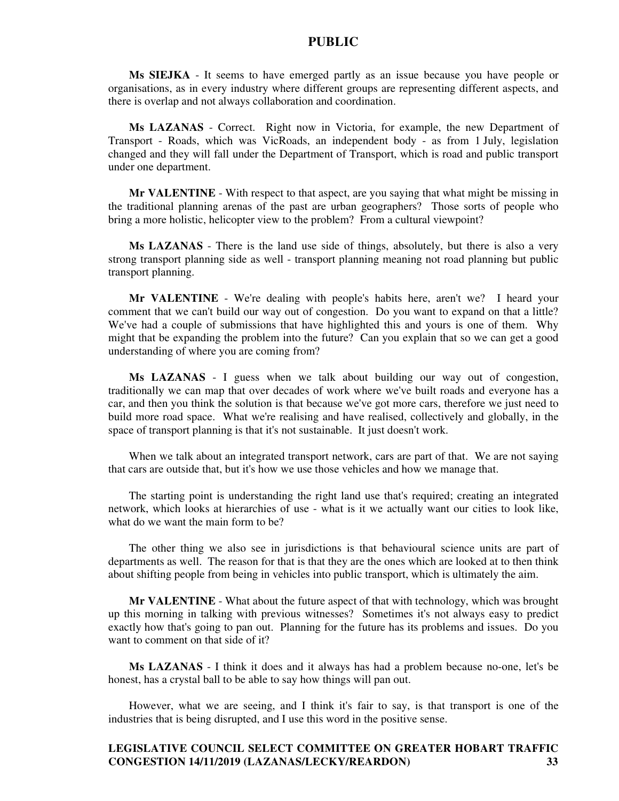**Ms SIEJKA** - It seems to have emerged partly as an issue because you have people or organisations, as in every industry where different groups are representing different aspects, and there is overlap and not always collaboration and coordination.

**Ms LAZANAS** - Correct. Right now in Victoria, for example, the new Department of Transport - Roads, which was VicRoads, an independent body - as from 1 July, legislation changed and they will fall under the Department of Transport, which is road and public transport under one department.

**Mr VALENTINE** - With respect to that aspect, are you saying that what might be missing in the traditional planning arenas of the past are urban geographers? Those sorts of people who bring a more holistic, helicopter view to the problem? From a cultural viewpoint?

**Ms LAZANAS** - There is the land use side of things, absolutely, but there is also a very strong transport planning side as well - transport planning meaning not road planning but public transport planning.

**Mr VALENTINE** - We're dealing with people's habits here, aren't we? I heard your comment that we can't build our way out of congestion. Do you want to expand on that a little? We've had a couple of submissions that have highlighted this and yours is one of them. Why might that be expanding the problem into the future? Can you explain that so we can get a good understanding of where you are coming from?

**Ms LAZANAS** - I guess when we talk about building our way out of congestion, traditionally we can map that over decades of work where we've built roads and everyone has a car, and then you think the solution is that because we've got more cars, therefore we just need to build more road space. What we're realising and have realised, collectively and globally, in the space of transport planning is that it's not sustainable. It just doesn't work.

When we talk about an integrated transport network, cars are part of that. We are not saying that cars are outside that, but it's how we use those vehicles and how we manage that.

The starting point is understanding the right land use that's required; creating an integrated network, which looks at hierarchies of use - what is it we actually want our cities to look like, what do we want the main form to be?

The other thing we also see in jurisdictions is that behavioural science units are part of departments as well. The reason for that is that they are the ones which are looked at to then think about shifting people from being in vehicles into public transport, which is ultimately the aim.

**Mr VALENTINE** - What about the future aspect of that with technology, which was brought up this morning in talking with previous witnesses? Sometimes it's not always easy to predict exactly how that's going to pan out. Planning for the future has its problems and issues. Do you want to comment on that side of it?

**Ms LAZANAS** - I think it does and it always has had a problem because no-one, let's be honest, has a crystal ball to be able to say how things will pan out.

However, what we are seeing, and I think it's fair to say, is that transport is one of the industries that is being disrupted, and I use this word in the positive sense.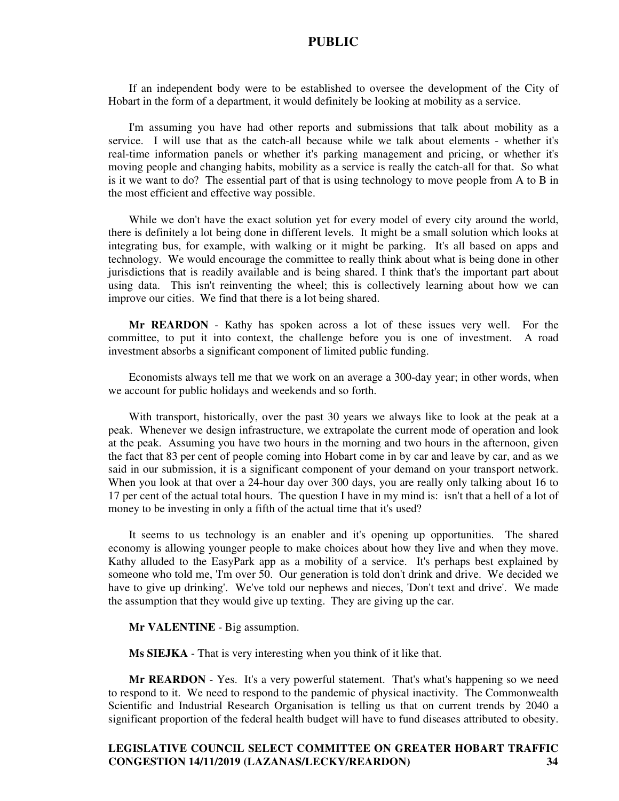If an independent body were to be established to oversee the development of the City of Hobart in the form of a department, it would definitely be looking at mobility as a service.

I'm assuming you have had other reports and submissions that talk about mobility as a service. I will use that as the catch-all because while we talk about elements - whether it's real-time information panels or whether it's parking management and pricing, or whether it's moving people and changing habits, mobility as a service is really the catch-all for that. So what is it we want to do? The essential part of that is using technology to move people from A to B in the most efficient and effective way possible.

While we don't have the exact solution yet for every model of every city around the world, there is definitely a lot being done in different levels. It might be a small solution which looks at integrating bus, for example, with walking or it might be parking. It's all based on apps and technology. We would encourage the committee to really think about what is being done in other jurisdictions that is readily available and is being shared. I think that's the important part about using data. This isn't reinventing the wheel; this is collectively learning about how we can improve our cities. We find that there is a lot being shared.

**Mr REARDON** - Kathy has spoken across a lot of these issues very well. For the committee, to put it into context, the challenge before you is one of investment. A road investment absorbs a significant component of limited public funding.

Economists always tell me that we work on an average a 300-day year; in other words, when we account for public holidays and weekends and so forth.

With transport, historically, over the past 30 years we always like to look at the peak at a peak. Whenever we design infrastructure, we extrapolate the current mode of operation and look at the peak. Assuming you have two hours in the morning and two hours in the afternoon, given the fact that 83 per cent of people coming into Hobart come in by car and leave by car, and as we said in our submission, it is a significant component of your demand on your transport network. When you look at that over a 24-hour day over 300 days, you are really only talking about 16 to 17 per cent of the actual total hours. The question I have in my mind is: isn't that a hell of a lot of money to be investing in only a fifth of the actual time that it's used?

It seems to us technology is an enabler and it's opening up opportunities. The shared economy is allowing younger people to make choices about how they live and when they move. Kathy alluded to the EasyPark app as a mobility of a service. It's perhaps best explained by someone who told me, 'I'm over 50. Our generation is told don't drink and drive. We decided we have to give up drinking'. We've told our nephews and nieces, 'Don't text and drive'. We made the assumption that they would give up texting. They are giving up the car.

#### **Mr VALENTINE** - Big assumption.

**Ms SIEJKA** - That is very interesting when you think of it like that.

**Mr REARDON** - Yes. It's a very powerful statement. That's what's happening so we need to respond to it. We need to respond to the pandemic of physical inactivity. The Commonwealth Scientific and Industrial Research Organisation is telling us that on current trends by 2040 a significant proportion of the federal health budget will have to fund diseases attributed to obesity.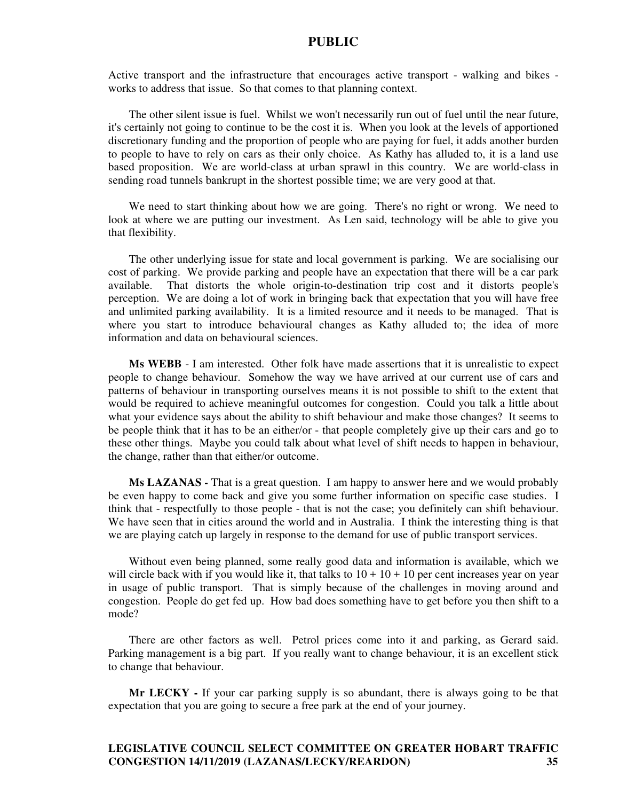Active transport and the infrastructure that encourages active transport - walking and bikes works to address that issue. So that comes to that planning context.

The other silent issue is fuel. Whilst we won't necessarily run out of fuel until the near future, it's certainly not going to continue to be the cost it is. When you look at the levels of apportioned discretionary funding and the proportion of people who are paying for fuel, it adds another burden to people to have to rely on cars as their only choice. As Kathy has alluded to, it is a land use based proposition. We are world-class at urban sprawl in this country. We are world-class in sending road tunnels bankrupt in the shortest possible time; we are very good at that.

We need to start thinking about how we are going. There's no right or wrong. We need to look at where we are putting our investment. As Len said, technology will be able to give you that flexibility.

The other underlying issue for state and local government is parking. We are socialising our cost of parking. We provide parking and people have an expectation that there will be a car park available. That distorts the whole origin-to-destination trip cost and it distorts people's perception. We are doing a lot of work in bringing back that expectation that you will have free and unlimited parking availability. It is a limited resource and it needs to be managed. That is where you start to introduce behavioural changes as Kathy alluded to; the idea of more information and data on behavioural sciences.

**Ms WEBB** - I am interested. Other folk have made assertions that it is unrealistic to expect people to change behaviour. Somehow the way we have arrived at our current use of cars and patterns of behaviour in transporting ourselves means it is not possible to shift to the extent that would be required to achieve meaningful outcomes for congestion. Could you talk a little about what your evidence says about the ability to shift behaviour and make those changes? It seems to be people think that it has to be an either/or - that people completely give up their cars and go to these other things. Maybe you could talk about what level of shift needs to happen in behaviour, the change, rather than that either/or outcome.

**Ms LAZANAS -** That is a great question. I am happy to answer here and we would probably be even happy to come back and give you some further information on specific case studies. I think that - respectfully to those people - that is not the case; you definitely can shift behaviour. We have seen that in cities around the world and in Australia. I think the interesting thing is that we are playing catch up largely in response to the demand for use of public transport services.

Without even being planned, some really good data and information is available, which we will circle back with if you would like it, that talks to  $10 + 10 + 10$  per cent increases year on year in usage of public transport. That is simply because of the challenges in moving around and congestion. People do get fed up. How bad does something have to get before you then shift to a mode?

There are other factors as well. Petrol prices come into it and parking, as Gerard said. Parking management is a big part. If you really want to change behaviour, it is an excellent stick to change that behaviour.

**Mr LECKY -** If your car parking supply is so abundant, there is always going to be that expectation that you are going to secure a free park at the end of your journey.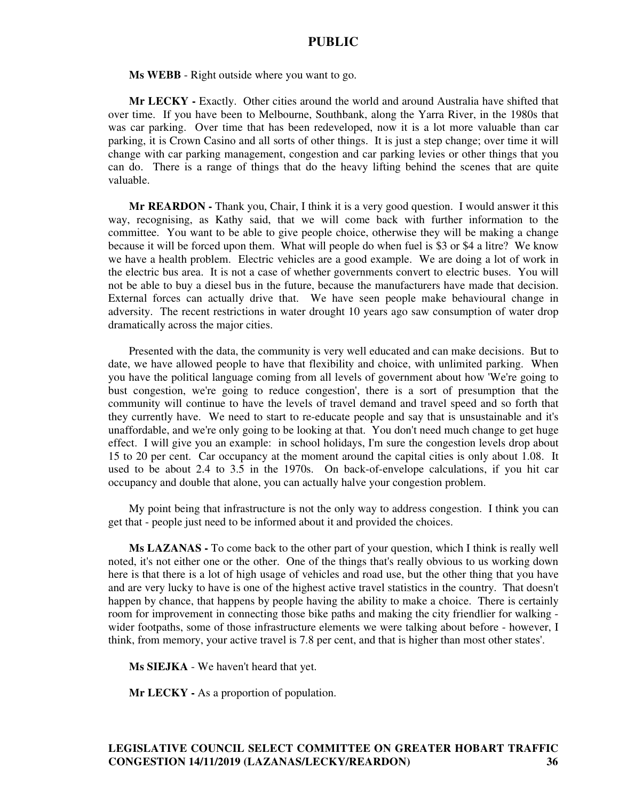**Ms WEBB** - Right outside where you want to go.

**Mr LECKY -** Exactly. Other cities around the world and around Australia have shifted that over time. If you have been to Melbourne, Southbank, along the Yarra River, in the 1980s that was car parking. Over time that has been redeveloped, now it is a lot more valuable than car parking, it is Crown Casino and all sorts of other things. It is just a step change; over time it will change with car parking management, congestion and car parking levies or other things that you can do. There is a range of things that do the heavy lifting behind the scenes that are quite valuable.

**Mr REARDON -** Thank you, Chair, I think it is a very good question. I would answer it this way, recognising, as Kathy said, that we will come back with further information to the committee. You want to be able to give people choice, otherwise they will be making a change because it will be forced upon them. What will people do when fuel is \$3 or \$4 a litre? We know we have a health problem. Electric vehicles are a good example. We are doing a lot of work in the electric bus area. It is not a case of whether governments convert to electric buses. You will not be able to buy a diesel bus in the future, because the manufacturers have made that decision. External forces can actually drive that. We have seen people make behavioural change in adversity. The recent restrictions in water drought 10 years ago saw consumption of water drop dramatically across the major cities.

Presented with the data, the community is very well educated and can make decisions. But to date, we have allowed people to have that flexibility and choice, with unlimited parking. When you have the political language coming from all levels of government about how 'We're going to bust congestion, we're going to reduce congestion', there is a sort of presumption that the community will continue to have the levels of travel demand and travel speed and so forth that they currently have. We need to start to re-educate people and say that is unsustainable and it's unaffordable, and we're only going to be looking at that. You don't need much change to get huge effect. I will give you an example: in school holidays, I'm sure the congestion levels drop about 15 to 20 per cent. Car occupancy at the moment around the capital cities is only about 1.08. It used to be about 2.4 to 3.5 in the 1970s. On back-of-envelope calculations, if you hit car occupancy and double that alone, you can actually halve your congestion problem.

My point being that infrastructure is not the only way to address congestion. I think you can get that - people just need to be informed about it and provided the choices.

**Ms LAZANAS -** To come back to the other part of your question, which I think is really well noted, it's not either one or the other. One of the things that's really obvious to us working down here is that there is a lot of high usage of vehicles and road use, but the other thing that you have and are very lucky to have is one of the highest active travel statistics in the country. That doesn't happen by chance, that happens by people having the ability to make a choice. There is certainly room for improvement in connecting those bike paths and making the city friendlier for walking wider footpaths, some of those infrastructure elements we were talking about before - however, I think, from memory, your active travel is 7.8 per cent, and that is higher than most other states'.

**Ms SIEJKA** - We haven't heard that yet.

**Mr LECKY -** As a proportion of population.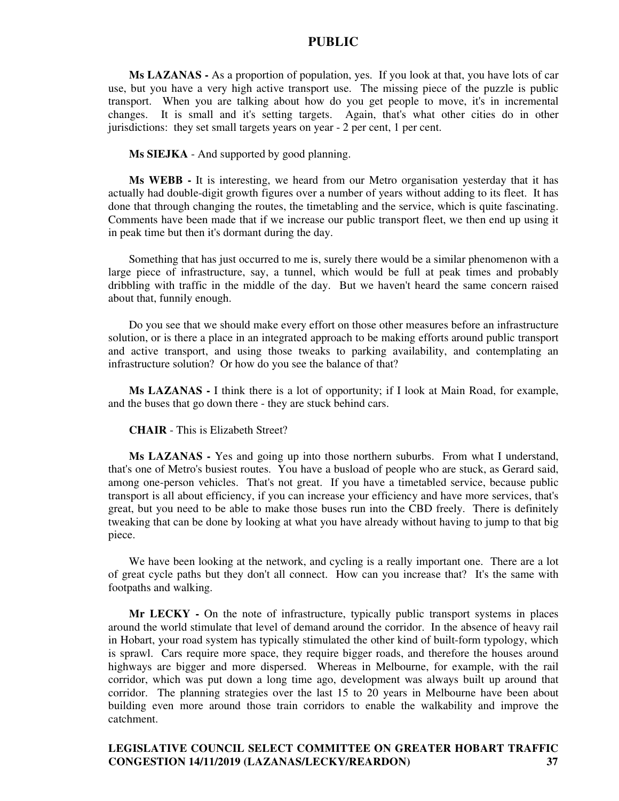**Ms LAZANAS -** As a proportion of population, yes. If you look at that, you have lots of car use, but you have a very high active transport use. The missing piece of the puzzle is public transport. When you are talking about how do you get people to move, it's in incremental changes. It is small and it's setting targets. Again, that's what other cities do in other jurisdictions: they set small targets years on year - 2 per cent, 1 per cent.

**Ms SIEJKA** - And supported by good planning.

**Ms WEBB -** It is interesting, we heard from our Metro organisation yesterday that it has actually had double-digit growth figures over a number of years without adding to its fleet. It has done that through changing the routes, the timetabling and the service, which is quite fascinating. Comments have been made that if we increase our public transport fleet, we then end up using it in peak time but then it's dormant during the day.

Something that has just occurred to me is, surely there would be a similar phenomenon with a large piece of infrastructure, say, a tunnel, which would be full at peak times and probably dribbling with traffic in the middle of the day. But we haven't heard the same concern raised about that, funnily enough.

Do you see that we should make every effort on those other measures before an infrastructure solution, or is there a place in an integrated approach to be making efforts around public transport and active transport, and using those tweaks to parking availability, and contemplating an infrastructure solution? Or how do you see the balance of that?

**Ms LAZANAS -** I think there is a lot of opportunity; if I look at Main Road, for example, and the buses that go down there - they are stuck behind cars.

**CHAIR** - This is Elizabeth Street?

**Ms LAZANAS -** Yes and going up into those northern suburbs. From what I understand, that's one of Metro's busiest routes. You have a busload of people who are stuck, as Gerard said, among one-person vehicles. That's not great. If you have a timetabled service, because public transport is all about efficiency, if you can increase your efficiency and have more services, that's great, but you need to be able to make those buses run into the CBD freely. There is definitely tweaking that can be done by looking at what you have already without having to jump to that big piece.

We have been looking at the network, and cycling is a really important one. There are a lot of great cycle paths but they don't all connect. How can you increase that? It's the same with footpaths and walking.

**Mr LECKY -** On the note of infrastructure, typically public transport systems in places around the world stimulate that level of demand around the corridor. In the absence of heavy rail in Hobart, your road system has typically stimulated the other kind of built-form typology, which is sprawl. Cars require more space, they require bigger roads, and therefore the houses around highways are bigger and more dispersed. Whereas in Melbourne, for example, with the rail corridor, which was put down a long time ago, development was always built up around that corridor. The planning strategies over the last 15 to 20 years in Melbourne have been about building even more around those train corridors to enable the walkability and improve the catchment.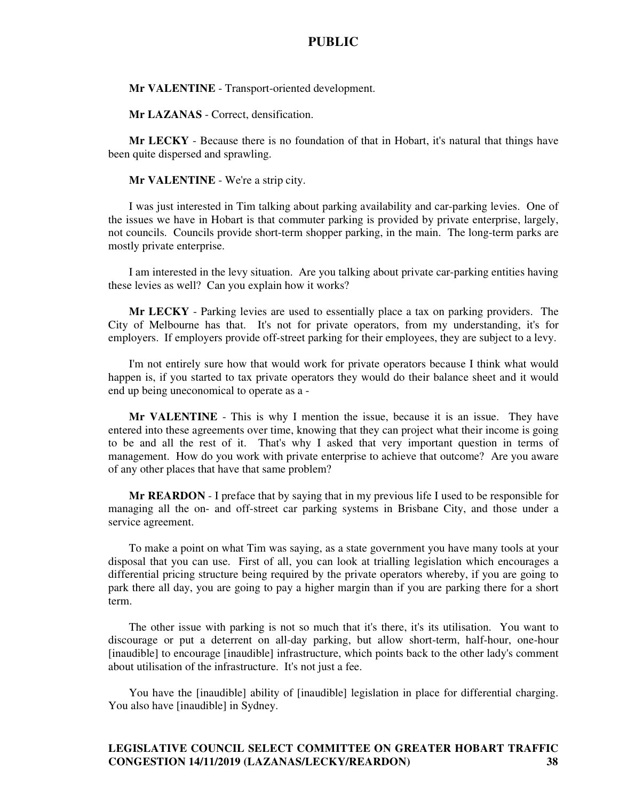**Mr VALENTINE** - Transport-oriented development.

**Mr LAZANAS** - Correct, densification.

**Mr LECKY** - Because there is no foundation of that in Hobart, it's natural that things have been quite dispersed and sprawling.

#### **Mr VALENTINE** - We're a strip city.

I was just interested in Tim talking about parking availability and car-parking levies. One of the issues we have in Hobart is that commuter parking is provided by private enterprise, largely, not councils. Councils provide short-term shopper parking, in the main. The long-term parks are mostly private enterprise.

I am interested in the levy situation. Are you talking about private car-parking entities having these levies as well? Can you explain how it works?

**Mr LECKY** - Parking levies are used to essentially place a tax on parking providers. The City of Melbourne has that. It's not for private operators, from my understanding, it's for employers. If employers provide off-street parking for their employees, they are subject to a levy.

I'm not entirely sure how that would work for private operators because I think what would happen is, if you started to tax private operators they would do their balance sheet and it would end up being uneconomical to operate as a -

**Mr VALENTINE** - This is why I mention the issue, because it is an issue. They have entered into these agreements over time, knowing that they can project what their income is going to be and all the rest of it. That's why I asked that very important question in terms of management. How do you work with private enterprise to achieve that outcome? Are you aware of any other places that have that same problem?

**Mr REARDON** - I preface that by saying that in my previous life I used to be responsible for managing all the on- and off-street car parking systems in Brisbane City, and those under a service agreement.

To make a point on what Tim was saying, as a state government you have many tools at your disposal that you can use. First of all, you can look at trialling legislation which encourages a differential pricing structure being required by the private operators whereby, if you are going to park there all day, you are going to pay a higher margin than if you are parking there for a short term.

The other issue with parking is not so much that it's there, it's its utilisation. You want to discourage or put a deterrent on all-day parking, but allow short-term, half-hour, one-hour [inaudible] to encourage [inaudible] infrastructure, which points back to the other lady's comment about utilisation of the infrastructure. It's not just a fee.

You have the [inaudible] ability of [inaudible] legislation in place for differential charging. You also have [inaudible] in Sydney.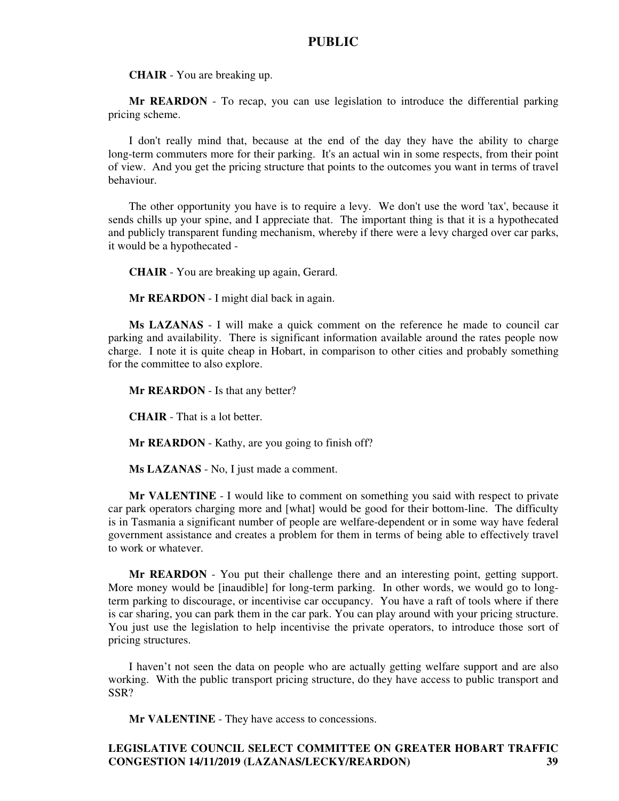**CHAIR** - You are breaking up.

**Mr REARDON** - To recap, you can use legislation to introduce the differential parking pricing scheme.

I don't really mind that, because at the end of the day they have the ability to charge long-term commuters more for their parking. It's an actual win in some respects, from their point of view. And you get the pricing structure that points to the outcomes you want in terms of travel behaviour.

The other opportunity you have is to require a levy. We don't use the word 'tax', because it sends chills up your spine, and I appreciate that. The important thing is that it is a hypothecated and publicly transparent funding mechanism, whereby if there were a levy charged over car parks, it would be a hypothecated -

**CHAIR** - You are breaking up again, Gerard.

**Mr REARDON** - I might dial back in again.

**Ms LAZANAS** - I will make a quick comment on the reference he made to council car parking and availability. There is significant information available around the rates people now charge. I note it is quite cheap in Hobart, in comparison to other cities and probably something for the committee to also explore.

**Mr REARDON** - Is that any better?

**CHAIR** - That is a lot better.

**Mr REARDON** - Kathy, are you going to finish off?

**Ms LAZANAS** - No, I just made a comment.

**Mr VALENTINE** - I would like to comment on something you said with respect to private car park operators charging more and [what] would be good for their bottom-line. The difficulty is in Tasmania a significant number of people are welfare-dependent or in some way have federal government assistance and creates a problem for them in terms of being able to effectively travel to work or whatever.

**Mr REARDON** - You put their challenge there and an interesting point, getting support. More money would be [inaudible] for long-term parking. In other words, we would go to longterm parking to discourage, or incentivise car occupancy. You have a raft of tools where if there is car sharing, you can park them in the car park. You can play around with your pricing structure. You just use the legislation to help incentivise the private operators, to introduce those sort of pricing structures.

I haven't not seen the data on people who are actually getting welfare support and are also working. With the public transport pricing structure, do they have access to public transport and SSR?

**Mr VALENTINE** - They have access to concessions.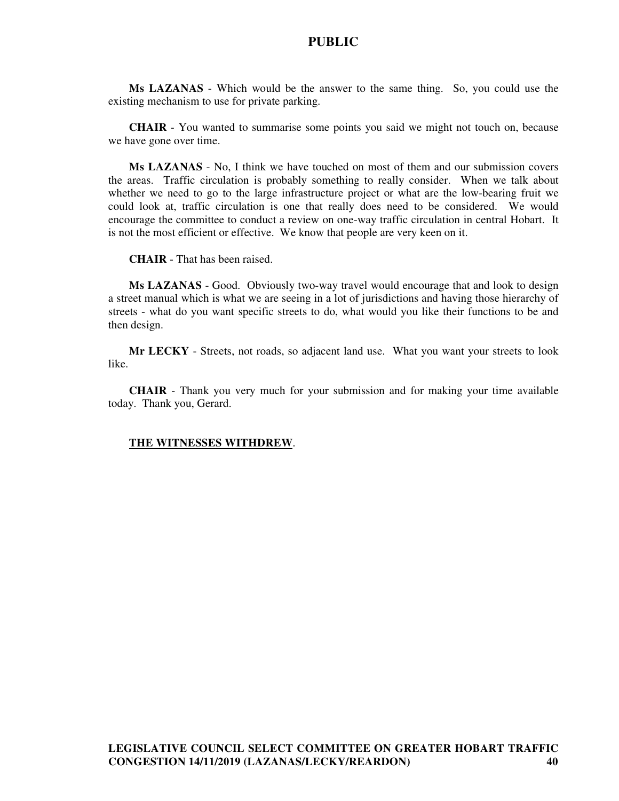**Ms LAZANAS** - Which would be the answer to the same thing. So, you could use the existing mechanism to use for private parking.

**CHAIR** - You wanted to summarise some points you said we might not touch on, because we have gone over time.

**Ms LAZANAS** - No, I think we have touched on most of them and our submission covers the areas. Traffic circulation is probably something to really consider. When we talk about whether we need to go to the large infrastructure project or what are the low-bearing fruit we could look at, traffic circulation is one that really does need to be considered. We would encourage the committee to conduct a review on one-way traffic circulation in central Hobart. It is not the most efficient or effective. We know that people are very keen on it.

**CHAIR** - That has been raised.

**Ms LAZANAS** - Good. Obviously two-way travel would encourage that and look to design a street manual which is what we are seeing in a lot of jurisdictions and having those hierarchy of streets - what do you want specific streets to do, what would you like their functions to be and then design.

**Mr LECKY** - Streets, not roads, so adjacent land use. What you want your streets to look like.

**CHAIR** - Thank you very much for your submission and for making your time available today. Thank you, Gerard.

#### **THE WITNESSES WITHDREW**.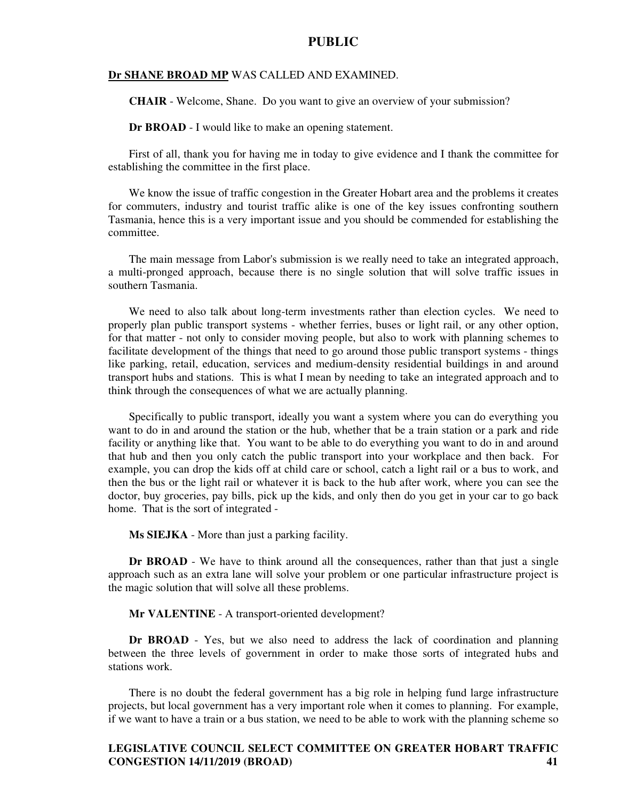#### **Dr SHANE BROAD MP** WAS CALLED AND EXAMINED.

**CHAIR** - Welcome, Shane. Do you want to give an overview of your submission?

**Dr BROAD** - I would like to make an opening statement.

First of all, thank you for having me in today to give evidence and I thank the committee for establishing the committee in the first place.

We know the issue of traffic congestion in the Greater Hobart area and the problems it creates for commuters, industry and tourist traffic alike is one of the key issues confronting southern Tasmania, hence this is a very important issue and you should be commended for establishing the committee.

The main message from Labor's submission is we really need to take an integrated approach, a multi-pronged approach, because there is no single solution that will solve traffic issues in southern Tasmania.

We need to also talk about long-term investments rather than election cycles. We need to properly plan public transport systems - whether ferries, buses or light rail, or any other option, for that matter - not only to consider moving people, but also to work with planning schemes to facilitate development of the things that need to go around those public transport systems - things like parking, retail, education, services and medium-density residential buildings in and around transport hubs and stations. This is what I mean by needing to take an integrated approach and to think through the consequences of what we are actually planning.

Specifically to public transport, ideally you want a system where you can do everything you want to do in and around the station or the hub, whether that be a train station or a park and ride facility or anything like that. You want to be able to do everything you want to do in and around that hub and then you only catch the public transport into your workplace and then back. For example, you can drop the kids off at child care or school, catch a light rail or a bus to work, and then the bus or the light rail or whatever it is back to the hub after work, where you can see the doctor, buy groceries, pay bills, pick up the kids, and only then do you get in your car to go back home. That is the sort of integrated -

**Ms SIEJKA** - More than just a parking facility.

**Dr BROAD** - We have to think around all the consequences, rather than that just a single approach such as an extra lane will solve your problem or one particular infrastructure project is the magic solution that will solve all these problems.

**Mr VALENTINE** - A transport-oriented development?

**Dr BROAD** - Yes, but we also need to address the lack of coordination and planning between the three levels of government in order to make those sorts of integrated hubs and stations work.

There is no doubt the federal government has a big role in helping fund large infrastructure projects, but local government has a very important role when it comes to planning. For example, if we want to have a train or a bus station, we need to be able to work with the planning scheme so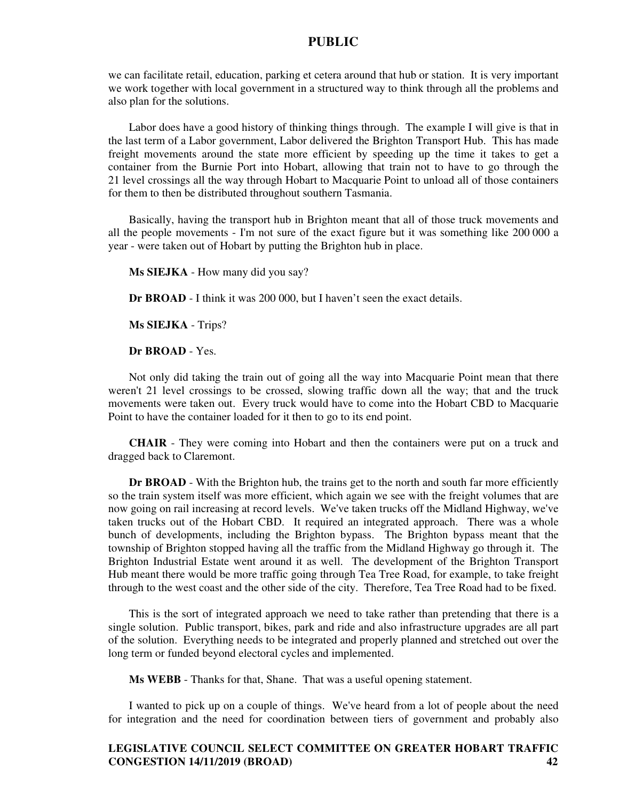we can facilitate retail, education, parking et cetera around that hub or station. It is very important we work together with local government in a structured way to think through all the problems and also plan for the solutions.

Labor does have a good history of thinking things through. The example I will give is that in the last term of a Labor government, Labor delivered the Brighton Transport Hub. This has made freight movements around the state more efficient by speeding up the time it takes to get a container from the Burnie Port into Hobart, allowing that train not to have to go through the 21 level crossings all the way through Hobart to Macquarie Point to unload all of those containers for them to then be distributed throughout southern Tasmania.

Basically, having the transport hub in Brighton meant that all of those truck movements and all the people movements - I'm not sure of the exact figure but it was something like 200 000 a year - were taken out of Hobart by putting the Brighton hub in place.

**Ms SIEJKA** - How many did you say?

**Dr BROAD** - I think it was 200 000, but I haven't seen the exact details.

**Ms SIEJKA** - Trips?

**Dr BROAD** - Yes.

Not only did taking the train out of going all the way into Macquarie Point mean that there weren't 21 level crossings to be crossed, slowing traffic down all the way; that and the truck movements were taken out. Every truck would have to come into the Hobart CBD to Macquarie Point to have the container loaded for it then to go to its end point.

**CHAIR** - They were coming into Hobart and then the containers were put on a truck and dragged back to Claremont.

**Dr BROAD** - With the Brighton hub, the trains get to the north and south far more efficiently so the train system itself was more efficient, which again we see with the freight volumes that are now going on rail increasing at record levels. We've taken trucks off the Midland Highway, we've taken trucks out of the Hobart CBD. It required an integrated approach. There was a whole bunch of developments, including the Brighton bypass. The Brighton bypass meant that the township of Brighton stopped having all the traffic from the Midland Highway go through it. The Brighton Industrial Estate went around it as well. The development of the Brighton Transport Hub meant there would be more traffic going through Tea Tree Road, for example, to take freight through to the west coast and the other side of the city. Therefore, Tea Tree Road had to be fixed.

This is the sort of integrated approach we need to take rather than pretending that there is a single solution. Public transport, bikes, park and ride and also infrastructure upgrades are all part of the solution. Everything needs to be integrated and properly planned and stretched out over the long term or funded beyond electoral cycles and implemented.

**Ms WEBB** - Thanks for that, Shane. That was a useful opening statement.

I wanted to pick up on a couple of things. We've heard from a lot of people about the need for integration and the need for coordination between tiers of government and probably also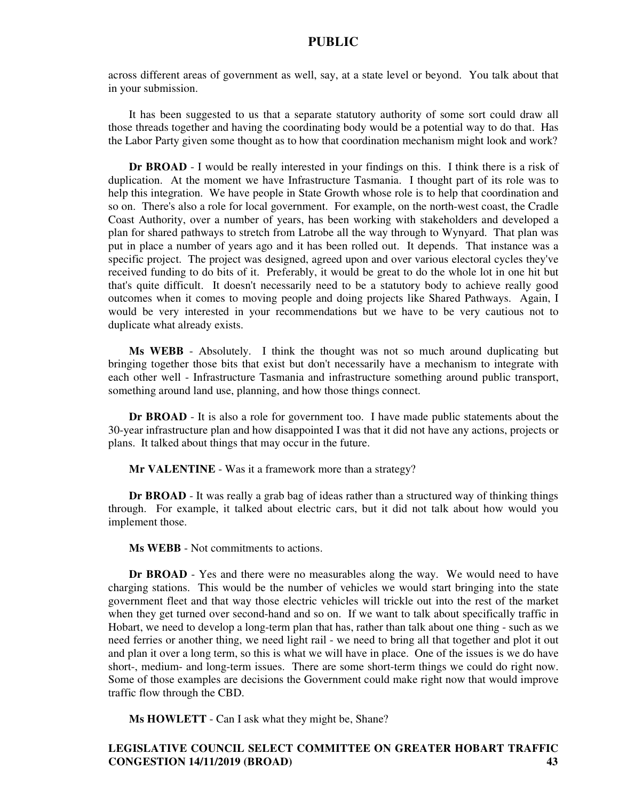across different areas of government as well, say, at a state level or beyond. You talk about that in your submission.

It has been suggested to us that a separate statutory authority of some sort could draw all those threads together and having the coordinating body would be a potential way to do that. Has the Labor Party given some thought as to how that coordination mechanism might look and work?

**Dr BROAD** - I would be really interested in your findings on this. I think there is a risk of duplication. At the moment we have Infrastructure Tasmania. I thought part of its role was to help this integration. We have people in State Growth whose role is to help that coordination and so on. There's also a role for local government. For example, on the north-west coast, the Cradle Coast Authority, over a number of years, has been working with stakeholders and developed a plan for shared pathways to stretch from Latrobe all the way through to Wynyard. That plan was put in place a number of years ago and it has been rolled out. It depends. That instance was a specific project. The project was designed, agreed upon and over various electoral cycles they've received funding to do bits of it. Preferably, it would be great to do the whole lot in one hit but that's quite difficult. It doesn't necessarily need to be a statutory body to achieve really good outcomes when it comes to moving people and doing projects like Shared Pathways. Again, I would be very interested in your recommendations but we have to be very cautious not to duplicate what already exists.

**Ms WEBB** - Absolutely. I think the thought was not so much around duplicating but bringing together those bits that exist but don't necessarily have a mechanism to integrate with each other well - Infrastructure Tasmania and infrastructure something around public transport, something around land use, planning, and how those things connect.

**Dr BROAD** - It is also a role for government too. I have made public statements about the 30-year infrastructure plan and how disappointed I was that it did not have any actions, projects or plans. It talked about things that may occur in the future.

**Mr VALENTINE** - Was it a framework more than a strategy?

**Dr BROAD** - It was really a grab bag of ideas rather than a structured way of thinking things through. For example, it talked about electric cars, but it did not talk about how would you implement those.

**Ms WEBB** - Not commitments to actions.

**Dr BROAD** - Yes and there were no measurables along the way. We would need to have charging stations. This would be the number of vehicles we would start bringing into the state government fleet and that way those electric vehicles will trickle out into the rest of the market when they get turned over second-hand and so on. If we want to talk about specifically traffic in Hobart, we need to develop a long-term plan that has, rather than talk about one thing - such as we need ferries or another thing, we need light rail - we need to bring all that together and plot it out and plan it over a long term, so this is what we will have in place. One of the issues is we do have short-, medium- and long-term issues. There are some short-term things we could do right now. Some of those examples are decisions the Government could make right now that would improve traffic flow through the CBD.

**Ms HOWLETT** - Can I ask what they might be, Shane?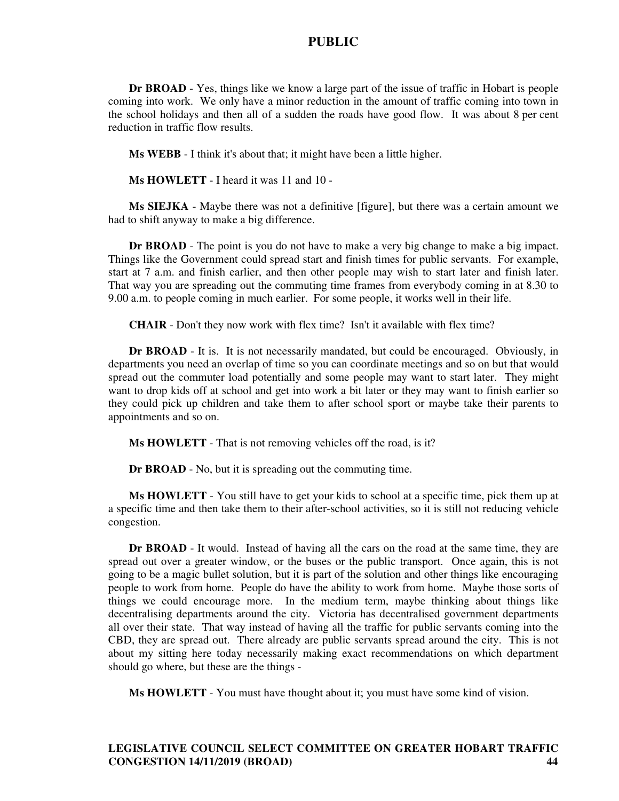**Dr BROAD** - Yes, things like we know a large part of the issue of traffic in Hobart is people coming into work. We only have a minor reduction in the amount of traffic coming into town in the school holidays and then all of a sudden the roads have good flow. It was about 8 per cent reduction in traffic flow results.

**Ms WEBB** - I think it's about that; it might have been a little higher.

**Ms HOWLETT** - I heard it was 11 and 10 -

**Ms SIEJKA** - Maybe there was not a definitive [figure], but there was a certain amount we had to shift anyway to make a big difference.

**Dr BROAD** - The point is you do not have to make a very big change to make a big impact. Things like the Government could spread start and finish times for public servants. For example, start at 7 a.m. and finish earlier, and then other people may wish to start later and finish later. That way you are spreading out the commuting time frames from everybody coming in at 8.30 to 9.00 a.m. to people coming in much earlier. For some people, it works well in their life.

**CHAIR** - Don't they now work with flex time? Isn't it available with flex time?

**Dr BROAD** - It is. It is not necessarily mandated, but could be encouraged. Obviously, in departments you need an overlap of time so you can coordinate meetings and so on but that would spread out the commuter load potentially and some people may want to start later. They might want to drop kids off at school and get into work a bit later or they may want to finish earlier so they could pick up children and take them to after school sport or maybe take their parents to appointments and so on.

**Ms HOWLETT** - That is not removing vehicles off the road, is it?

**Dr BROAD** - No, but it is spreading out the commuting time.

**Ms HOWLETT** - You still have to get your kids to school at a specific time, pick them up at a specific time and then take them to their after-school activities, so it is still not reducing vehicle congestion.

**Dr BROAD** - It would. Instead of having all the cars on the road at the same time, they are spread out over a greater window, or the buses or the public transport. Once again, this is not going to be a magic bullet solution, but it is part of the solution and other things like encouraging people to work from home. People do have the ability to work from home. Maybe those sorts of things we could encourage more. In the medium term, maybe thinking about things like decentralising departments around the city. Victoria has decentralised government departments all over their state. That way instead of having all the traffic for public servants coming into the CBD, they are spread out. There already are public servants spread around the city. This is not about my sitting here today necessarily making exact recommendations on which department should go where, but these are the things -

**Ms HOWLETT** - You must have thought about it; you must have some kind of vision.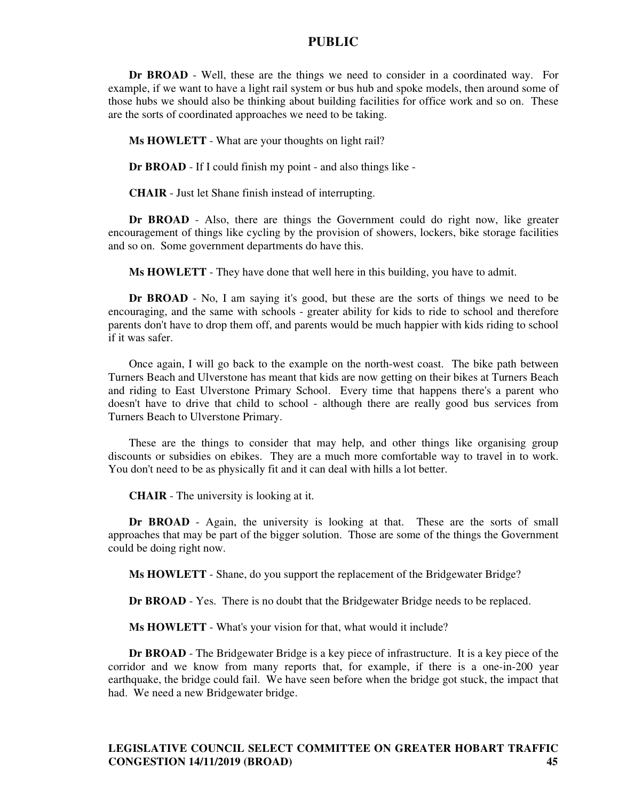**Dr BROAD** - Well, these are the things we need to consider in a coordinated way. For example, if we want to have a light rail system or bus hub and spoke models, then around some of those hubs we should also be thinking about building facilities for office work and so on. These are the sorts of coordinated approaches we need to be taking.

**Ms HOWLETT** - What are your thoughts on light rail?

**Dr BROAD** - If I could finish my point - and also things like -

**CHAIR** - Just let Shane finish instead of interrupting.

**Dr BROAD** - Also, there are things the Government could do right now, like greater encouragement of things like cycling by the provision of showers, lockers, bike storage facilities and so on. Some government departments do have this.

**Ms HOWLETT** - They have done that well here in this building, you have to admit.

**Dr BROAD** - No, I am saying it's good, but these are the sorts of things we need to be encouraging, and the same with schools - greater ability for kids to ride to school and therefore parents don't have to drop them off, and parents would be much happier with kids riding to school if it was safer.

Once again, I will go back to the example on the north-west coast. The bike path between Turners Beach and Ulverstone has meant that kids are now getting on their bikes at Turners Beach and riding to East Ulverstone Primary School. Every time that happens there's a parent who doesn't have to drive that child to school - although there are really good bus services from Turners Beach to Ulverstone Primary.

These are the things to consider that may help, and other things like organising group discounts or subsidies on ebikes. They are a much more comfortable way to travel in to work. You don't need to be as physically fit and it can deal with hills a lot better.

**CHAIR** - The university is looking at it.

**Dr BROAD** - Again, the university is looking at that. These are the sorts of small approaches that may be part of the bigger solution. Those are some of the things the Government could be doing right now.

**Ms HOWLETT** - Shane, do you support the replacement of the Bridgewater Bridge?

**Dr BROAD** - Yes. There is no doubt that the Bridgewater Bridge needs to be replaced.

**Ms HOWLETT** - What's your vision for that, what would it include?

**Dr BROAD** - The Bridgewater Bridge is a key piece of infrastructure. It is a key piece of the corridor and we know from many reports that, for example, if there is a one-in-200 year earthquake, the bridge could fail. We have seen before when the bridge got stuck, the impact that had. We need a new Bridgewater bridge.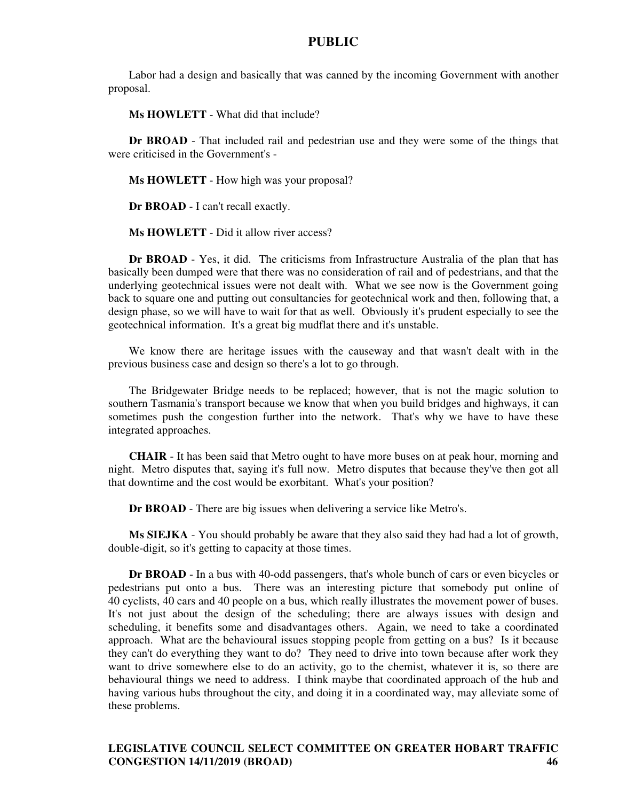Labor had a design and basically that was canned by the incoming Government with another proposal.

**Ms HOWLETT** - What did that include?

**Dr BROAD** - That included rail and pedestrian use and they were some of the things that were criticised in the Government's -

**Ms HOWLETT** - How high was your proposal?

**Dr BROAD** - I can't recall exactly.

**Ms HOWLETT** - Did it allow river access?

**Dr BROAD** - Yes, it did. The criticisms from Infrastructure Australia of the plan that has basically been dumped were that there was no consideration of rail and of pedestrians, and that the underlying geotechnical issues were not dealt with. What we see now is the Government going back to square one and putting out consultancies for geotechnical work and then, following that, a design phase, so we will have to wait for that as well. Obviously it's prudent especially to see the geotechnical information. It's a great big mudflat there and it's unstable.

We know there are heritage issues with the causeway and that wasn't dealt with in the previous business case and design so there's a lot to go through.

The Bridgewater Bridge needs to be replaced; however, that is not the magic solution to southern Tasmania's transport because we know that when you build bridges and highways, it can sometimes push the congestion further into the network. That's why we have to have these integrated approaches.

**CHAIR** - It has been said that Metro ought to have more buses on at peak hour, morning and night. Metro disputes that, saying it's full now. Metro disputes that because they've then got all that downtime and the cost would be exorbitant. What's your position?

**Dr BROAD** - There are big issues when delivering a service like Metro's.

**Ms SIEJKA** - You should probably be aware that they also said they had had a lot of growth, double-digit, so it's getting to capacity at those times.

**Dr BROAD** - In a bus with 40-odd passengers, that's whole bunch of cars or even bicycles or pedestrians put onto a bus. There was an interesting picture that somebody put online of 40 cyclists, 40 cars and 40 people on a bus, which really illustrates the movement power of buses. It's not just about the design of the scheduling; there are always issues with design and scheduling, it benefits some and disadvantages others. Again, we need to take a coordinated approach. What are the behavioural issues stopping people from getting on a bus? Is it because they can't do everything they want to do? They need to drive into town because after work they want to drive somewhere else to do an activity, go to the chemist, whatever it is, so there are behavioural things we need to address. I think maybe that coordinated approach of the hub and having various hubs throughout the city, and doing it in a coordinated way, may alleviate some of these problems.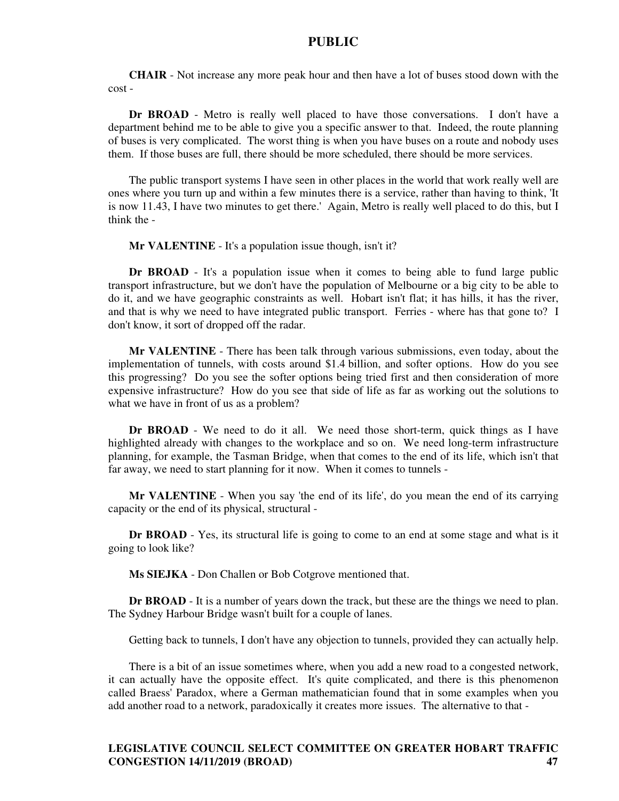**CHAIR** - Not increase any more peak hour and then have a lot of buses stood down with the cost -

**Dr BROAD** - Metro is really well placed to have those conversations. I don't have a department behind me to be able to give you a specific answer to that. Indeed, the route planning of buses is very complicated. The worst thing is when you have buses on a route and nobody uses them. If those buses are full, there should be more scheduled, there should be more services.

The public transport systems I have seen in other places in the world that work really well are ones where you turn up and within a few minutes there is a service, rather than having to think, 'It is now 11.43, I have two minutes to get there.' Again, Metro is really well placed to do this, but I think the -

**Mr VALENTINE** - It's a population issue though, isn't it?

**Dr BROAD** - It's a population issue when it comes to being able to fund large public transport infrastructure, but we don't have the population of Melbourne or a big city to be able to do it, and we have geographic constraints as well. Hobart isn't flat; it has hills, it has the river, and that is why we need to have integrated public transport. Ferries - where has that gone to? I don't know, it sort of dropped off the radar.

**Mr VALENTINE** - There has been talk through various submissions, even today, about the implementation of tunnels, with costs around \$1.4 billion, and softer options. How do you see this progressing? Do you see the softer options being tried first and then consideration of more expensive infrastructure? How do you see that side of life as far as working out the solutions to what we have in front of us as a problem?

**Dr BROAD** - We need to do it all. We need those short-term, quick things as I have highlighted already with changes to the workplace and so on. We need long-term infrastructure planning, for example, the Tasman Bridge, when that comes to the end of its life, which isn't that far away, we need to start planning for it now. When it comes to tunnels -

**Mr VALENTINE** - When you say 'the end of its life', do you mean the end of its carrying capacity or the end of its physical, structural -

**Dr BROAD** - Yes, its structural life is going to come to an end at some stage and what is it going to look like?

**Ms SIEJKA** - Don Challen or Bob Cotgrove mentioned that.

**Dr BROAD** - It is a number of years down the track, but these are the things we need to plan. The Sydney Harbour Bridge wasn't built for a couple of lanes.

Getting back to tunnels, I don't have any objection to tunnels, provided they can actually help.

There is a bit of an issue sometimes where, when you add a new road to a congested network, it can actually have the opposite effect. It's quite complicated, and there is this phenomenon called Braess' Paradox, where a German mathematician found that in some examples when you add another road to a network, paradoxically it creates more issues. The alternative to that -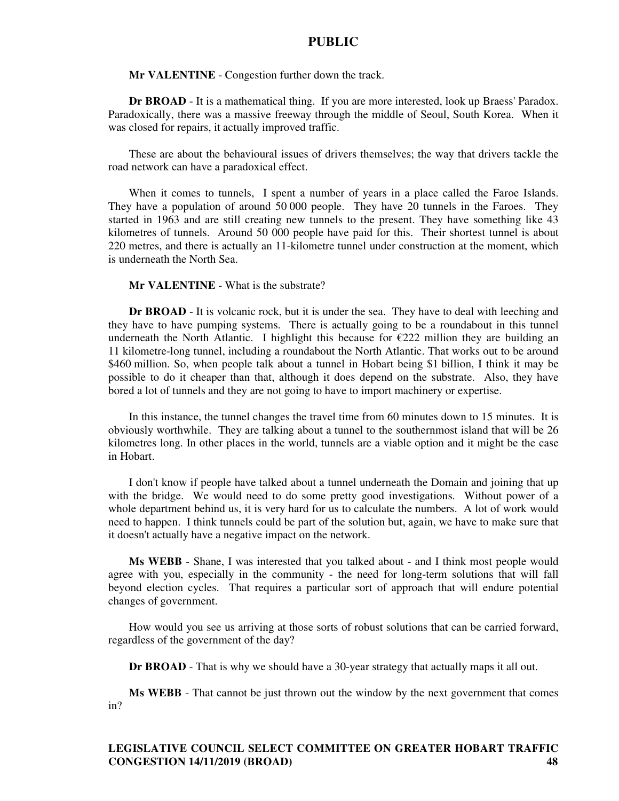**Mr VALENTINE** - Congestion further down the track.

**Dr BROAD** - It is a mathematical thing. If you are more interested, look up Braess' Paradox. Paradoxically, there was a massive freeway through the middle of Seoul, South Korea. When it was closed for repairs, it actually improved traffic.

These are about the behavioural issues of drivers themselves; the way that drivers tackle the road network can have a paradoxical effect.

When it comes to tunnels, I spent a number of years in a place called the Faroe Islands. They have a population of around 50 000 people. They have 20 tunnels in the Faroes. They started in 1963 and are still creating new tunnels to the present. They have something like 43 kilometres of tunnels. Around 50 000 people have paid for this. Their shortest tunnel is about 220 metres, and there is actually an 11-kilometre tunnel under construction at the moment, which is underneath the North Sea.

#### **Mr VALENTINE** - What is the substrate?

**Dr BROAD** - It is volcanic rock, but it is under the sea. They have to deal with leeching and they have to have pumping systems. There is actually going to be a roundabout in this tunnel underneath the North Atlantic. I highlight this because for  $\epsilon$ 222 million they are building an 11 kilometre-long tunnel, including a roundabout the North Atlantic. That works out to be around \$460 million. So, when people talk about a tunnel in Hobart being \$1 billion, I think it may be possible to do it cheaper than that, although it does depend on the substrate. Also, they have bored a lot of tunnels and they are not going to have to import machinery or expertise.

In this instance, the tunnel changes the travel time from 60 minutes down to 15 minutes. It is obviously worthwhile. They are talking about a tunnel to the southernmost island that will be 26 kilometres long. In other places in the world, tunnels are a viable option and it might be the case in Hobart.

I don't know if people have talked about a tunnel underneath the Domain and joining that up with the bridge. We would need to do some pretty good investigations. Without power of a whole department behind us, it is very hard for us to calculate the numbers. A lot of work would need to happen. I think tunnels could be part of the solution but, again, we have to make sure that it doesn't actually have a negative impact on the network.

**Ms WEBB** - Shane, I was interested that you talked about - and I think most people would agree with you, especially in the community - the need for long-term solutions that will fall beyond election cycles. That requires a particular sort of approach that will endure potential changes of government.

How would you see us arriving at those sorts of robust solutions that can be carried forward, regardless of the government of the day?

**Dr BROAD** - That is why we should have a 30-year strategy that actually maps it all out.

**Ms WEBB** - That cannot be just thrown out the window by the next government that comes in?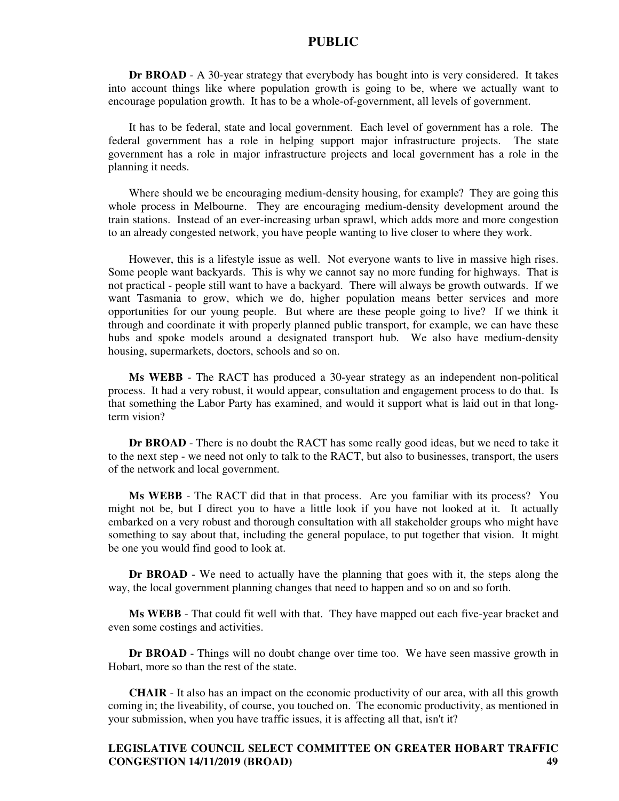**Dr BROAD** - A 30-year strategy that everybody has bought into is very considered. It takes into account things like where population growth is going to be, where we actually want to encourage population growth. It has to be a whole-of-government, all levels of government.

It has to be federal, state and local government. Each level of government has a role. The federal government has a role in helping support major infrastructure projects. The state government has a role in major infrastructure projects and local government has a role in the planning it needs.

Where should we be encouraging medium-density housing, for example? They are going this whole process in Melbourne. They are encouraging medium-density development around the train stations. Instead of an ever-increasing urban sprawl, which adds more and more congestion to an already congested network, you have people wanting to live closer to where they work.

However, this is a lifestyle issue as well. Not everyone wants to live in massive high rises. Some people want backyards. This is why we cannot say no more funding for highways. That is not practical - people still want to have a backyard. There will always be growth outwards. If we want Tasmania to grow, which we do, higher population means better services and more opportunities for our young people. But where are these people going to live? If we think it through and coordinate it with properly planned public transport, for example, we can have these hubs and spoke models around a designated transport hub. We also have medium-density housing, supermarkets, doctors, schools and so on.

**Ms WEBB** - The RACT has produced a 30-year strategy as an independent non-political process. It had a very robust, it would appear, consultation and engagement process to do that. Is that something the Labor Party has examined, and would it support what is laid out in that longterm vision?

**Dr BROAD** - There is no doubt the RACT has some really good ideas, but we need to take it to the next step - we need not only to talk to the RACT, but also to businesses, transport, the users of the network and local government.

**Ms WEBB** - The RACT did that in that process. Are you familiar with its process? You might not be, but I direct you to have a little look if you have not looked at it. It actually embarked on a very robust and thorough consultation with all stakeholder groups who might have something to say about that, including the general populace, to put together that vision. It might be one you would find good to look at.

**Dr BROAD** - We need to actually have the planning that goes with it, the steps along the way, the local government planning changes that need to happen and so on and so forth.

**Ms WEBB** - That could fit well with that. They have mapped out each five-year bracket and even some costings and activities.

**Dr BROAD** - Things will no doubt change over time too. We have seen massive growth in Hobart, more so than the rest of the state.

**CHAIR** - It also has an impact on the economic productivity of our area, with all this growth coming in; the liveability, of course, you touched on. The economic productivity, as mentioned in your submission, when you have traffic issues, it is affecting all that, isn't it?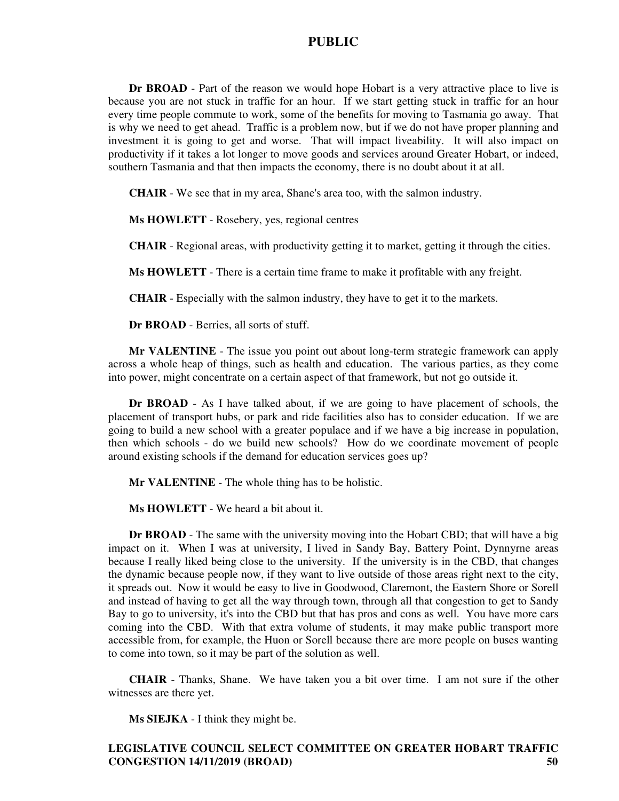**Dr BROAD** - Part of the reason we would hope Hobart is a very attractive place to live is because you are not stuck in traffic for an hour. If we start getting stuck in traffic for an hour every time people commute to work, some of the benefits for moving to Tasmania go away. That is why we need to get ahead. Traffic is a problem now, but if we do not have proper planning and investment it is going to get and worse. That will impact liveability. It will also impact on productivity if it takes a lot longer to move goods and services around Greater Hobart, or indeed, southern Tasmania and that then impacts the economy, there is no doubt about it at all.

**CHAIR** - We see that in my area, Shane's area too, with the salmon industry.

**Ms HOWLETT** - Rosebery, yes, regional centres

**CHAIR** - Regional areas, with productivity getting it to market, getting it through the cities.

**Ms HOWLETT** - There is a certain time frame to make it profitable with any freight.

**CHAIR** - Especially with the salmon industry, they have to get it to the markets.

**Dr BROAD** - Berries, all sorts of stuff.

**Mr VALENTINE** - The issue you point out about long-term strategic framework can apply across a whole heap of things, such as health and education. The various parties, as they come into power, might concentrate on a certain aspect of that framework, but not go outside it.

**Dr BROAD** - As I have talked about, if we are going to have placement of schools, the placement of transport hubs, or park and ride facilities also has to consider education. If we are going to build a new school with a greater populace and if we have a big increase in population, then which schools - do we build new schools? How do we coordinate movement of people around existing schools if the demand for education services goes up?

**Mr VALENTINE** - The whole thing has to be holistic.

**Ms HOWLETT** - We heard a bit about it.

**Dr BROAD** - The same with the university moving into the Hobart CBD; that will have a big impact on it. When I was at university, I lived in Sandy Bay, Battery Point, Dynnyrne areas because I really liked being close to the university. If the university is in the CBD, that changes the dynamic because people now, if they want to live outside of those areas right next to the city, it spreads out. Now it would be easy to live in Goodwood, Claremont, the Eastern Shore or Sorell and instead of having to get all the way through town, through all that congestion to get to Sandy Bay to go to university, it's into the CBD but that has pros and cons as well. You have more cars coming into the CBD. With that extra volume of students, it may make public transport more accessible from, for example, the Huon or Sorell because there are more people on buses wanting to come into town, so it may be part of the solution as well.

**CHAIR** - Thanks, Shane. We have taken you a bit over time. I am not sure if the other witnesses are there yet.

**Ms SIEJKA** - I think they might be.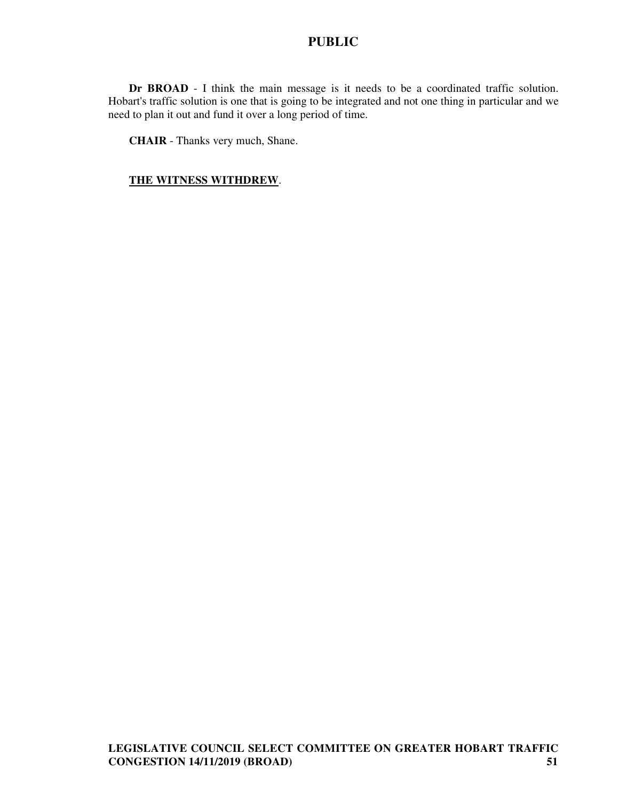**Dr BROAD** - I think the main message is it needs to be a coordinated traffic solution. Hobart's traffic solution is one that is going to be integrated and not one thing in particular and we need to plan it out and fund it over a long period of time.

**CHAIR** - Thanks very much, Shane.

#### **THE WITNESS WITHDREW**.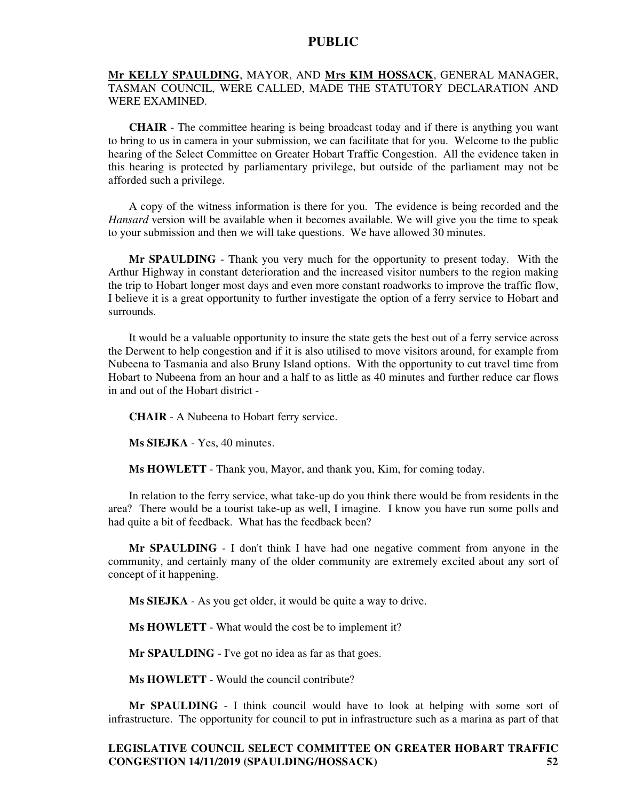#### **Mr KELLY SPAULDING**, MAYOR, AND **Mrs KIM HOSSACK**, GENERAL MANAGER, TASMAN COUNCIL, WERE CALLED, MADE THE STATUTORY DECLARATION AND WERE EXAMINED.

**CHAIR** - The committee hearing is being broadcast today and if there is anything you want to bring to us in camera in your submission, we can facilitate that for you. Welcome to the public hearing of the Select Committee on Greater Hobart Traffic Congestion. All the evidence taken in this hearing is protected by parliamentary privilege, but outside of the parliament may not be afforded such a privilege.

A copy of the witness information is there for you. The evidence is being recorded and the *Hansard* version will be available when it becomes available. We will give you the time to speak to your submission and then we will take questions. We have allowed 30 minutes.

**Mr SPAULDING** - Thank you very much for the opportunity to present today. With the Arthur Highway in constant deterioration and the increased visitor numbers to the region making the trip to Hobart longer most days and even more constant roadworks to improve the traffic flow, I believe it is a great opportunity to further investigate the option of a ferry service to Hobart and surrounds.

It would be a valuable opportunity to insure the state gets the best out of a ferry service across the Derwent to help congestion and if it is also utilised to move visitors around, for example from Nubeena to Tasmania and also Bruny Island options. With the opportunity to cut travel time from Hobart to Nubeena from an hour and a half to as little as 40 minutes and further reduce car flows in and out of the Hobart district -

**CHAIR** - A Nubeena to Hobart ferry service.

**Ms SIEJKA** - Yes, 40 minutes.

**Ms HOWLETT** - Thank you, Mayor, and thank you, Kim, for coming today.

In relation to the ferry service, what take-up do you think there would be from residents in the area? There would be a tourist take-up as well, I imagine. I know you have run some polls and had quite a bit of feedback. What has the feedback been?

**Mr SPAULDING** - I don't think I have had one negative comment from anyone in the community, and certainly many of the older community are extremely excited about any sort of concept of it happening.

**Ms SIEJKA** - As you get older, it would be quite a way to drive.

**Ms HOWLETT** - What would the cost be to implement it?

**Mr SPAULDING** - I've got no idea as far as that goes.

**Ms HOWLETT** - Would the council contribute?

**Mr SPAULDING** - I think council would have to look at helping with some sort of infrastructure. The opportunity for council to put in infrastructure such as a marina as part of that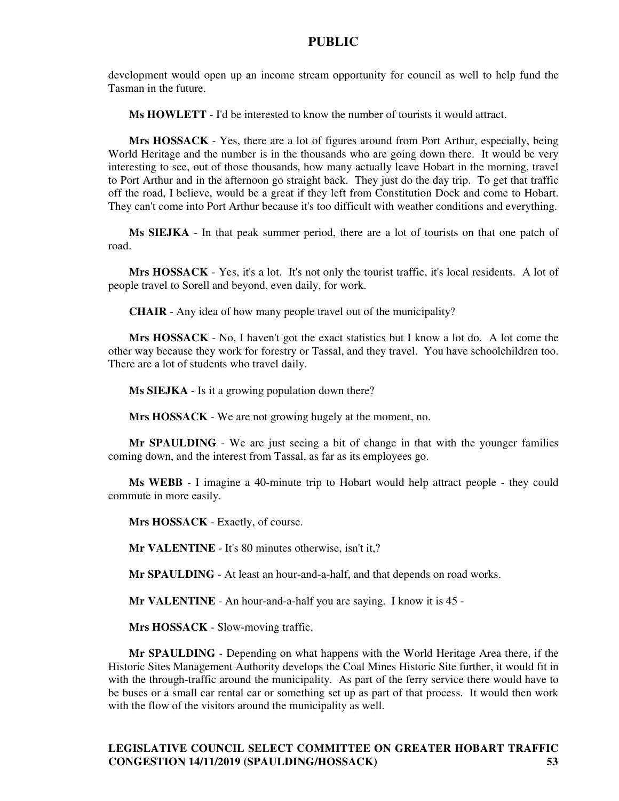development would open up an income stream opportunity for council as well to help fund the Tasman in the future.

**Ms HOWLETT** - I'd be interested to know the number of tourists it would attract.

**Mrs HOSSACK** - Yes, there are a lot of figures around from Port Arthur, especially, being World Heritage and the number is in the thousands who are going down there. It would be very interesting to see, out of those thousands, how many actually leave Hobart in the morning, travel to Port Arthur and in the afternoon go straight back. They just do the day trip. To get that traffic off the road, I believe, would be a great if they left from Constitution Dock and come to Hobart. They can't come into Port Arthur because it's too difficult with weather conditions and everything.

**Ms SIEJKA** - In that peak summer period, there are a lot of tourists on that one patch of road.

**Mrs HOSSACK** - Yes, it's a lot. It's not only the tourist traffic, it's local residents. A lot of people travel to Sorell and beyond, even daily, for work.

**CHAIR** - Any idea of how many people travel out of the municipality?

**Mrs HOSSACK** - No, I haven't got the exact statistics but I know a lot do. A lot come the other way because they work for forestry or Tassal, and they travel. You have schoolchildren too. There are a lot of students who travel daily.

**Ms SIEJKA** - Is it a growing population down there?

**Mrs HOSSACK** - We are not growing hugely at the moment, no.

**Mr SPAULDING** - We are just seeing a bit of change in that with the younger families coming down, and the interest from Tassal, as far as its employees go.

**Ms WEBB** - I imagine a 40-minute trip to Hobart would help attract people - they could commute in more easily.

**Mrs HOSSACK** - Exactly, of course.

**Mr VALENTINE** - It's 80 minutes otherwise, isn't it,?

**Mr SPAULDING** - At least an hour-and-a-half, and that depends on road works.

**Mr VALENTINE** - An hour-and-a-half you are saying. I know it is 45 -

**Mrs HOSSACK** - Slow-moving traffic.

**Mr SPAULDING** - Depending on what happens with the World Heritage Area there, if the Historic Sites Management Authority develops the Coal Mines Historic Site further, it would fit in with the through-traffic around the municipality. As part of the ferry service there would have to be buses or a small car rental car or something set up as part of that process. It would then work with the flow of the visitors around the municipality as well.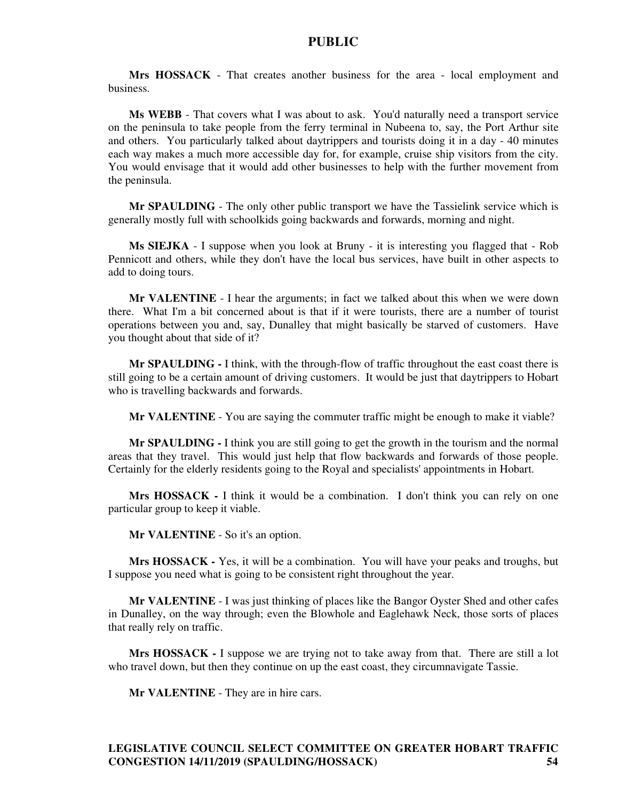**Mrs HOSSACK** - That creates another business for the area - local employment and business.

**Ms WEBB** - That covers what I was about to ask. You'd naturally need a transport service on the peninsula to take people from the ferry terminal in Nubeena to, say, the Port Arthur site and others. You particularly talked about daytrippers and tourists doing it in a day - 40 minutes each way makes a much more accessible day for, for example, cruise ship visitors from the city. You would envisage that it would add other businesses to help with the further movement from the peninsula.

**Mr SPAULDING** - The only other public transport we have the Tassielink service which is generally mostly full with schoolkids going backwards and forwards, morning and night.

**Ms SIEJKA** - I suppose when you look at Bruny - it is interesting you flagged that - Rob Pennicott and others, while they don't have the local bus services, have built in other aspects to add to doing tours.

**Mr VALENTINE** - I hear the arguments; in fact we talked about this when we were down there. What I'm a bit concerned about is that if it were tourists, there are a number of tourist operations between you and, say, Dunalley that might basically be starved of customers. Have you thought about that side of it?

**Mr SPAULDING -** I think, with the through-flow of traffic throughout the east coast there is still going to be a certain amount of driving customers. It would be just that daytrippers to Hobart who is travelling backwards and forwards.

**Mr VALENTINE** - You are saying the commuter traffic might be enough to make it viable?

**Mr SPAULDING -** I think you are still going to get the growth in the tourism and the normal areas that they travel. This would just help that flow backwards and forwards of those people. Certainly for the elderly residents going to the Royal and specialists' appointments in Hobart.

**Mrs HOSSACK -** I think it would be a combination. I don't think you can rely on one particular group to keep it viable.

**Mr VALENTINE** - So it's an option.

**Mrs HOSSACK -** Yes, it will be a combination. You will have your peaks and troughs, but I suppose you need what is going to be consistent right throughout the year.

**Mr VALENTINE** - I was just thinking of places like the Bangor Oyster Shed and other cafes in Dunalley, on the way through; even the Blowhole and Eaglehawk Neck, those sorts of places that really rely on traffic.

**Mrs HOSSACK -** I suppose we are trying not to take away from that. There are still a lot who travel down, but then they continue on up the east coast, they circumnavigate Tassie.

**Mr VALENTINE** - They are in hire cars.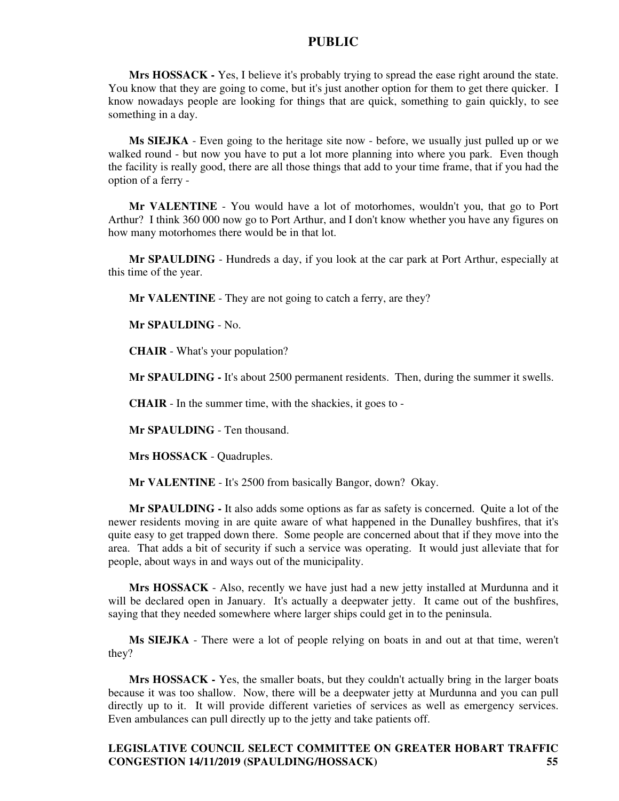**Mrs HOSSACK -** Yes, I believe it's probably trying to spread the ease right around the state. You know that they are going to come, but it's just another option for them to get there quicker. I know nowadays people are looking for things that are quick, something to gain quickly, to see something in a day.

**Ms SIEJKA** - Even going to the heritage site now - before, we usually just pulled up or we walked round - but now you have to put a lot more planning into where you park. Even though the facility is really good, there are all those things that add to your time frame, that if you had the option of a ferry -

**Mr VALENTINE** - You would have a lot of motorhomes, wouldn't you, that go to Port Arthur? I think 360 000 now go to Port Arthur, and I don't know whether you have any figures on how many motorhomes there would be in that lot.

**Mr SPAULDING** - Hundreds a day, if you look at the car park at Port Arthur, especially at this time of the year.

**Mr VALENTINE** - They are not going to catch a ferry, are they?

**Mr SPAULDING** - No.

**CHAIR** - What's your population?

**Mr SPAULDING -** It's about 2500 permanent residents. Then, during the summer it swells.

**CHAIR** - In the summer time, with the shackies, it goes to -

**Mr SPAULDING** - Ten thousand.

**Mrs HOSSACK** - Quadruples.

**Mr VALENTINE** - It's 2500 from basically Bangor, down? Okay.

**Mr SPAULDING -** It also adds some options as far as safety is concerned. Quite a lot of the newer residents moving in are quite aware of what happened in the Dunalley bushfires, that it's quite easy to get trapped down there. Some people are concerned about that if they move into the area. That adds a bit of security if such a service was operating. It would just alleviate that for people, about ways in and ways out of the municipality.

**Mrs HOSSACK** - Also, recently we have just had a new jetty installed at Murdunna and it will be declared open in January. It's actually a deepwater jetty. It came out of the bushfires, saying that they needed somewhere where larger ships could get in to the peninsula.

**Ms SIEJKA** - There were a lot of people relying on boats in and out at that time, weren't they?

**Mrs HOSSACK -** Yes, the smaller boats, but they couldn't actually bring in the larger boats because it was too shallow. Now, there will be a deepwater jetty at Murdunna and you can pull directly up to it. It will provide different varieties of services as well as emergency services. Even ambulances can pull directly up to the jetty and take patients off.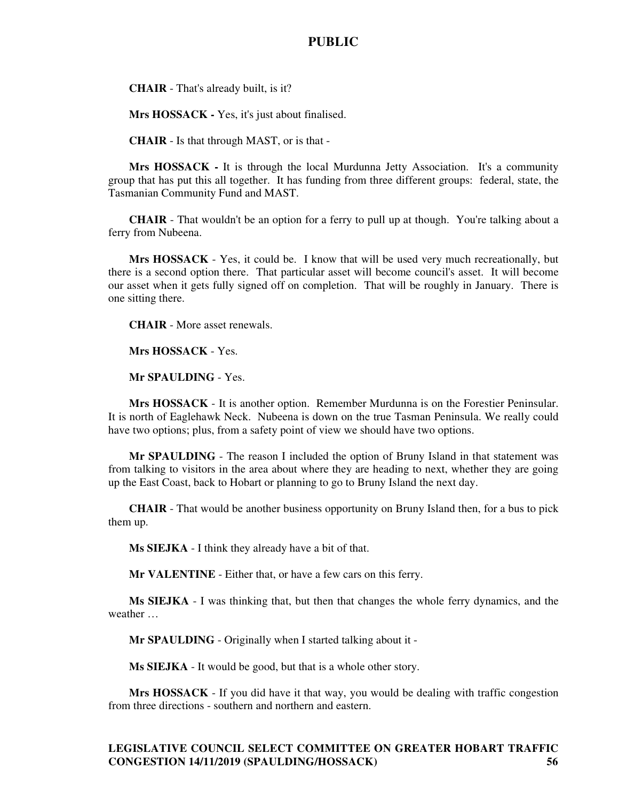**CHAIR** - That's already built, is it?

**Mrs HOSSACK -** Yes, it's just about finalised.

**CHAIR** - Is that through MAST, or is that -

**Mrs HOSSACK -** It is through the local Murdunna Jetty Association. It's a community group that has put this all together. It has funding from three different groups: federal, state, the Tasmanian Community Fund and MAST.

**CHAIR** - That wouldn't be an option for a ferry to pull up at though. You're talking about a ferry from Nubeena.

**Mrs HOSSACK** - Yes, it could be. I know that will be used very much recreationally, but there is a second option there. That particular asset will become council's asset. It will become our asset when it gets fully signed off on completion. That will be roughly in January. There is one sitting there.

**CHAIR** - More asset renewals.

**Mrs HOSSACK** - Yes.

**Mr SPAULDING** - Yes.

**Mrs HOSSACK** - It is another option. Remember Murdunna is on the Forestier Peninsular. It is north of Eaglehawk Neck. Nubeena is down on the true Tasman Peninsula. We really could have two options; plus, from a safety point of view we should have two options.

**Mr SPAULDING** - The reason I included the option of Bruny Island in that statement was from talking to visitors in the area about where they are heading to next, whether they are going up the East Coast, back to Hobart or planning to go to Bruny Island the next day.

**CHAIR** - That would be another business opportunity on Bruny Island then, for a bus to pick them up.

**Ms SIEJKA** - I think they already have a bit of that.

**Mr VALENTINE** - Either that, or have a few cars on this ferry.

**Ms SIEJKA** - I was thinking that, but then that changes the whole ferry dynamics, and the weather …

**Mr SPAULDING** - Originally when I started talking about it -

**Ms SIEJKA** - It would be good, but that is a whole other story.

**Mrs HOSSACK** - If you did have it that way, you would be dealing with traffic congestion from three directions - southern and northern and eastern.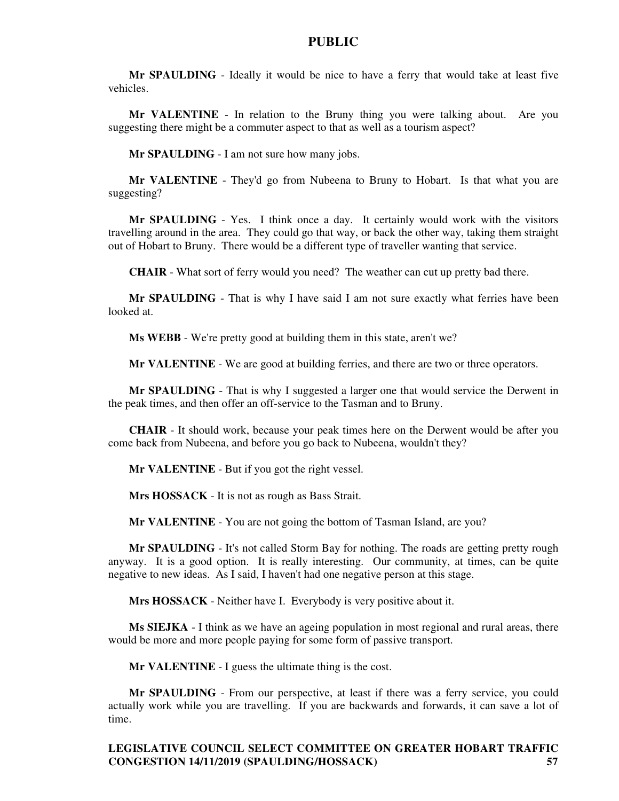**Mr SPAULDING** - Ideally it would be nice to have a ferry that would take at least five vehicles.

**Mr VALENTINE** - In relation to the Bruny thing you were talking about. Are you suggesting there might be a commuter aspect to that as well as a tourism aspect?

**Mr SPAULDING** - I am not sure how many jobs.

**Mr VALENTINE** - They'd go from Nubeena to Bruny to Hobart. Is that what you are suggesting?

**Mr SPAULDING** - Yes. I think once a day. It certainly would work with the visitors travelling around in the area. They could go that way, or back the other way, taking them straight out of Hobart to Bruny. There would be a different type of traveller wanting that service.

**CHAIR** - What sort of ferry would you need? The weather can cut up pretty bad there.

**Mr SPAULDING** - That is why I have said I am not sure exactly what ferries have been looked at.

**Ms WEBB** - We're pretty good at building them in this state, aren't we?

**Mr VALENTINE** - We are good at building ferries, and there are two or three operators.

**Mr SPAULDING** - That is why I suggested a larger one that would service the Derwent in the peak times, and then offer an off-service to the Tasman and to Bruny.

**CHAIR** - It should work, because your peak times here on the Derwent would be after you come back from Nubeena, and before you go back to Nubeena, wouldn't they?

**Mr VALENTINE** - But if you got the right vessel.

**Mrs HOSSACK** - It is not as rough as Bass Strait.

**Mr VALENTINE** - You are not going the bottom of Tasman Island, are you?

**Mr SPAULDING** - It's not called Storm Bay for nothing. The roads are getting pretty rough anyway. It is a good option. It is really interesting. Our community, at times, can be quite negative to new ideas. As I said, I haven't had one negative person at this stage.

**Mrs HOSSACK** - Neither have I. Everybody is very positive about it.

**Ms SIEJKA** - I think as we have an ageing population in most regional and rural areas, there would be more and more people paying for some form of passive transport.

**Mr VALENTINE** - I guess the ultimate thing is the cost.

**Mr SPAULDING** - From our perspective, at least if there was a ferry service, you could actually work while you are travelling. If you are backwards and forwards, it can save a lot of time.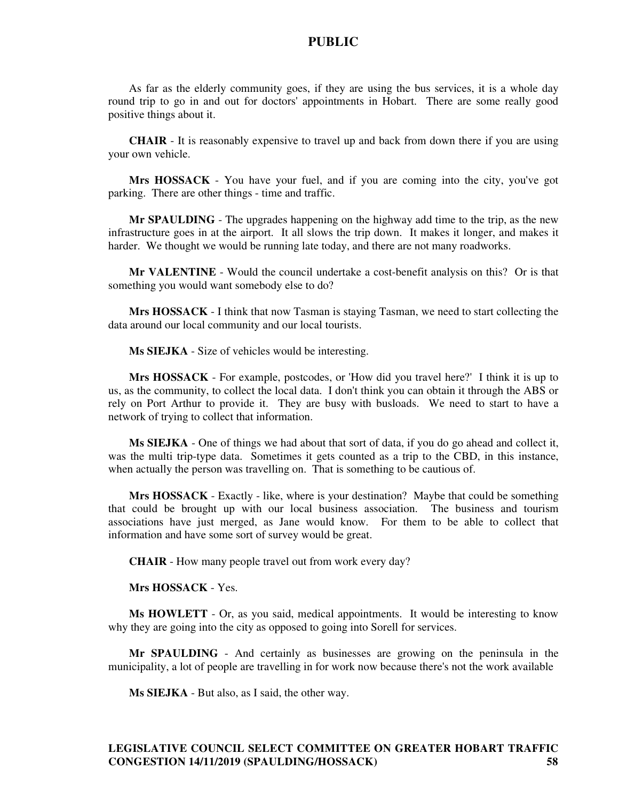As far as the elderly community goes, if they are using the bus services, it is a whole day round trip to go in and out for doctors' appointments in Hobart. There are some really good positive things about it.

**CHAIR** - It is reasonably expensive to travel up and back from down there if you are using your own vehicle.

**Mrs HOSSACK** - You have your fuel, and if you are coming into the city, you've got parking. There are other things - time and traffic.

**Mr SPAULDING** - The upgrades happening on the highway add time to the trip, as the new infrastructure goes in at the airport. It all slows the trip down. It makes it longer, and makes it harder. We thought we would be running late today, and there are not many roadworks.

**Mr VALENTINE** - Would the council undertake a cost-benefit analysis on this? Or is that something you would want somebody else to do?

**Mrs HOSSACK** - I think that now Tasman is staying Tasman, we need to start collecting the data around our local community and our local tourists.

**Ms SIEJKA** - Size of vehicles would be interesting.

**Mrs HOSSACK** - For example, postcodes, or 'How did you travel here?' I think it is up to us, as the community, to collect the local data. I don't think you can obtain it through the ABS or rely on Port Arthur to provide it. They are busy with busloads. We need to start to have a network of trying to collect that information.

**Ms SIEJKA** - One of things we had about that sort of data, if you do go ahead and collect it, was the multi trip-type data. Sometimes it gets counted as a trip to the CBD, in this instance, when actually the person was travelling on. That is something to be cautious of.

**Mrs HOSSACK** - Exactly - like, where is your destination? Maybe that could be something that could be brought up with our local business association. The business and tourism associations have just merged, as Jane would know. For them to be able to collect that information and have some sort of survey would be great.

**CHAIR** - How many people travel out from work every day?

**Mrs HOSSACK** - Yes.

**Ms HOWLETT** - Or, as you said, medical appointments. It would be interesting to know why they are going into the city as opposed to going into Sorell for services.

**Mr SPAULDING** - And certainly as businesses are growing on the peninsula in the municipality, a lot of people are travelling in for work now because there's not the work available

**Ms SIEJKA** - But also, as I said, the other way.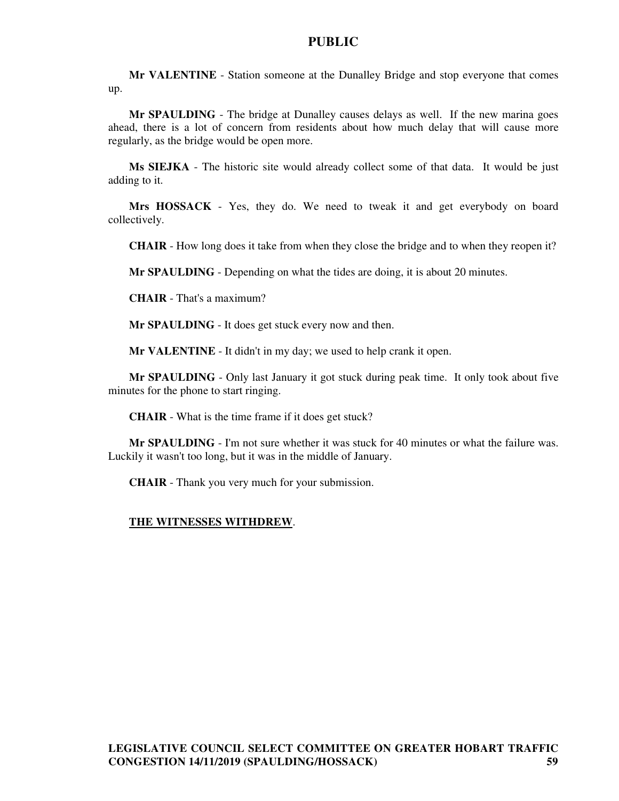**Mr VALENTINE** - Station someone at the Dunalley Bridge and stop everyone that comes up.

**Mr SPAULDING** - The bridge at Dunalley causes delays as well. If the new marina goes ahead, there is a lot of concern from residents about how much delay that will cause more regularly, as the bridge would be open more.

**Ms SIEJKA** - The historic site would already collect some of that data. It would be just adding to it.

**Mrs HOSSACK** - Yes, they do. We need to tweak it and get everybody on board collectively.

**CHAIR** - How long does it take from when they close the bridge and to when they reopen it?

**Mr SPAULDING** - Depending on what the tides are doing, it is about 20 minutes.

**CHAIR** - That's a maximum?

**Mr SPAULDING** - It does get stuck every now and then.

**Mr VALENTINE** - It didn't in my day; we used to help crank it open.

**Mr SPAULDING** - Only last January it got stuck during peak time. It only took about five minutes for the phone to start ringing.

**CHAIR** - What is the time frame if it does get stuck?

**Mr SPAULDING** - I'm not sure whether it was stuck for 40 minutes or what the failure was. Luckily it wasn't too long, but it was in the middle of January.

**CHAIR** - Thank you very much for your submission.

#### **THE WITNESSES WITHDREW**.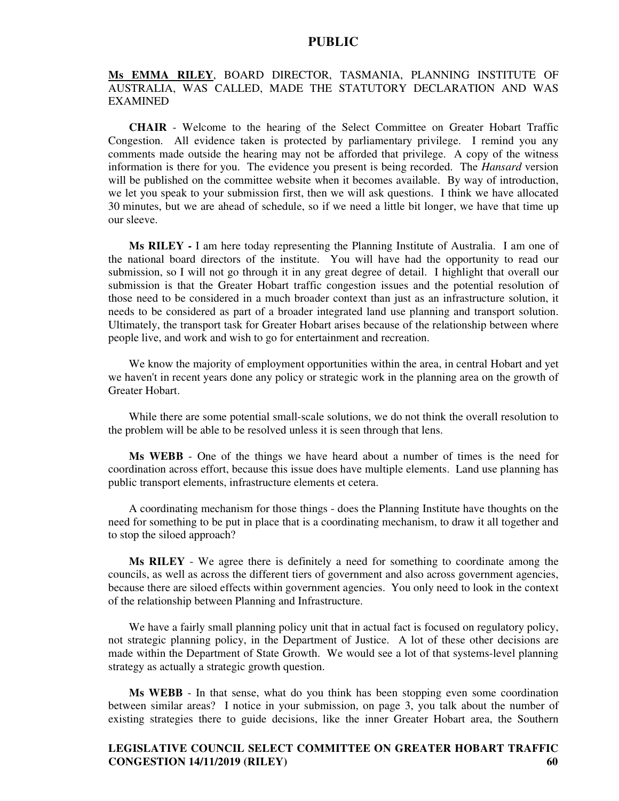## **Ms EMMA RILEY**, BOARD DIRECTOR, TASMANIA, PLANNING INSTITUTE OF AUSTRALIA, WAS CALLED, MADE THE STATUTORY DECLARATION AND WAS EXAMINED

**CHAIR** - Welcome to the hearing of the Select Committee on Greater Hobart Traffic Congestion. All evidence taken is protected by parliamentary privilege. I remind you any comments made outside the hearing may not be afforded that privilege. A copy of the witness information is there for you. The evidence you present is being recorded. The *Hansard* version will be published on the committee website when it becomes available. By way of introduction, we let you speak to your submission first, then we will ask questions. I think we have allocated 30 minutes, but we are ahead of schedule, so if we need a little bit longer, we have that time up our sleeve.

**Ms RILEY -** I am here today representing the Planning Institute of Australia. I am one of the national board directors of the institute. You will have had the opportunity to read our submission, so I will not go through it in any great degree of detail. I highlight that overall our submission is that the Greater Hobart traffic congestion issues and the potential resolution of those need to be considered in a much broader context than just as an infrastructure solution, it needs to be considered as part of a broader integrated land use planning and transport solution. Ultimately, the transport task for Greater Hobart arises because of the relationship between where people live, and work and wish to go for entertainment and recreation.

We know the majority of employment opportunities within the area, in central Hobart and yet we haven't in recent years done any policy or strategic work in the planning area on the growth of Greater Hobart.

While there are some potential small-scale solutions, we do not think the overall resolution to the problem will be able to be resolved unless it is seen through that lens.

**Ms WEBB** - One of the things we have heard about a number of times is the need for coordination across effort, because this issue does have multiple elements. Land use planning has public transport elements, infrastructure elements et cetera.

A coordinating mechanism for those things - does the Planning Institute have thoughts on the need for something to be put in place that is a coordinating mechanism, to draw it all together and to stop the siloed approach?

**Ms RILEY** - We agree there is definitely a need for something to coordinate among the councils, as well as across the different tiers of government and also across government agencies, because there are siloed effects within government agencies. You only need to look in the context of the relationship between Planning and Infrastructure.

We have a fairly small planning policy unit that in actual fact is focused on regulatory policy, not strategic planning policy, in the Department of Justice. A lot of these other decisions are made within the Department of State Growth. We would see a lot of that systems-level planning strategy as actually a strategic growth question.

**Ms WEBB** - In that sense, what do you think has been stopping even some coordination between similar areas? I notice in your submission, on page 3, you talk about the number of existing strategies there to guide decisions, like the inner Greater Hobart area, the Southern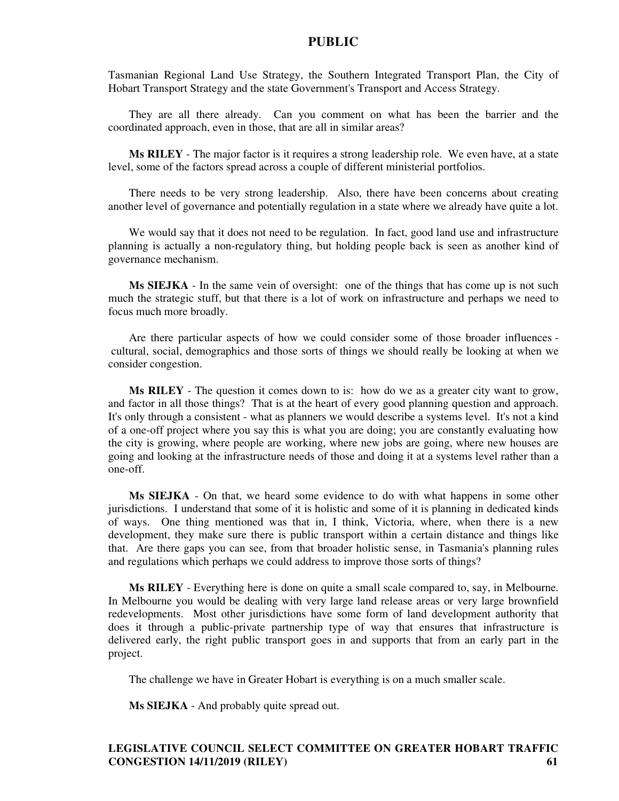Tasmanian Regional Land Use Strategy, the Southern Integrated Transport Plan, the City of Hobart Transport Strategy and the state Government's Transport and Access Strategy.

They are all there already. Can you comment on what has been the barrier and the coordinated approach, even in those, that are all in similar areas?

**Ms RILEY** - The major factor is it requires a strong leadership role. We even have, at a state level, some of the factors spread across a couple of different ministerial portfolios.

There needs to be very strong leadership. Also, there have been concerns about creating another level of governance and potentially regulation in a state where we already have quite a lot.

We would say that it does not need to be regulation. In fact, good land use and infrastructure planning is actually a non-regulatory thing, but holding people back is seen as another kind of governance mechanism.

**Ms SIEJKA** - In the same vein of oversight: one of the things that has come up is not such much the strategic stuff, but that there is a lot of work on infrastructure and perhaps we need to focus much more broadly.

Are there particular aspects of how we could consider some of those broader influences cultural, social, demographics and those sorts of things we should really be looking at when we consider congestion.

**Ms RILEY** - The question it comes down to is: how do we as a greater city want to grow, and factor in all those things? That is at the heart of every good planning question and approach. It's only through a consistent - what as planners we would describe a systems level. It's not a kind of a one-off project where you say this is what you are doing; you are constantly evaluating how the city is growing, where people are working, where new jobs are going, where new houses are going and looking at the infrastructure needs of those and doing it at a systems level rather than a one-off.

**Ms SIEJKA** - On that, we heard some evidence to do with what happens in some other jurisdictions. I understand that some of it is holistic and some of it is planning in dedicated kinds of ways. One thing mentioned was that in, I think, Victoria, where, when there is a new development, they make sure there is public transport within a certain distance and things like that. Are there gaps you can see, from that broader holistic sense, in Tasmania's planning rules and regulations which perhaps we could address to improve those sorts of things?

**Ms RILEY** - Everything here is done on quite a small scale compared to, say, in Melbourne. In Melbourne you would be dealing with very large land release areas or very large brownfield redevelopments. Most other jurisdictions have some form of land development authority that does it through a public-private partnership type of way that ensures that infrastructure is delivered early, the right public transport goes in and supports that from an early part in the project.

The challenge we have in Greater Hobart is everything is on a much smaller scale.

**Ms SIEJKA** - And probably quite spread out.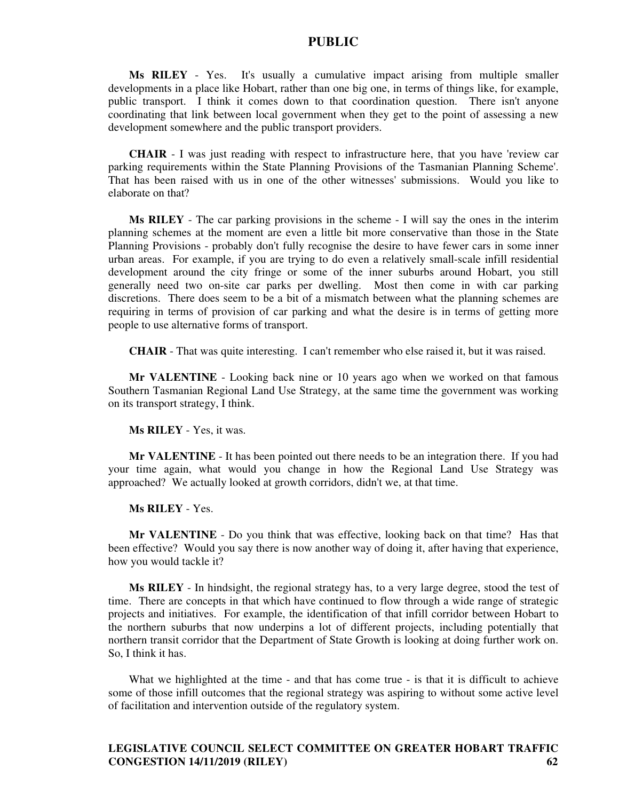**Ms RILEY** - Yes. It's usually a cumulative impact arising from multiple smaller developments in a place like Hobart, rather than one big one, in terms of things like, for example, public transport. I think it comes down to that coordination question. There isn't anyone coordinating that link between local government when they get to the point of assessing a new development somewhere and the public transport providers.

**CHAIR** - I was just reading with respect to infrastructure here, that you have 'review car parking requirements within the State Planning Provisions of the Tasmanian Planning Scheme'. That has been raised with us in one of the other witnesses' submissions. Would you like to elaborate on that?

**Ms RILEY** - The car parking provisions in the scheme - I will say the ones in the interim planning schemes at the moment are even a little bit more conservative than those in the State Planning Provisions - probably don't fully recognise the desire to have fewer cars in some inner urban areas. For example, if you are trying to do even a relatively small-scale infill residential development around the city fringe or some of the inner suburbs around Hobart, you still generally need two on-site car parks per dwelling. Most then come in with car parking discretions. There does seem to be a bit of a mismatch between what the planning schemes are requiring in terms of provision of car parking and what the desire is in terms of getting more people to use alternative forms of transport.

**CHAIR** - That was quite interesting. I can't remember who else raised it, but it was raised.

**Mr VALENTINE** - Looking back nine or 10 years ago when we worked on that famous Southern Tasmanian Regional Land Use Strategy, at the same time the government was working on its transport strategy, I think.

**Ms RILEY** - Yes, it was.

**Mr VALENTINE** - It has been pointed out there needs to be an integration there. If you had your time again, what would you change in how the Regional Land Use Strategy was approached? We actually looked at growth corridors, didn't we, at that time.

**Ms RILEY** - Yes.

**Mr VALENTINE** - Do you think that was effective, looking back on that time? Has that been effective? Would you say there is now another way of doing it, after having that experience, how you would tackle it?

**Ms RILEY** - In hindsight, the regional strategy has, to a very large degree, stood the test of time. There are concepts in that which have continued to flow through a wide range of strategic projects and initiatives. For example, the identification of that infill corridor between Hobart to the northern suburbs that now underpins a lot of different projects, including potentially that northern transit corridor that the Department of State Growth is looking at doing further work on. So, I think it has.

What we highlighted at the time - and that has come true - is that it is difficult to achieve some of those infill outcomes that the regional strategy was aspiring to without some active level of facilitation and intervention outside of the regulatory system.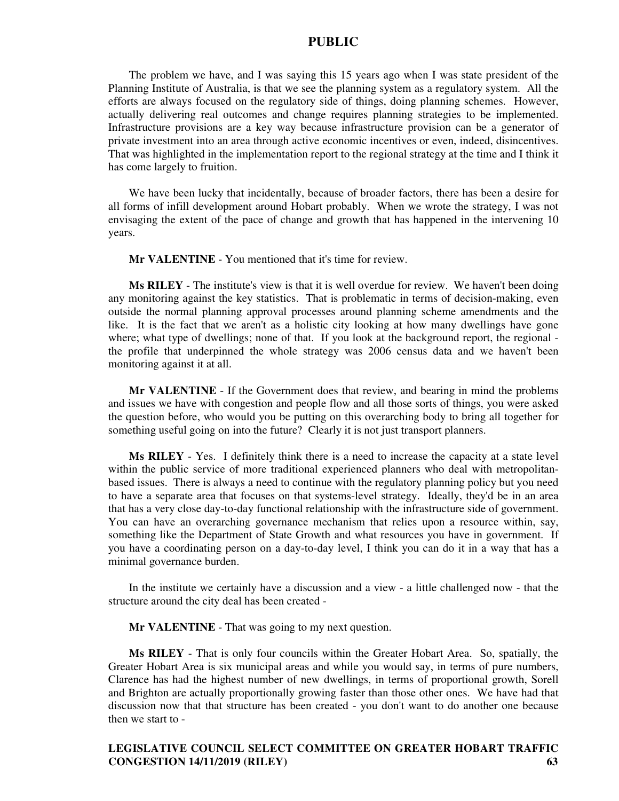The problem we have, and I was saying this 15 years ago when I was state president of the Planning Institute of Australia, is that we see the planning system as a regulatory system. All the efforts are always focused on the regulatory side of things, doing planning schemes. However, actually delivering real outcomes and change requires planning strategies to be implemented. Infrastructure provisions are a key way because infrastructure provision can be a generator of private investment into an area through active economic incentives or even, indeed, disincentives. That was highlighted in the implementation report to the regional strategy at the time and I think it has come largely to fruition.

We have been lucky that incidentally, because of broader factors, there has been a desire for all forms of infill development around Hobart probably. When we wrote the strategy, I was not envisaging the extent of the pace of change and growth that has happened in the intervening 10 years.

**Mr VALENTINE** - You mentioned that it's time for review.

**Ms RILEY** - The institute's view is that it is well overdue for review. We haven't been doing any monitoring against the key statistics. That is problematic in terms of decision-making, even outside the normal planning approval processes around planning scheme amendments and the like. It is the fact that we aren't as a holistic city looking at how many dwellings have gone where; what type of dwellings; none of that. If you look at the background report, the regional the profile that underpinned the whole strategy was 2006 census data and we haven't been monitoring against it at all.

**Mr VALENTINE** - If the Government does that review, and bearing in mind the problems and issues we have with congestion and people flow and all those sorts of things, you were asked the question before, who would you be putting on this overarching body to bring all together for something useful going on into the future? Clearly it is not just transport planners.

**Ms RILEY** - Yes. I definitely think there is a need to increase the capacity at a state level within the public service of more traditional experienced planners who deal with metropolitanbased issues. There is always a need to continue with the regulatory planning policy but you need to have a separate area that focuses on that systems-level strategy. Ideally, they'd be in an area that has a very close day-to-day functional relationship with the infrastructure side of government. You can have an overarching governance mechanism that relies upon a resource within, say, something like the Department of State Growth and what resources you have in government. If you have a coordinating person on a day-to-day level, I think you can do it in a way that has a minimal governance burden.

In the institute we certainly have a discussion and a view - a little challenged now - that the structure around the city deal has been created -

**Mr VALENTINE** - That was going to my next question.

**Ms RILEY** - That is only four councils within the Greater Hobart Area. So, spatially, the Greater Hobart Area is six municipal areas and while you would say, in terms of pure numbers, Clarence has had the highest number of new dwellings, in terms of proportional growth, Sorell and Brighton are actually proportionally growing faster than those other ones. We have had that discussion now that that structure has been created - you don't want to do another one because then we start to -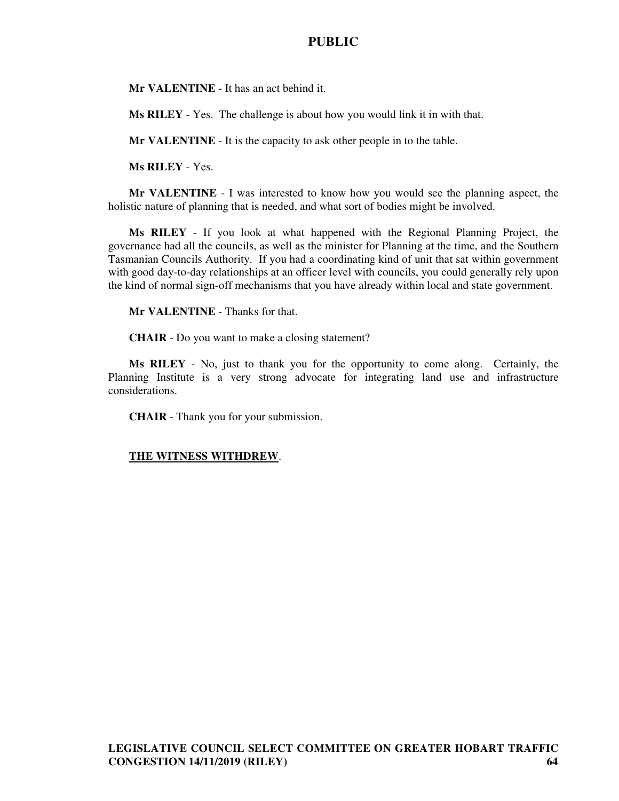**Mr VALENTINE** - It has an act behind it.

**Ms RILEY** - Yes. The challenge is about how you would link it in with that.

**Mr VALENTINE** - It is the capacity to ask other people in to the table.

**Ms RILEY** - Yes.

**Mr VALENTINE** - I was interested to know how you would see the planning aspect, the holistic nature of planning that is needed, and what sort of bodies might be involved.

**Ms RILEY** - If you look at what happened with the Regional Planning Project, the governance had all the councils, as well as the minister for Planning at the time, and the Southern Tasmanian Councils Authority. If you had a coordinating kind of unit that sat within government with good day-to-day relationships at an officer level with councils, you could generally rely upon the kind of normal sign-off mechanisms that you have already within local and state government.

**Mr VALENTINE** - Thanks for that.

**CHAIR** - Do you want to make a closing statement?

**Ms RILEY** - No, just to thank you for the opportunity to come along. Certainly, the Planning Institute is a very strong advocate for integrating land use and infrastructure considerations.

**CHAIR** - Thank you for your submission.

### **THE WITNESS WITHDREW**.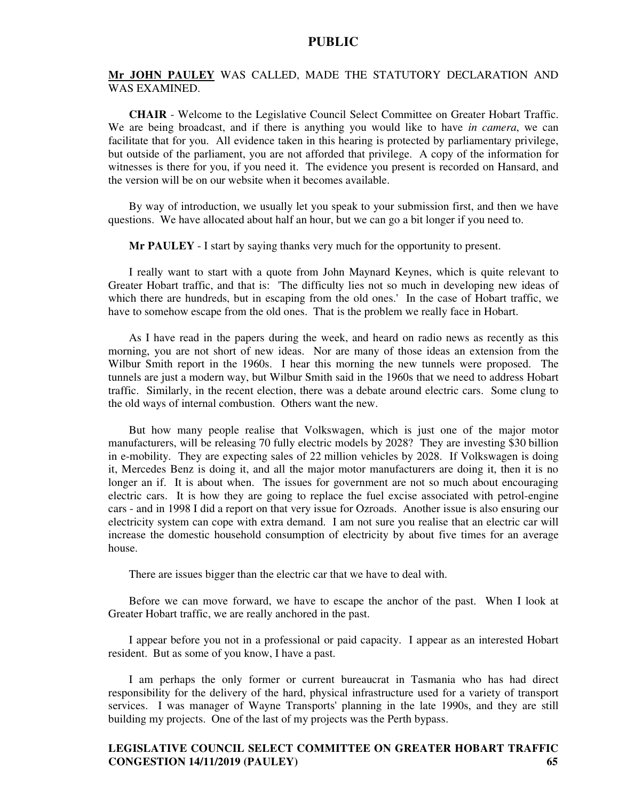#### **Mr JOHN PAULEY** WAS CALLED, MADE THE STATUTORY DECLARATION AND WAS EXAMINED.

**CHAIR** - Welcome to the Legislative Council Select Committee on Greater Hobart Traffic. We are being broadcast, and if there is anything you would like to have *in camera*, we can facilitate that for you. All evidence taken in this hearing is protected by parliamentary privilege, but outside of the parliament, you are not afforded that privilege. A copy of the information for witnesses is there for you, if you need it. The evidence you present is recorded on Hansard, and the version will be on our website when it becomes available.

By way of introduction, we usually let you speak to your submission first, and then we have questions. We have allocated about half an hour, but we can go a bit longer if you need to.

**Mr PAULEY** - I start by saying thanks very much for the opportunity to present.

I really want to start with a quote from John Maynard Keynes, which is quite relevant to Greater Hobart traffic, and that is: 'The difficulty lies not so much in developing new ideas of which there are hundreds, but in escaping from the old ones.' In the case of Hobart traffic, we have to somehow escape from the old ones. That is the problem we really face in Hobart.

As I have read in the papers during the week, and heard on radio news as recently as this morning, you are not short of new ideas. Nor are many of those ideas an extension from the Wilbur Smith report in the 1960s. I hear this morning the new tunnels were proposed. The tunnels are just a modern way, but Wilbur Smith said in the 1960s that we need to address Hobart traffic. Similarly, in the recent election, there was a debate around electric cars. Some clung to the old ways of internal combustion. Others want the new.

But how many people realise that Volkswagen, which is just one of the major motor manufacturers, will be releasing 70 fully electric models by 2028? They are investing \$30 billion in e-mobility. They are expecting sales of 22 million vehicles by 2028. If Volkswagen is doing it, Mercedes Benz is doing it, and all the major motor manufacturers are doing it, then it is no longer an if. It is about when. The issues for government are not so much about encouraging electric cars. It is how they are going to replace the fuel excise associated with petrol-engine cars - and in 1998 I did a report on that very issue for Ozroads. Another issue is also ensuring our electricity system can cope with extra demand. I am not sure you realise that an electric car will increase the domestic household consumption of electricity by about five times for an average house.

There are issues bigger than the electric car that we have to deal with.

Before we can move forward, we have to escape the anchor of the past. When I look at Greater Hobart traffic, we are really anchored in the past.

I appear before you not in a professional or paid capacity. I appear as an interested Hobart resident. But as some of you know, I have a past.

I am perhaps the only former or current bureaucrat in Tasmania who has had direct responsibility for the delivery of the hard, physical infrastructure used for a variety of transport services. I was manager of Wayne Transports' planning in the late 1990s, and they are still building my projects. One of the last of my projects was the Perth bypass.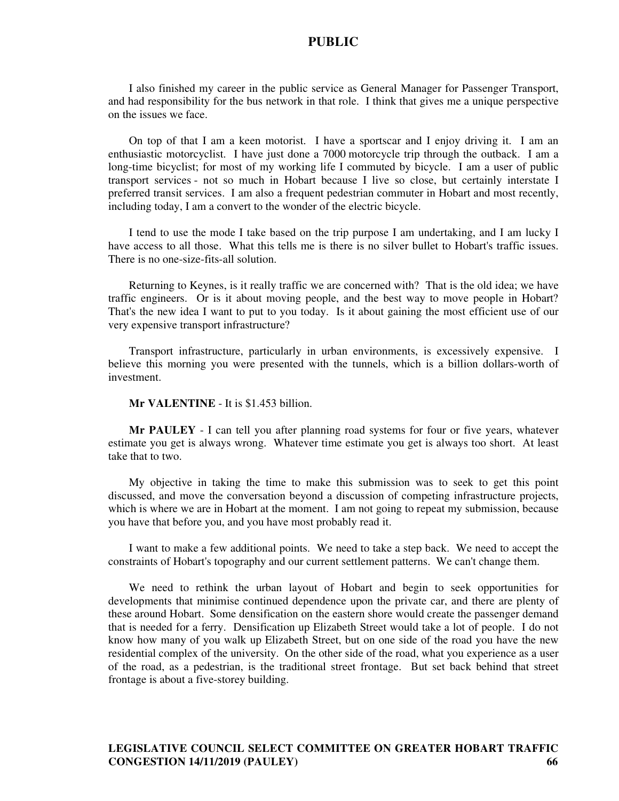I also finished my career in the public service as General Manager for Passenger Transport, and had responsibility for the bus network in that role. I think that gives me a unique perspective on the issues we face.

On top of that I am a keen motorist. I have a sportscar and I enjoy driving it. I am an enthusiastic motorcyclist. I have just done a 7000 motorcycle trip through the outback. I am a long-time bicyclist; for most of my working life I commuted by bicycle. I am a user of public transport services - not so much in Hobart because I live so close, but certainly interstate I preferred transit services. I am also a frequent pedestrian commuter in Hobart and most recently, including today, I am a convert to the wonder of the electric bicycle.

I tend to use the mode I take based on the trip purpose I am undertaking, and I am lucky I have access to all those. What this tells me is there is no silver bullet to Hobart's traffic issues. There is no one-size-fits-all solution.

Returning to Keynes, is it really traffic we are concerned with? That is the old idea; we have traffic engineers. Or is it about moving people, and the best way to move people in Hobart? That's the new idea I want to put to you today. Is it about gaining the most efficient use of our very expensive transport infrastructure?

Transport infrastructure, particularly in urban environments, is excessively expensive. I believe this morning you were presented with the tunnels, which is a billion dollars-worth of investment.

#### **Mr VALENTINE** - It is \$1.453 billion.

**Mr PAULEY** - I can tell you after planning road systems for four or five years, whatever estimate you get is always wrong. Whatever time estimate you get is always too short. At least take that to two.

My objective in taking the time to make this submission was to seek to get this point discussed, and move the conversation beyond a discussion of competing infrastructure projects, which is where we are in Hobart at the moment. I am not going to repeat my submission, because you have that before you, and you have most probably read it.

I want to make a few additional points. We need to take a step back. We need to accept the constraints of Hobart's topography and our current settlement patterns. We can't change them.

We need to rethink the urban layout of Hobart and begin to seek opportunities for developments that minimise continued dependence upon the private car, and there are plenty of these around Hobart. Some densification on the eastern shore would create the passenger demand that is needed for a ferry. Densification up Elizabeth Street would take a lot of people. I do not know how many of you walk up Elizabeth Street, but on one side of the road you have the new residential complex of the university. On the other side of the road, what you experience as a user of the road, as a pedestrian, is the traditional street frontage. But set back behind that street frontage is about a five-storey building.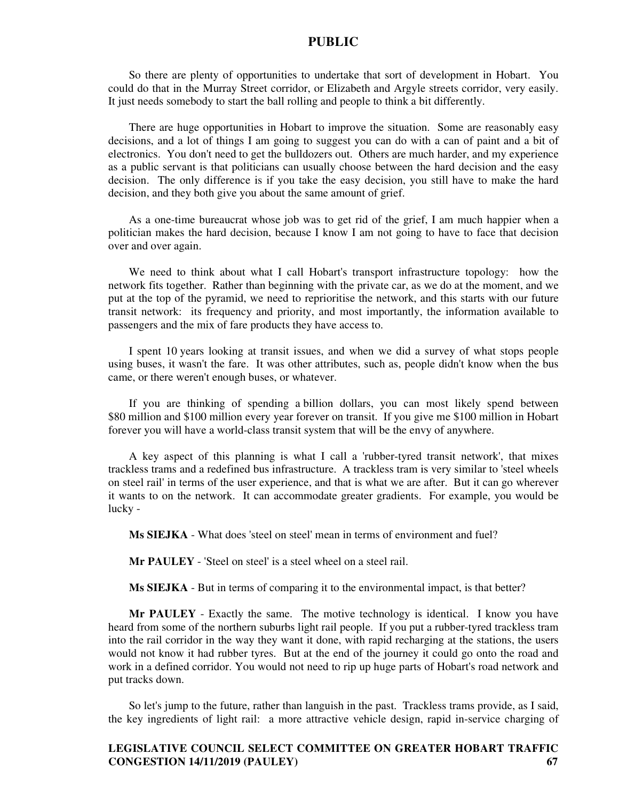So there are plenty of opportunities to undertake that sort of development in Hobart. You could do that in the Murray Street corridor, or Elizabeth and Argyle streets corridor, very easily. It just needs somebody to start the ball rolling and people to think a bit differently.

There are huge opportunities in Hobart to improve the situation. Some are reasonably easy decisions, and a lot of things I am going to suggest you can do with a can of paint and a bit of electronics. You don't need to get the bulldozers out. Others are much harder, and my experience as a public servant is that politicians can usually choose between the hard decision and the easy decision. The only difference is if you take the easy decision, you still have to make the hard decision, and they both give you about the same amount of grief.

As a one-time bureaucrat whose job was to get rid of the grief, I am much happier when a politician makes the hard decision, because I know I am not going to have to face that decision over and over again.

We need to think about what I call Hobart's transport infrastructure topology: how the network fits together. Rather than beginning with the private car, as we do at the moment, and we put at the top of the pyramid, we need to reprioritise the network, and this starts with our future transit network: its frequency and priority, and most importantly, the information available to passengers and the mix of fare products they have access to.

I spent 10 years looking at transit issues, and when we did a survey of what stops people using buses, it wasn't the fare. It was other attributes, such as, people didn't know when the bus came, or there weren't enough buses, or whatever.

If you are thinking of spending a billion dollars, you can most likely spend between \$80 million and \$100 million every year forever on transit. If you give me \$100 million in Hobart forever you will have a world-class transit system that will be the envy of anywhere.

A key aspect of this planning is what I call a 'rubber-tyred transit network', that mixes trackless trams and a redefined bus infrastructure. A trackless tram is very similar to 'steel wheels on steel rail' in terms of the user experience, and that is what we are after. But it can go wherever it wants to on the network. It can accommodate greater gradients. For example, you would be lucky -

**Ms SIEJKA** - What does 'steel on steel' mean in terms of environment and fuel?

**Mr PAULEY** - 'Steel on steel' is a steel wheel on a steel rail.

**Ms SIEJKA** - But in terms of comparing it to the environmental impact, is that better?

**Mr PAULEY** - Exactly the same. The motive technology is identical. I know you have heard from some of the northern suburbs light rail people. If you put a rubber-tyred trackless tram into the rail corridor in the way they want it done, with rapid recharging at the stations, the users would not know it had rubber tyres. But at the end of the journey it could go onto the road and work in a defined corridor. You would not need to rip up huge parts of Hobart's road network and put tracks down.

So let's jump to the future, rather than languish in the past. Trackless trams provide, as I said, the key ingredients of light rail: a more attractive vehicle design, rapid in-service charging of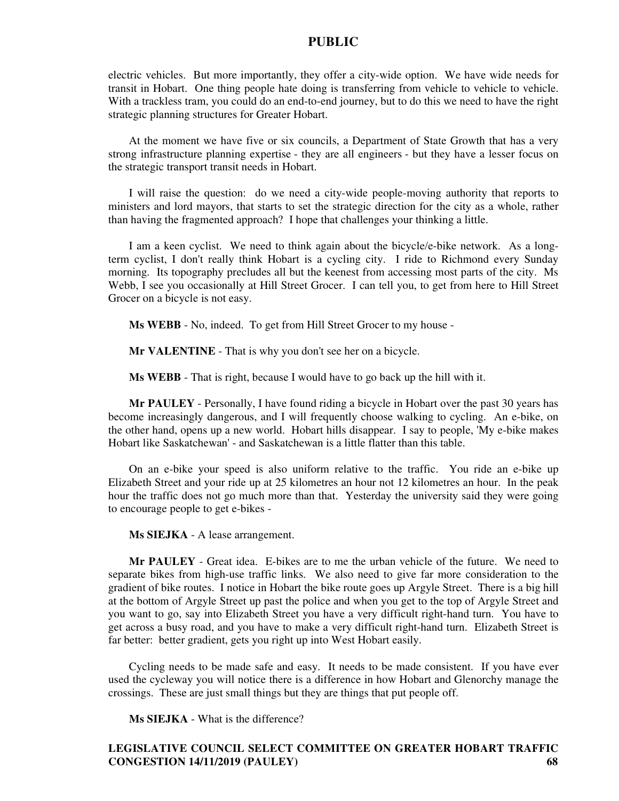electric vehicles. But more importantly, they offer a city-wide option. We have wide needs for transit in Hobart. One thing people hate doing is transferring from vehicle to vehicle to vehicle. With a trackless tram, you could do an end-to-end journey, but to do this we need to have the right strategic planning structures for Greater Hobart.

At the moment we have five or six councils, a Department of State Growth that has a very strong infrastructure planning expertise - they are all engineers - but they have a lesser focus on the strategic transport transit needs in Hobart.

I will raise the question: do we need a city-wide people-moving authority that reports to ministers and lord mayors, that starts to set the strategic direction for the city as a whole, rather than having the fragmented approach? I hope that challenges your thinking a little.

I am a keen cyclist. We need to think again about the bicycle/e-bike network. As a longterm cyclist, I don't really think Hobart is a cycling city. I ride to Richmond every Sunday morning. Its topography precludes all but the keenest from accessing most parts of the city. Ms Webb, I see you occasionally at Hill Street Grocer. I can tell you, to get from here to Hill Street Grocer on a bicycle is not easy.

**Ms WEBB** - No, indeed. To get from Hill Street Grocer to my house -

**Mr VALENTINE** - That is why you don't see her on a bicycle.

**Ms WEBB** - That is right, because I would have to go back up the hill with it.

**Mr PAULEY** - Personally, I have found riding a bicycle in Hobart over the past 30 years has become increasingly dangerous, and I will frequently choose walking to cycling. An e-bike, on the other hand, opens up a new world. Hobart hills disappear. I say to people, 'My e-bike makes Hobart like Saskatchewan' - and Saskatchewan is a little flatter than this table.

On an e-bike your speed is also uniform relative to the traffic. You ride an e-bike up Elizabeth Street and your ride up at 25 kilometres an hour not 12 kilometres an hour. In the peak hour the traffic does not go much more than that. Yesterday the university said they were going to encourage people to get e-bikes -

**Ms SIEJKA** - A lease arrangement.

**Mr PAULEY** - Great idea. E-bikes are to me the urban vehicle of the future. We need to separate bikes from high-use traffic links. We also need to give far more consideration to the gradient of bike routes. I notice in Hobart the bike route goes up Argyle Street. There is a big hill at the bottom of Argyle Street up past the police and when you get to the top of Argyle Street and you want to go, say into Elizabeth Street you have a very difficult right-hand turn. You have to get across a busy road, and you have to make a very difficult right-hand turn. Elizabeth Street is far better: better gradient, gets you right up into West Hobart easily.

Cycling needs to be made safe and easy. It needs to be made consistent. If you have ever used the cycleway you will notice there is a difference in how Hobart and Glenorchy manage the crossings. These are just small things but they are things that put people off.

**Ms SIEJKA** - What is the difference?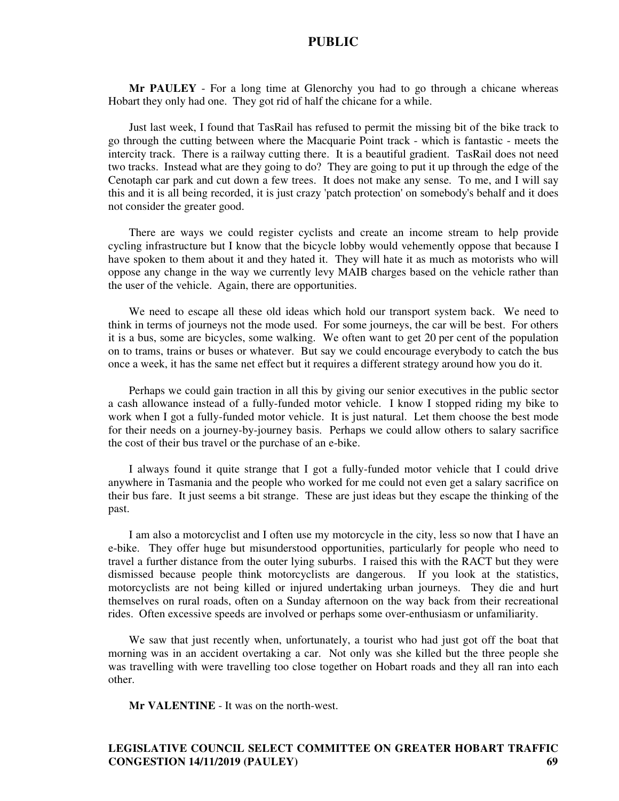**Mr PAULEY** - For a long time at Glenorchy you had to go through a chicane whereas Hobart they only had one. They got rid of half the chicane for a while.

Just last week, I found that TasRail has refused to permit the missing bit of the bike track to go through the cutting between where the Macquarie Point track - which is fantastic - meets the intercity track. There is a railway cutting there. It is a beautiful gradient. TasRail does not need two tracks. Instead what are they going to do? They are going to put it up through the edge of the Cenotaph car park and cut down a few trees. It does not make any sense. To me, and I will say this and it is all being recorded, it is just crazy 'patch protection' on somebody's behalf and it does not consider the greater good.

There are ways we could register cyclists and create an income stream to help provide cycling infrastructure but I know that the bicycle lobby would vehemently oppose that because I have spoken to them about it and they hated it. They will hate it as much as motorists who will oppose any change in the way we currently levy MAIB charges based on the vehicle rather than the user of the vehicle. Again, there are opportunities.

We need to escape all these old ideas which hold our transport system back. We need to think in terms of journeys not the mode used. For some journeys, the car will be best. For others it is a bus, some are bicycles, some walking. We often want to get 20 per cent of the population on to trams, trains or buses or whatever. But say we could encourage everybody to catch the bus once a week, it has the same net effect but it requires a different strategy around how you do it.

Perhaps we could gain traction in all this by giving our senior executives in the public sector a cash allowance instead of a fully-funded motor vehicle. I know I stopped riding my bike to work when I got a fully-funded motor vehicle. It is just natural. Let them choose the best mode for their needs on a journey-by-journey basis. Perhaps we could allow others to salary sacrifice the cost of their bus travel or the purchase of an e-bike.

I always found it quite strange that I got a fully-funded motor vehicle that I could drive anywhere in Tasmania and the people who worked for me could not even get a salary sacrifice on their bus fare. It just seems a bit strange. These are just ideas but they escape the thinking of the past.

I am also a motorcyclist and I often use my motorcycle in the city, less so now that I have an e-bike. They offer huge but misunderstood opportunities, particularly for people who need to travel a further distance from the outer lying suburbs. I raised this with the RACT but they were dismissed because people think motorcyclists are dangerous. If you look at the statistics, motorcyclists are not being killed or injured undertaking urban journeys. They die and hurt themselves on rural roads, often on a Sunday afternoon on the way back from their recreational rides. Often excessive speeds are involved or perhaps some over-enthusiasm or unfamiliarity.

We saw that just recently when, unfortunately, a tourist who had just got off the boat that morning was in an accident overtaking a car. Not only was she killed but the three people she was travelling with were travelling too close together on Hobart roads and they all ran into each other.

**Mr VALENTINE** - It was on the north-west.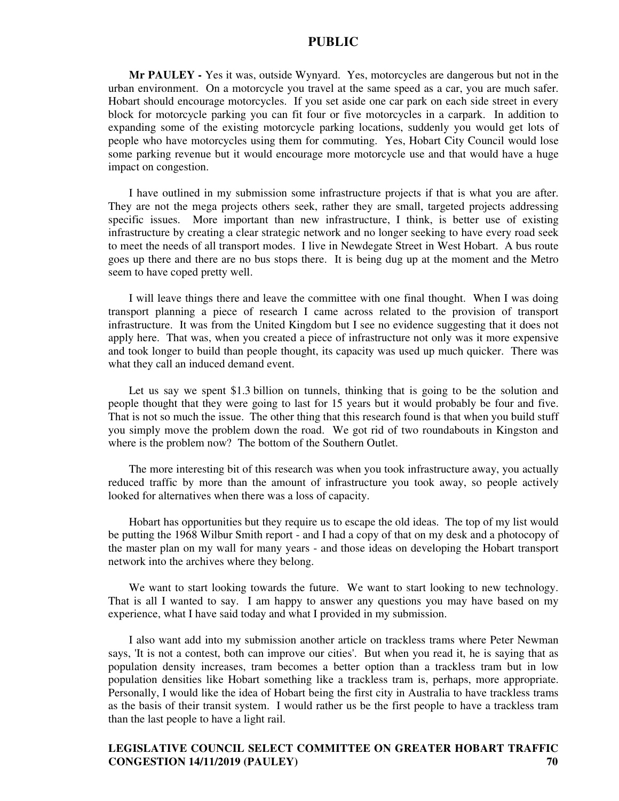**Mr PAULEY -** Yes it was, outside Wynyard. Yes, motorcycles are dangerous but not in the urban environment. On a motorcycle you travel at the same speed as a car, you are much safer. Hobart should encourage motorcycles. If you set aside one car park on each side street in every block for motorcycle parking you can fit four or five motorcycles in a carpark. In addition to expanding some of the existing motorcycle parking locations, suddenly you would get lots of people who have motorcycles using them for commuting. Yes, Hobart City Council would lose some parking revenue but it would encourage more motorcycle use and that would have a huge impact on congestion.

I have outlined in my submission some infrastructure projects if that is what you are after. They are not the mega projects others seek, rather they are small, targeted projects addressing specific issues. More important than new infrastructure, I think, is better use of existing infrastructure by creating a clear strategic network and no longer seeking to have every road seek to meet the needs of all transport modes. I live in Newdegate Street in West Hobart. A bus route goes up there and there are no bus stops there. It is being dug up at the moment and the Metro seem to have coped pretty well.

I will leave things there and leave the committee with one final thought. When I was doing transport planning a piece of research I came across related to the provision of transport infrastructure. It was from the United Kingdom but I see no evidence suggesting that it does not apply here. That was, when you created a piece of infrastructure not only was it more expensive and took longer to build than people thought, its capacity was used up much quicker. There was what they call an induced demand event.

Let us say we spent \$1.3 billion on tunnels, thinking that is going to be the solution and people thought that they were going to last for 15 years but it would probably be four and five. That is not so much the issue. The other thing that this research found is that when you build stuff you simply move the problem down the road. We got rid of two roundabouts in Kingston and where is the problem now? The bottom of the Southern Outlet.

The more interesting bit of this research was when you took infrastructure away, you actually reduced traffic by more than the amount of infrastructure you took away, so people actively looked for alternatives when there was a loss of capacity.

Hobart has opportunities but they require us to escape the old ideas. The top of my list would be putting the 1968 Wilbur Smith report - and I had a copy of that on my desk and a photocopy of the master plan on my wall for many years - and those ideas on developing the Hobart transport network into the archives where they belong.

We want to start looking towards the future. We want to start looking to new technology. That is all I wanted to say. I am happy to answer any questions you may have based on my experience, what I have said today and what I provided in my submission.

I also want add into my submission another article on trackless trams where Peter Newman says, 'It is not a contest, both can improve our cities'. But when you read it, he is saying that as population density increases, tram becomes a better option than a trackless tram but in low population densities like Hobart something like a trackless tram is, perhaps, more appropriate. Personally, I would like the idea of Hobart being the first city in Australia to have trackless trams as the basis of their transit system. I would rather us be the first people to have a trackless tram than the last people to have a light rail.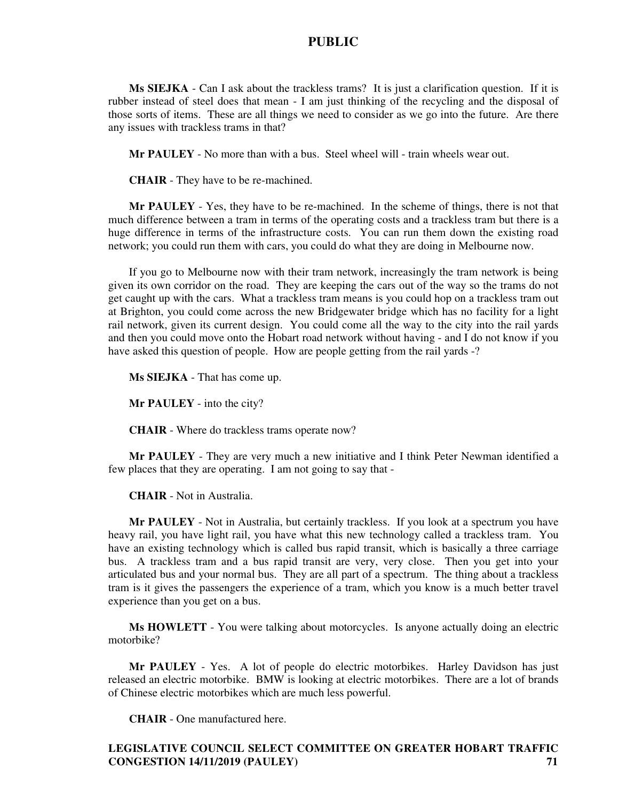**Ms SIEJKA** - Can I ask about the trackless trams? It is just a clarification question. If it is rubber instead of steel does that mean - I am just thinking of the recycling and the disposal of those sorts of items. These are all things we need to consider as we go into the future. Are there any issues with trackless trams in that?

**Mr PAULEY** - No more than with a bus. Steel wheel will - train wheels wear out.

**CHAIR** - They have to be re-machined.

**Mr PAULEY** - Yes, they have to be re-machined. In the scheme of things, there is not that much difference between a tram in terms of the operating costs and a trackless tram but there is a huge difference in terms of the infrastructure costs. You can run them down the existing road network; you could run them with cars, you could do what they are doing in Melbourne now.

If you go to Melbourne now with their tram network, increasingly the tram network is being given its own corridor on the road. They are keeping the cars out of the way so the trams do not get caught up with the cars. What a trackless tram means is you could hop on a trackless tram out at Brighton, you could come across the new Bridgewater bridge which has no facility for a light rail network, given its current design. You could come all the way to the city into the rail yards and then you could move onto the Hobart road network without having - and I do not know if you have asked this question of people. How are people getting from the rail yards -?

**Ms SIEJKA** - That has come up.

**Mr PAULEY** - into the city?

**CHAIR** - Where do trackless trams operate now?

**Mr PAULEY** - They are very much a new initiative and I think Peter Newman identified a few places that they are operating. I am not going to say that -

**CHAIR** - Not in Australia.

**Mr PAULEY** - Not in Australia, but certainly trackless. If you look at a spectrum you have heavy rail, you have light rail, you have what this new technology called a trackless tram. You have an existing technology which is called bus rapid transit, which is basically a three carriage bus. A trackless tram and a bus rapid transit are very, very close. Then you get into your articulated bus and your normal bus. They are all part of a spectrum. The thing about a trackless tram is it gives the passengers the experience of a tram, which you know is a much better travel experience than you get on a bus.

**Ms HOWLETT** - You were talking about motorcycles. Is anyone actually doing an electric motorbike?

**Mr PAULEY** - Yes. A lot of people do electric motorbikes. Harley Davidson has just released an electric motorbike. BMW is looking at electric motorbikes. There are a lot of brands of Chinese electric motorbikes which are much less powerful.

**CHAIR** - One manufactured here.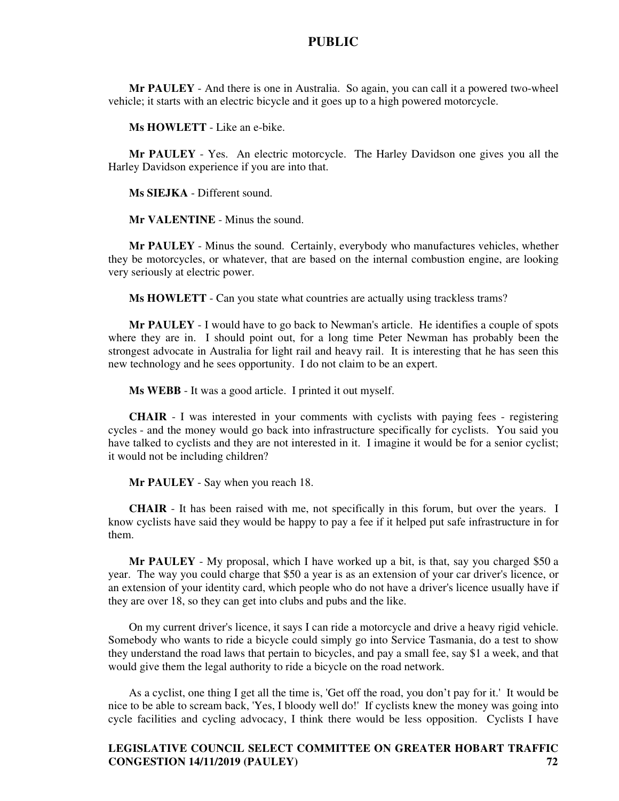**Mr PAULEY** - And there is one in Australia. So again, you can call it a powered two-wheel vehicle; it starts with an electric bicycle and it goes up to a high powered motorcycle.

**Ms HOWLETT** - Like an e-bike.

**Mr PAULEY** - Yes. An electric motorcycle. The Harley Davidson one gives you all the Harley Davidson experience if you are into that.

**Ms SIEJKA** - Different sound.

**Mr VALENTINE** - Minus the sound.

**Mr PAULEY** - Minus the sound. Certainly, everybody who manufactures vehicles, whether they be motorcycles, or whatever, that are based on the internal combustion engine, are looking very seriously at electric power.

**Ms HOWLETT** - Can you state what countries are actually using trackless trams?

**Mr PAULEY** - I would have to go back to Newman's article. He identifies a couple of spots where they are in. I should point out, for a long time Peter Newman has probably been the strongest advocate in Australia for light rail and heavy rail. It is interesting that he has seen this new technology and he sees opportunity. I do not claim to be an expert.

**Ms WEBB** - It was a good article. I printed it out myself.

**CHAIR** - I was interested in your comments with cyclists with paying fees - registering cycles - and the money would go back into infrastructure specifically for cyclists. You said you have talked to cyclists and they are not interested in it. I imagine it would be for a senior cyclist; it would not be including children?

**Mr PAULEY** - Say when you reach 18.

**CHAIR** - It has been raised with me, not specifically in this forum, but over the years. I know cyclists have said they would be happy to pay a fee if it helped put safe infrastructure in for them.

**Mr PAULEY** - My proposal, which I have worked up a bit, is that, say you charged \$50 a year. The way you could charge that \$50 a year is as an extension of your car driver's licence, or an extension of your identity card, which people who do not have a driver's licence usually have if they are over 18, so they can get into clubs and pubs and the like.

On my current driver's licence, it says I can ride a motorcycle and drive a heavy rigid vehicle. Somebody who wants to ride a bicycle could simply go into Service Tasmania, do a test to show they understand the road laws that pertain to bicycles, and pay a small fee, say \$1 a week, and that would give them the legal authority to ride a bicycle on the road network.

As a cyclist, one thing I get all the time is, 'Get off the road, you don't pay for it.' It would be nice to be able to scream back, 'Yes, I bloody well do!' If cyclists knew the money was going into cycle facilities and cycling advocacy, I think there would be less opposition. Cyclists I have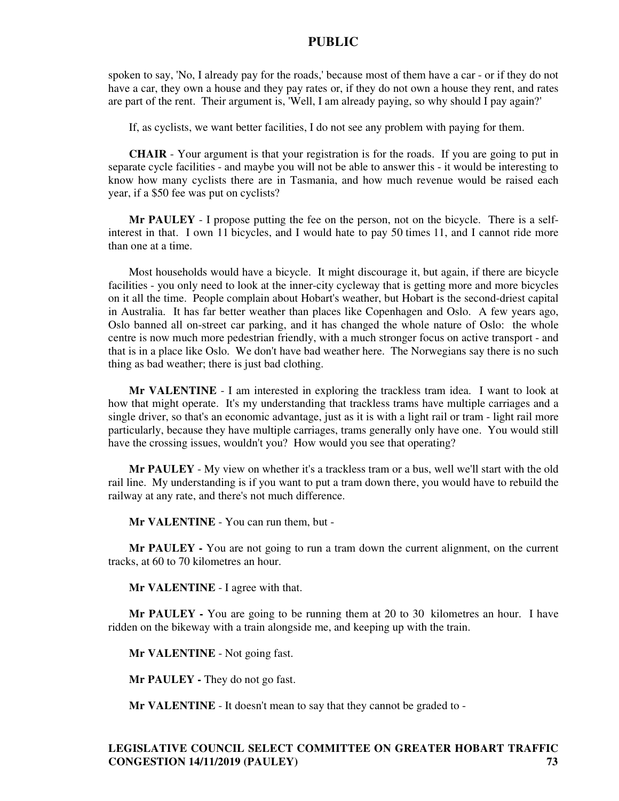spoken to say, 'No, I already pay for the roads,' because most of them have a car - or if they do not have a car, they own a house and they pay rates or, if they do not own a house they rent, and rates are part of the rent. Their argument is, 'Well, I am already paying, so why should I pay again?'

If, as cyclists, we want better facilities, I do not see any problem with paying for them.

**CHAIR** - Your argument is that your registration is for the roads. If you are going to put in separate cycle facilities - and maybe you will not be able to answer this - it would be interesting to know how many cyclists there are in Tasmania, and how much revenue would be raised each year, if a \$50 fee was put on cyclists?

**Mr PAULEY** - I propose putting the fee on the person, not on the bicycle. There is a selfinterest in that. I own 11 bicycles, and I would hate to pay 50 times 11, and I cannot ride more than one at a time.

Most households would have a bicycle. It might discourage it, but again, if there are bicycle facilities - you only need to look at the inner-city cycleway that is getting more and more bicycles on it all the time. People complain about Hobart's weather, but Hobart is the second-driest capital in Australia. It has far better weather than places like Copenhagen and Oslo. A few years ago, Oslo banned all on-street car parking, and it has changed the whole nature of Oslo: the whole centre is now much more pedestrian friendly, with a much stronger focus on active transport - and that is in a place like Oslo. We don't have bad weather here. The Norwegians say there is no such thing as bad weather; there is just bad clothing.

**Mr VALENTINE** - I am interested in exploring the trackless tram idea. I want to look at how that might operate. It's my understanding that trackless trams have multiple carriages and a single driver, so that's an economic advantage, just as it is with a light rail or tram - light rail more particularly, because they have multiple carriages, trams generally only have one. You would still have the crossing issues, wouldn't you? How would you see that operating?

**Mr PAULEY** - My view on whether it's a trackless tram or a bus, well we'll start with the old rail line. My understanding is if you want to put a tram down there, you would have to rebuild the railway at any rate, and there's not much difference.

**Mr VALENTINE** - You can run them, but -

**Mr PAULEY -** You are not going to run a tram down the current alignment, on the current tracks, at 60 to 70 kilometres an hour.

**Mr VALENTINE** - I agree with that.

**Mr PAULEY -** You are going to be running them at 20 to 30 kilometres an hour. I have ridden on the bikeway with a train alongside me, and keeping up with the train.

**Mr VALENTINE** - Not going fast.

**Mr PAULEY -** They do not go fast.

**Mr VALENTINE** - It doesn't mean to say that they cannot be graded to -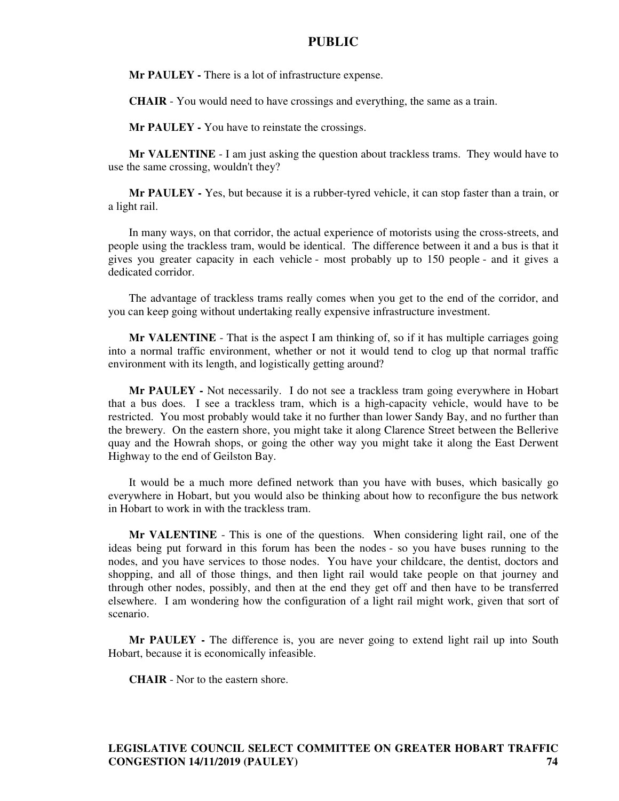**Mr PAULEY** - There is a lot of infrastructure expense.

**CHAIR** - You would need to have crossings and everything, the same as a train.

**Mr PAULEY -** You have to reinstate the crossings.

**Mr VALENTINE** - I am just asking the question about trackless trams. They would have to use the same crossing, wouldn't they?

**Mr PAULEY -** Yes, but because it is a rubber-tyred vehicle, it can stop faster than a train, or a light rail.

In many ways, on that corridor, the actual experience of motorists using the cross-streets, and people using the trackless tram, would be identical. The difference between it and a bus is that it gives you greater capacity in each vehicle - most probably up to 150 people - and it gives a dedicated corridor.

The advantage of trackless trams really comes when you get to the end of the corridor, and you can keep going without undertaking really expensive infrastructure investment.

**Mr VALENTINE** - That is the aspect I am thinking of, so if it has multiple carriages going into a normal traffic environment, whether or not it would tend to clog up that normal traffic environment with its length, and logistically getting around?

**Mr PAULEY -** Not necessarily. I do not see a trackless tram going everywhere in Hobart that a bus does. I see a trackless tram, which is a high-capacity vehicle, would have to be restricted. You most probably would take it no further than lower Sandy Bay, and no further than the brewery. On the eastern shore, you might take it along Clarence Street between the Bellerive quay and the Howrah shops, or going the other way you might take it along the East Derwent Highway to the end of Geilston Bay.

It would be a much more defined network than you have with buses, which basically go everywhere in Hobart, but you would also be thinking about how to reconfigure the bus network in Hobart to work in with the trackless tram.

**Mr VALENTINE** - This is one of the questions. When considering light rail, one of the ideas being put forward in this forum has been the nodes - so you have buses running to the nodes, and you have services to those nodes. You have your childcare, the dentist, doctors and shopping, and all of those things, and then light rail would take people on that journey and through other nodes, possibly, and then at the end they get off and then have to be transferred elsewhere. I am wondering how the configuration of a light rail might work, given that sort of scenario.

**Mr PAULEY -** The difference is, you are never going to extend light rail up into South Hobart, because it is economically infeasible.

**CHAIR** - Nor to the eastern shore.

**LEGISLATIVE COUNCIL SELECT COMMITTEE ON GREATER HOBART TRAFFIC CONGESTION 14/11/2019 (PAULEY) 74**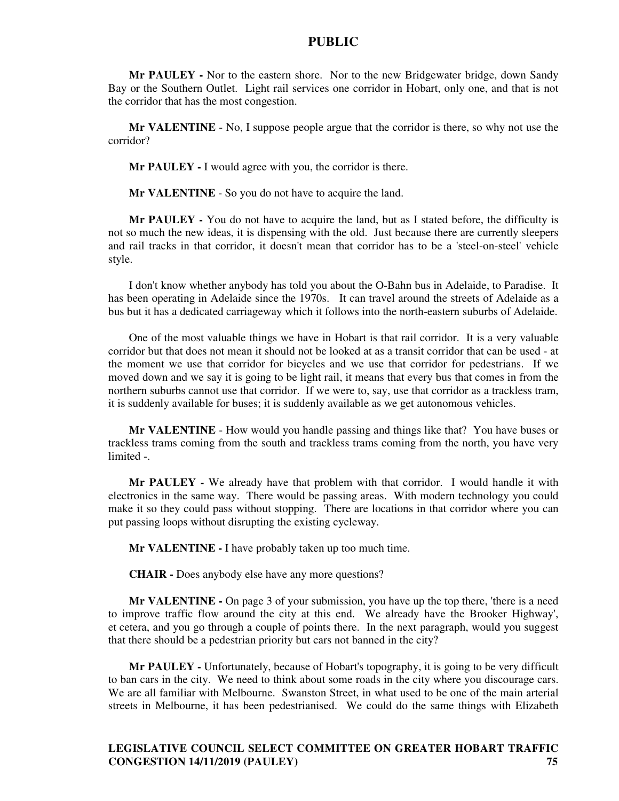**Mr PAULEY -** Nor to the eastern shore. Nor to the new Bridgewater bridge, down Sandy Bay or the Southern Outlet. Light rail services one corridor in Hobart, only one, and that is not the corridor that has the most congestion.

**Mr VALENTINE** - No, I suppose people argue that the corridor is there, so why not use the corridor?

**Mr PAULEY -** I would agree with you, the corridor is there.

**Mr VALENTINE** - So you do not have to acquire the land.

**Mr PAULEY -** You do not have to acquire the land, but as I stated before, the difficulty is not so much the new ideas, it is dispensing with the old. Just because there are currently sleepers and rail tracks in that corridor, it doesn't mean that corridor has to be a 'steel-on-steel' vehicle style.

I don't know whether anybody has told you about the O-Bahn bus in Adelaide, to Paradise. It has been operating in Adelaide since the 1970s. It can travel around the streets of Adelaide as a bus but it has a dedicated carriageway which it follows into the north-eastern suburbs of Adelaide.

One of the most valuable things we have in Hobart is that rail corridor. It is a very valuable corridor but that does not mean it should not be looked at as a transit corridor that can be used - at the moment we use that corridor for bicycles and we use that corridor for pedestrians. If we moved down and we say it is going to be light rail, it means that every bus that comes in from the northern suburbs cannot use that corridor. If we were to, say, use that corridor as a trackless tram, it is suddenly available for buses; it is suddenly available as we get autonomous vehicles.

**Mr VALENTINE** - How would you handle passing and things like that? You have buses or trackless trams coming from the south and trackless trams coming from the north, you have very limited -.

**Mr PAULEY -** We already have that problem with that corridor. I would handle it with electronics in the same way. There would be passing areas. With modern technology you could make it so they could pass without stopping. There are locations in that corridor where you can put passing loops without disrupting the existing cycleway.

**Mr VALENTINE -** I have probably taken up too much time.

**CHAIR -** Does anybody else have any more questions?

**Mr VALENTINE -** On page 3 of your submission, you have up the top there, 'there is a need to improve traffic flow around the city at this end. We already have the Brooker Highway', et cetera, and you go through a couple of points there. In the next paragraph, would you suggest that there should be a pedestrian priority but cars not banned in the city?

**Mr PAULEY -** Unfortunately, because of Hobart's topography, it is going to be very difficult to ban cars in the city. We need to think about some roads in the city where you discourage cars. We are all familiar with Melbourne. Swanston Street, in what used to be one of the main arterial streets in Melbourne, it has been pedestrianised. We could do the same things with Elizabeth